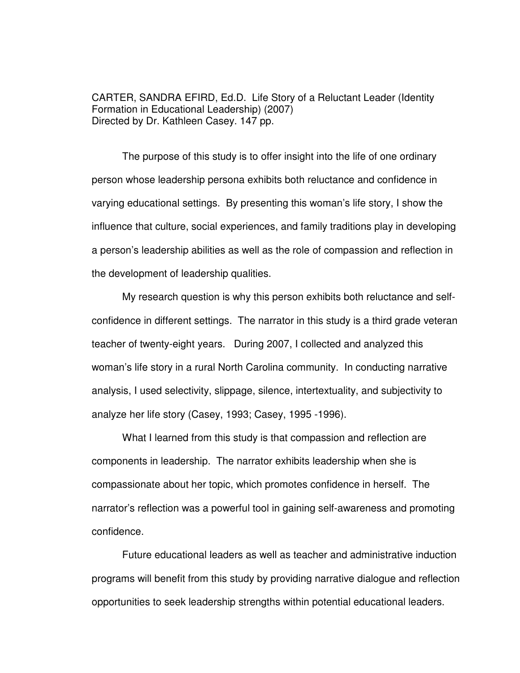CARTER, SANDRA EFIRD, Ed.D. Life Story of a Reluctant Leader (Identity Formation in Educational Leadership) (2007) Directed by Dr. Kathleen Casey. 147 pp.

 The purpose of this study is to offer insight into the life of one ordinary person whose leadership persona exhibits both reluctance and confidence in varying educational settings. By presenting this woman's life story, I show the influence that culture, social experiences, and family traditions play in developing a person's leadership abilities as well as the role of compassion and reflection in the development of leadership qualities.

 My research question is why this person exhibits both reluctance and selfconfidence in different settings. The narrator in this study is a third grade veteran teacher of twenty-eight years. During 2007, I collected and analyzed this woman's life story in a rural North Carolina community. In conducting narrative analysis, I used selectivity, slippage, silence, intertextuality, and subjectivity to analyze her life story (Casey, 1993; Casey, 1995 -1996).

 What I learned from this study is that compassion and reflection are components in leadership. The narrator exhibits leadership when she is compassionate about her topic, which promotes confidence in herself. The narrator's reflection was a powerful tool in gaining self-awareness and promoting confidence.

 Future educational leaders as well as teacher and administrative induction programs will benefit from this study by providing narrative dialogue and reflection opportunities to seek leadership strengths within potential educational leaders.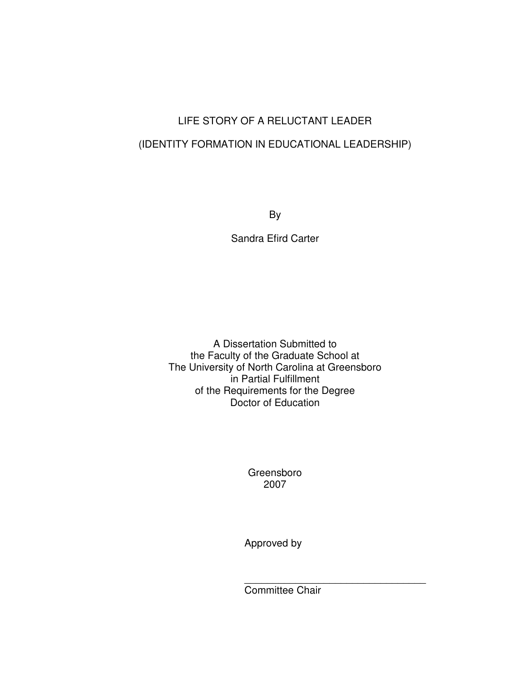# LIFE STORY OF A RELUCTANT LEADER (IDENTITY FORMATION IN EDUCATIONAL LEADERSHIP)

By

Sandra Efird Carter

A Dissertation Submitted to the Faculty of the Graduate School at The University of North Carolina at Greensboro in Partial Fulfillment of the Requirements for the Degree Doctor of Education

> Greensboro 2007

Approved by

 $\overline{\phantom{a}}$  ,  $\overline{\phantom{a}}$  ,  $\overline{\phantom{a}}$  ,  $\overline{\phantom{a}}$  ,  $\overline{\phantom{a}}$  ,  $\overline{\phantom{a}}$  ,  $\overline{\phantom{a}}$  ,  $\overline{\phantom{a}}$  ,  $\overline{\phantom{a}}$  ,  $\overline{\phantom{a}}$  ,  $\overline{\phantom{a}}$  ,  $\overline{\phantom{a}}$  ,  $\overline{\phantom{a}}$  ,  $\overline{\phantom{a}}$  ,  $\overline{\phantom{a}}$  ,  $\overline{\phantom{a}}$ 

Committee Chair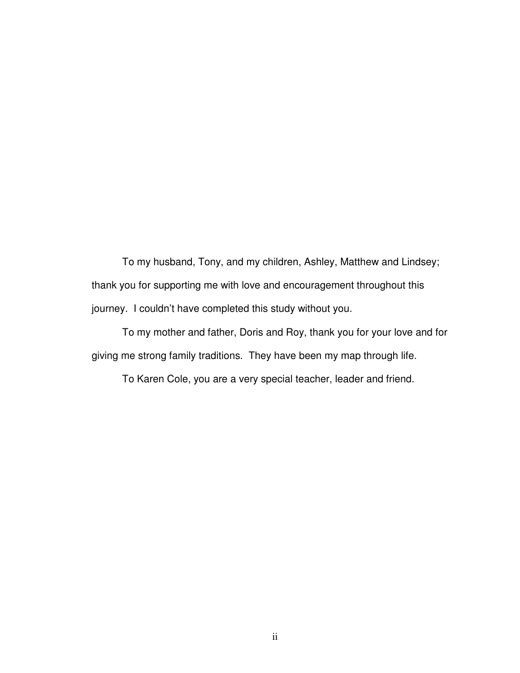To my husband, Tony, and my children, Ashley, Matthew and Lindsey; thank you for supporting me with love and encouragement throughout this journey. I couldn't have completed this study without you.

To my mother and father, Doris and Roy, thank you for your love and for giving me strong family traditions. They have been my map through life.

To Karen Cole, you are a very special teacher, leader and friend.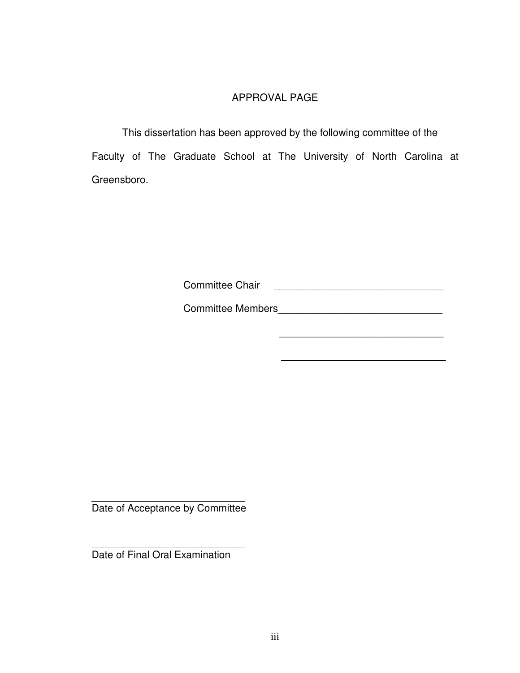# APPROVAL PAGE

This dissertation has been approved by the following committee of the Faculty of The Graduate School at The University of North Carolina at Greensboro.

 $\overline{\phantom{a}}$  , and the contract of the contract of the contract of the contract of the contract of the contract of the contract of the contract of the contract of the contract of the contract of the contract of the contrac

Committee Chair \_\_\_\_\_\_\_\_\_\_\_\_\_\_\_\_\_\_\_\_\_\_\_\_\_\_\_\_\_\_

Committee Members\_\_\_\_\_\_\_\_\_\_\_\_\_\_\_\_\_\_\_\_\_\_\_\_\_\_\_\_\_

\_\_\_\_\_\_\_\_\_\_\_\_\_\_\_\_\_\_\_\_\_\_\_\_\_\_\_ Date of Acceptance by Committee

\_\_\_\_\_\_\_\_\_\_\_\_\_\_\_\_\_\_\_\_\_\_\_\_\_\_\_ Date of Final Oral Examination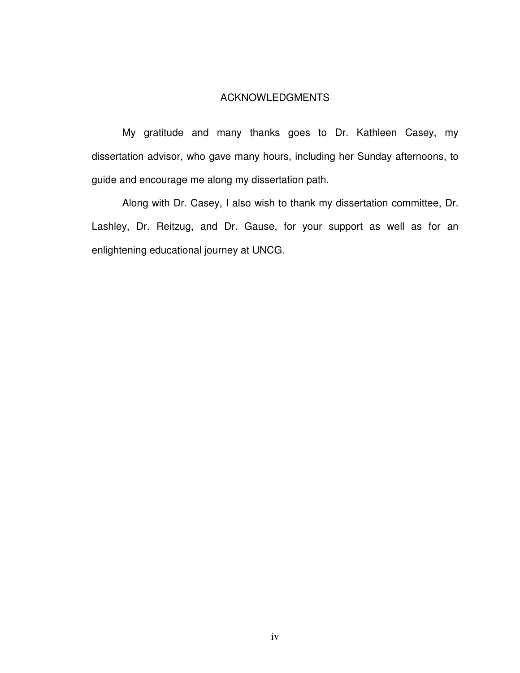#### ACKNOWLEDGMENTS

 My gratitude and many thanks goes to Dr. Kathleen Casey, my dissertation advisor, who gave many hours, including her Sunday afternoons, to guide and encourage me along my dissertation path.

 Along with Dr. Casey, I also wish to thank my dissertation committee, Dr. Lashley, Dr. Reitzug, and Dr. Gause, for your support as well as for an enlightening educational journey at UNCG.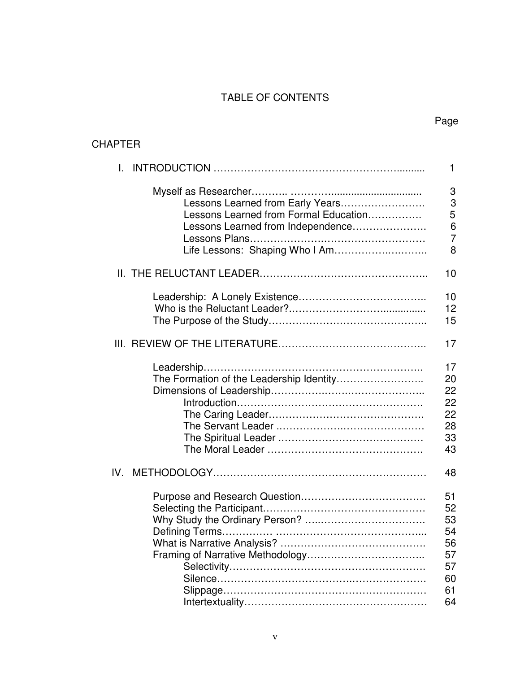# TABLE OF CONTENTS

# CHAPTER

|                                       | 1               |
|---------------------------------------|-----------------|
|                                       | 3               |
| Lessons Learned from Early Years      | 3               |
| Lessons Learned from Formal Education | 5               |
| Lessons Learned from Independence     | 6               |
|                                       | $\overline{7}$  |
| Life Lessons: Shaping Who I Am        | 8               |
|                                       | 10              |
|                                       | 10              |
|                                       | 12 <sub>2</sub> |
|                                       | 15              |
|                                       | 17              |
|                                       | 17              |
|                                       | 20              |
|                                       | 22              |
|                                       | 22              |
|                                       | 22              |
|                                       | 28              |
|                                       | 33              |
|                                       | 43              |
|                                       | 48              |
|                                       | 51              |
|                                       | 52              |
|                                       | 53              |
|                                       | 54              |
|                                       | 56              |
|                                       | 57              |
|                                       | 57              |
|                                       | 60              |
|                                       | 61              |
|                                       | 64              |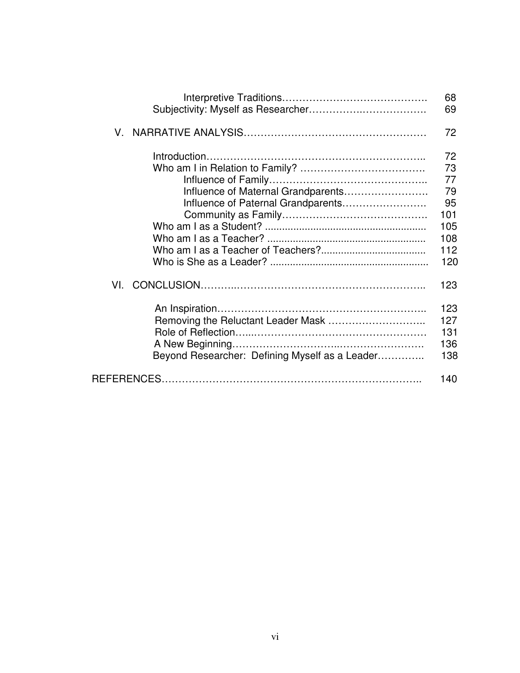|                                                | 68  |
|------------------------------------------------|-----|
|                                                | 69  |
|                                                | 72  |
|                                                | 72  |
|                                                | 73  |
|                                                | 77  |
| Influence of Maternal Grandparents             | 79  |
| Influence of Paternal Grandparents             | 95  |
|                                                | 101 |
|                                                | 105 |
|                                                | 108 |
|                                                | 112 |
|                                                | 120 |
|                                                | 123 |
|                                                | 123 |
|                                                | 127 |
|                                                | 131 |
|                                                | 136 |
| Beyond Researcher: Defining Myself as a Leader | 138 |
|                                                | 140 |
|                                                |     |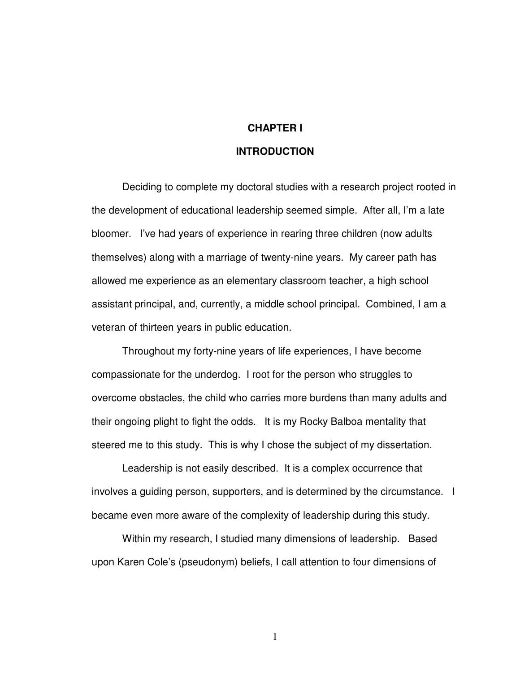# **CHAPTER I**

# **INTRODUCTION**

 Deciding to complete my doctoral studies with a research project rooted in the development of educational leadership seemed simple. After all, I'm a late bloomer. I've had years of experience in rearing three children (now adults themselves) along with a marriage of twenty-nine years. My career path has allowed me experience as an elementary classroom teacher, a high school assistant principal, and, currently, a middle school principal. Combined, I am a veteran of thirteen years in public education.

 Throughout my forty-nine years of life experiences, I have become compassionate for the underdog. I root for the person who struggles to overcome obstacles, the child who carries more burdens than many adults and their ongoing plight to fight the odds. It is my Rocky Balboa mentality that steered me to this study. This is why I chose the subject of my dissertation.

 Leadership is not easily described. It is a complex occurrence that involves a guiding person, supporters, and is determined by the circumstance. I became even more aware of the complexity of leadership during this study.

 Within my research, I studied many dimensions of leadership. Based upon Karen Cole's (pseudonym) beliefs, I call attention to four dimensions of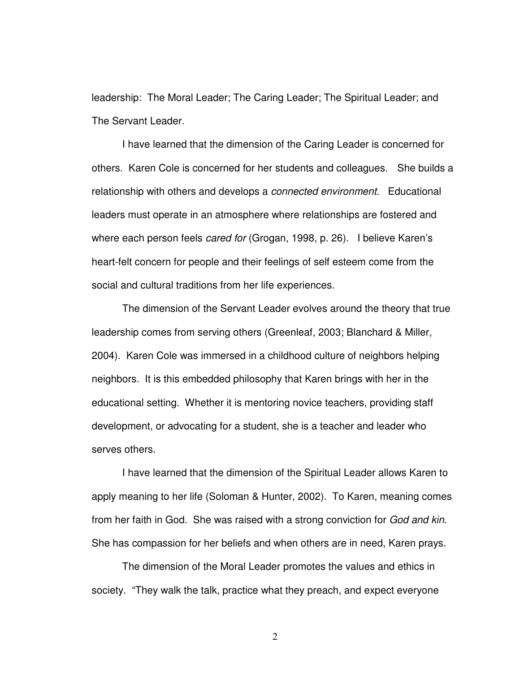leadership: The Moral Leader; The Caring Leader; The Spiritual Leader; and The Servant Leader.

 I have learned that the dimension of the Caring Leader is concerned for others. Karen Cole is concerned for her students and colleagues. She builds a relationship with others and develops a connected environment. Educational leaders must operate in an atmosphere where relationships are fostered and where each person feels *cared for* (Grogan, 1998, p. 26). I believe Karen's heart-felt concern for people and their feelings of self esteem come from the social and cultural traditions from her life experiences.

 The dimension of the Servant Leader evolves around the theory that true leadership comes from serving others (Greenleaf, 2003; Blanchard & Miller, 2004). Karen Cole was immersed in a childhood culture of neighbors helping neighbors. It is this embedded philosophy that Karen brings with her in the educational setting. Whether it is mentoring novice teachers, providing staff development, or advocating for a student, she is a teacher and leader who serves others.

 I have learned that the dimension of the Spiritual Leader allows Karen to apply meaning to her life (Soloman & Hunter, 2002). To Karen, meaning comes from her faith in God. She was raised with a strong conviction for God and kin. She has compassion for her beliefs and when others are in need, Karen prays.

 The dimension of the Moral Leader promotes the values and ethics in society. "They walk the talk, practice what they preach, and expect everyone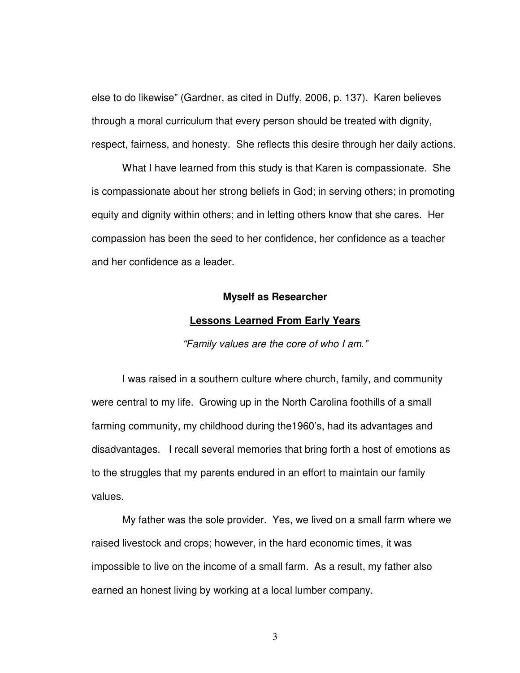else to do likewise" (Gardner, as cited in Duffy, 2006, p. 137). Karen believes through a moral curriculum that every person should be treated with dignity, respect, fairness, and honesty. She reflects this desire through her daily actions.

 What I have learned from this study is that Karen is compassionate. She is compassionate about her strong beliefs in God; in serving others; in promoting equity and dignity within others; and in letting others know that she cares. Her compassion has been the seed to her confidence, her confidence as a teacher and her confidence as a leader.

#### **Myself as Researcher**

#### **Lessons Learned From Early Years**

"Family values are the core of who I am."

I was raised in a southern culture where church, family, and community were central to my life. Growing up in the North Carolina foothills of a small farming community, my childhood during the1960's, had its advantages and disadvantages. I recall several memories that bring forth a host of emotions as to the struggles that my parents endured in an effort to maintain our family values.

My father was the sole provider. Yes, we lived on a small farm where we raised livestock and crops; however, in the hard economic times, it was impossible to live on the income of a small farm. As a result, my father also earned an honest living by working at a local lumber company.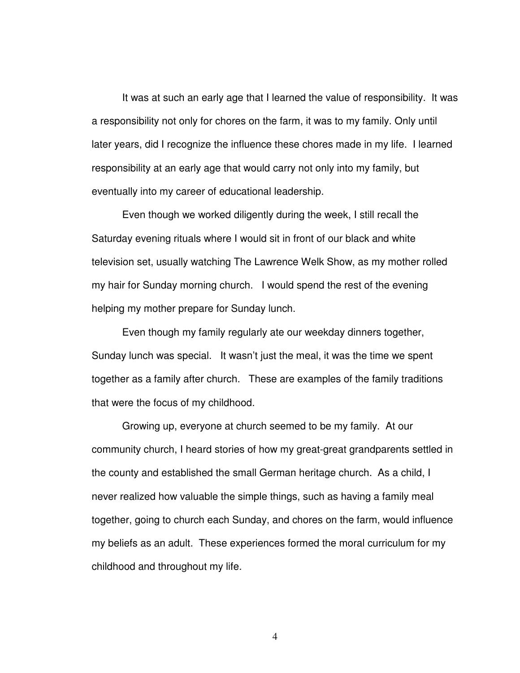It was at such an early age that I learned the value of responsibility. It was a responsibility not only for chores on the farm, it was to my family. Only until later years, did I recognize the influence these chores made in my life. I learned responsibility at an early age that would carry not only into my family, but eventually into my career of educational leadership.

Even though we worked diligently during the week, I still recall the Saturday evening rituals where I would sit in front of our black and white television set, usually watching The Lawrence Welk Show, as my mother rolled my hair for Sunday morning church. I would spend the rest of the evening helping my mother prepare for Sunday lunch.

Even though my family regularly ate our weekday dinners together, Sunday lunch was special. It wasn't just the meal, it was the time we spent together as a family after church. These are examples of the family traditions that were the focus of my childhood.

Growing up, everyone at church seemed to be my family. At our community church, I heard stories of how my great-great grandparents settled in the county and established the small German heritage church. As a child, I never realized how valuable the simple things, such as having a family meal together, going to church each Sunday, and chores on the farm, would influence my beliefs as an adult. These experiences formed the moral curriculum for my childhood and throughout my life.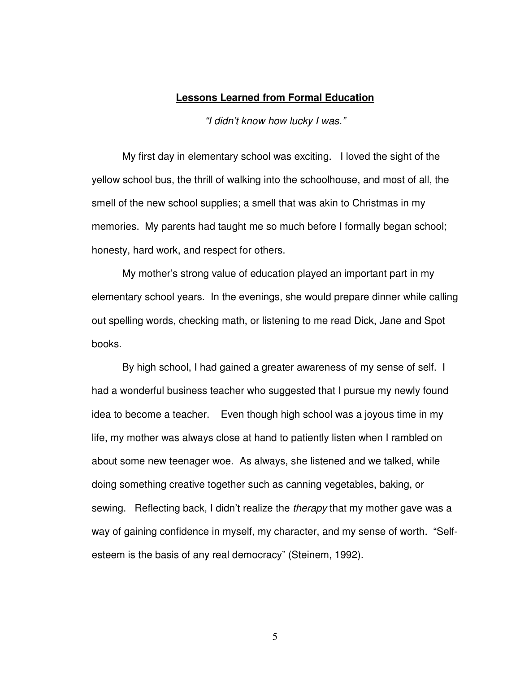### **Lessons Learned from Formal Education**

"I didn't know how lucky I was."

 My first day in elementary school was exciting. I loved the sight of the yellow school bus, the thrill of walking into the schoolhouse, and most of all, the smell of the new school supplies; a smell that was akin to Christmas in my memories. My parents had taught me so much before I formally began school; honesty, hard work, and respect for others.

 My mother's strong value of education played an important part in my elementary school years. In the evenings, she would prepare dinner while calling out spelling words, checking math, or listening to me read Dick, Jane and Spot books.

 By high school, I had gained a greater awareness of my sense of self. I had a wonderful business teacher who suggested that I pursue my newly found idea to become a teacher. Even though high school was a joyous time in my life, my mother was always close at hand to patiently listen when I rambled on about some new teenager woe. As always, she listened and we talked, while doing something creative together such as canning vegetables, baking, or sewing. Reflecting back, I didn't realize the therapy that my mother gave was a way of gaining confidence in myself, my character, and my sense of worth. "Selfesteem is the basis of any real democracy" (Steinem, 1992).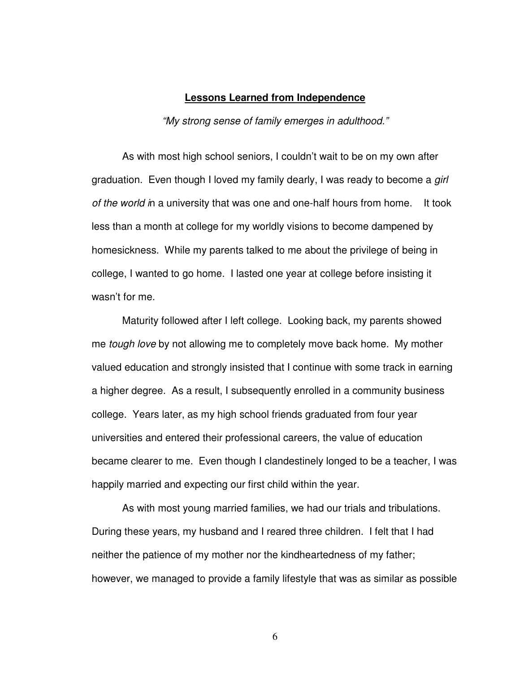### **Lessons Learned from Independence**

"My strong sense of family emerges in adulthood."

As with most high school seniors, I couldn't wait to be on my own after graduation. Even though I loved my family dearly, I was ready to become a girl of the world in a university that was one and one-half hours from home. It took less than a month at college for my worldly visions to become dampened by homesickness. While my parents talked to me about the privilege of being in college, I wanted to go home. I lasted one year at college before insisting it wasn't for me.

 Maturity followed after I left college. Looking back, my parents showed me *tough love* by not allowing me to completely move back home. My mother valued education and strongly insisted that I continue with some track in earning a higher degree. As a result, I subsequently enrolled in a community business college. Years later, as my high school friends graduated from four year universities and entered their professional careers, the value of education became clearer to me. Even though I clandestinely longed to be a teacher, I was happily married and expecting our first child within the year.

 As with most young married families, we had our trials and tribulations. During these years, my husband and I reared three children. I felt that I had neither the patience of my mother nor the kindheartedness of my father; however, we managed to provide a family lifestyle that was as similar as possible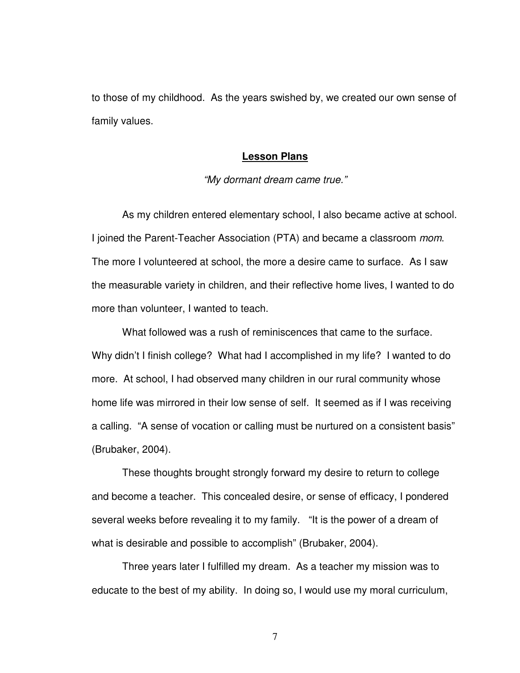to those of my childhood. As the years swished by, we created our own sense of family values.

#### **Lesson Plans**

"My dormant dream came true."

 As my children entered elementary school, I also became active at school. I joined the Parent-Teacher Association (PTA) and became a classroom mom. The more I volunteered at school, the more a desire came to surface. As I saw the measurable variety in children, and their reflective home lives, I wanted to do more than volunteer, I wanted to teach.

 What followed was a rush of reminiscences that came to the surface. Why didn't I finish college? What had I accomplished in my life? I wanted to do more. At school, I had observed many children in our rural community whose home life was mirrored in their low sense of self. It seemed as if I was receiving a calling. "A sense of vocation or calling must be nurtured on a consistent basis" (Brubaker, 2004).

 These thoughts brought strongly forward my desire to return to college and become a teacher. This concealed desire, or sense of efficacy, I pondered several weeks before revealing it to my family. "It is the power of a dream of what is desirable and possible to accomplish" (Brubaker, 2004).

 Three years later I fulfilled my dream. As a teacher my mission was to educate to the best of my ability. In doing so, I would use my moral curriculum,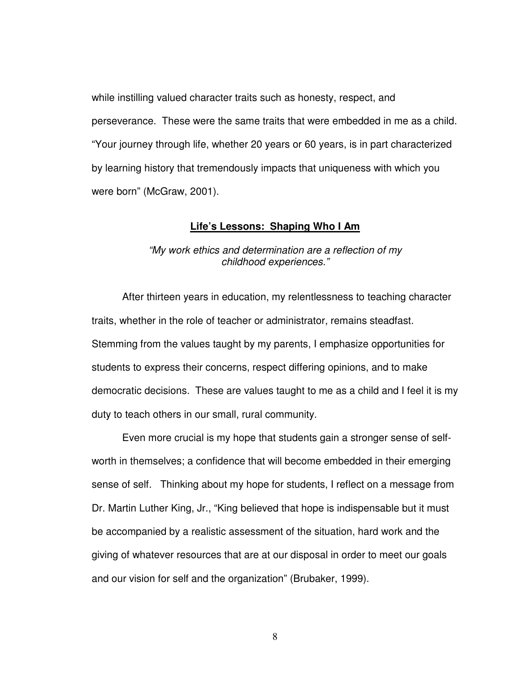while instilling valued character traits such as honesty, respect, and perseverance. These were the same traits that were embedded in me as a child. "Your journey through life, whether 20 years or 60 years, is in part characterized by learning history that tremendously impacts that uniqueness with which you were born" (McGraw, 2001).

#### **Life's Lessons: Shaping Who I Am**

# "My work ethics and determination are a reflection of my childhood experiences."

After thirteen years in education, my relentlessness to teaching character traits, whether in the role of teacher or administrator, remains steadfast. Stemming from the values taught by my parents, I emphasize opportunities for students to express their concerns, respect differing opinions, and to make democratic decisions. These are values taught to me as a child and I feel it is my duty to teach others in our small, rural community.

 Even more crucial is my hope that students gain a stronger sense of selfworth in themselves; a confidence that will become embedded in their emerging sense of self. Thinking about my hope for students, I reflect on a message from Dr. Martin Luther King, Jr., "King believed that hope is indispensable but it must be accompanied by a realistic assessment of the situation, hard work and the giving of whatever resources that are at our disposal in order to meet our goals and our vision for self and the organization" (Brubaker, 1999).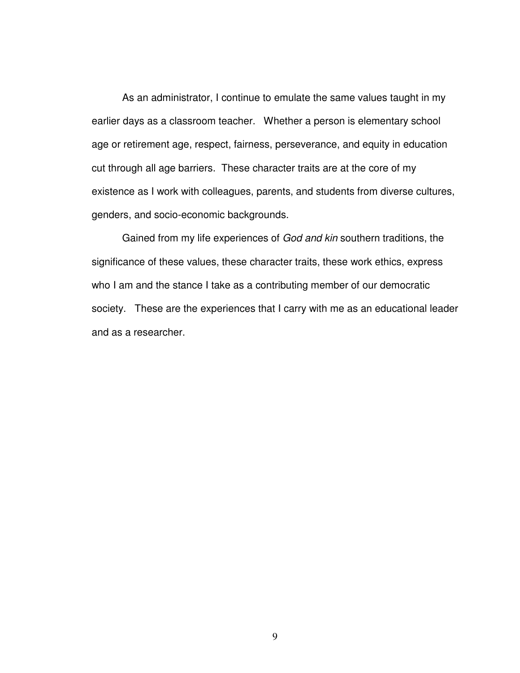As an administrator, I continue to emulate the same values taught in my earlier days as a classroom teacher. Whether a person is elementary school age or retirement age, respect, fairness, perseverance, and equity in education cut through all age barriers. These character traits are at the core of my existence as I work with colleagues, parents, and students from diverse cultures, genders, and socio-economic backgrounds.

Gained from my life experiences of God and kin southern traditions, the significance of these values, these character traits, these work ethics, express who I am and the stance I take as a contributing member of our democratic society. These are the experiences that I carry with me as an educational leader and as a researcher.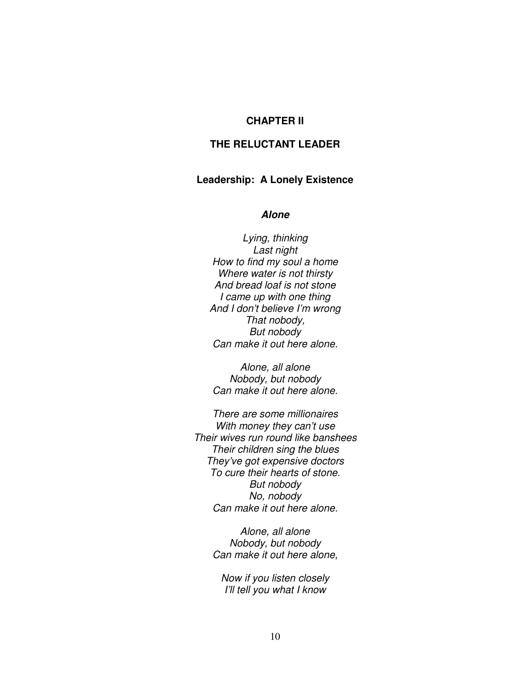# **CHAPTER II**

# **THE RELUCTANT LEADER**

## **Leadership: A Lonely Existence**

#### **Alone**

Lying, thinking Last night How to find my soul a home Where water is not thirsty And bread loaf is not stone I came up with one thing And I don't believe I'm wrong That nobody, But nobody Can make it out here alone.

Alone, all alone Nobody, but nobody Can make it out here alone.

There are some millionaires With money they can't use Their wives run round like banshees Their children sing the blues They've got expensive doctors To cure their hearts of stone. But nobody No, nobody Can make it out here alone.

> Alone, all alone Nobody, but nobody Can make it out here alone,

Now if you listen closely I'll tell you what I know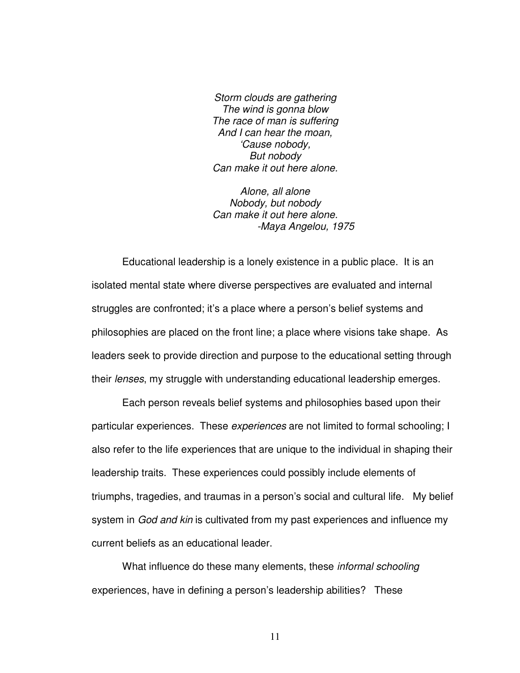Storm clouds are gathering The wind is gonna blow The race of man is suffering And I can hear the moan, 'Cause nobody, But nobody Can make it out here alone.

Alone, all alone Nobody, but nobody Can make it out here alone. -Maya Angelou, 1975

Educational leadership is a lonely existence in a public place. It is an isolated mental state where diverse perspectives are evaluated and internal struggles are confronted; it's a place where a person's belief systems and philosophies are placed on the front line; a place where visions take shape. As leaders seek to provide direction and purpose to the educational setting through their lenses, my struggle with understanding educational leadership emerges.

Each person reveals belief systems and philosophies based upon their particular experiences. These *experiences* are not limited to formal schooling; I also refer to the life experiences that are unique to the individual in shaping their leadership traits. These experiences could possibly include elements of triumphs, tragedies, and traumas in a person's social and cultural life. My belief system in God and kin is cultivated from my past experiences and influence my current beliefs as an educational leader.

What influence do these many elements, these *informal schooling* experiences, have in defining a person's leadership abilities? These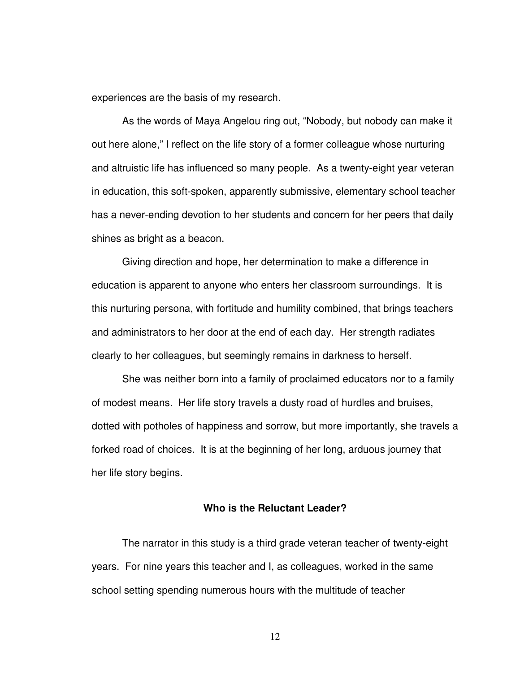experiences are the basis of my research.

As the words of Maya Angelou ring out, "Nobody, but nobody can make it out here alone," I reflect on the life story of a former colleague whose nurturing and altruistic life has influenced so many people. As a twenty-eight year veteran in education, this soft-spoken, apparently submissive, elementary school teacher has a never-ending devotion to her students and concern for her peers that daily shines as bright as a beacon.

Giving direction and hope, her determination to make a difference in education is apparent to anyone who enters her classroom surroundings. It is this nurturing persona, with fortitude and humility combined, that brings teachers and administrators to her door at the end of each day. Her strength radiates clearly to her colleagues, but seemingly remains in darkness to herself.

She was neither born into a family of proclaimed educators nor to a family of modest means. Her life story travels a dusty road of hurdles and bruises, dotted with potholes of happiness and sorrow, but more importantly, she travels a forked road of choices. It is at the beginning of her long, arduous journey that her life story begins.

### **Who is the Reluctant Leader?**

 The narrator in this study is a third grade veteran teacher of twenty-eight years. For nine years this teacher and I, as colleagues, worked in the same school setting spending numerous hours with the multitude of teacher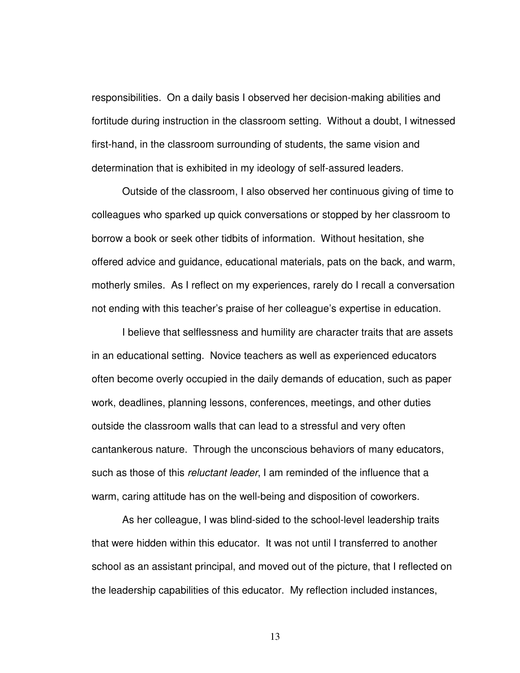responsibilities. On a daily basis I observed her decision-making abilities and fortitude during instruction in the classroom setting. Without a doubt, I witnessed first-hand, in the classroom surrounding of students, the same vision and determination that is exhibited in my ideology of self-assured leaders.

 Outside of the classroom, I also observed her continuous giving of time to colleagues who sparked up quick conversations or stopped by her classroom to borrow a book or seek other tidbits of information. Without hesitation, she offered advice and guidance, educational materials, pats on the back, and warm, motherly smiles. As I reflect on my experiences, rarely do I recall a conversation not ending with this teacher's praise of her colleague's expertise in education.

I believe that selflessness and humility are character traits that are assets in an educational setting. Novice teachers as well as experienced educators often become overly occupied in the daily demands of education, such as paper work, deadlines, planning lessons, conferences, meetings, and other duties outside the classroom walls that can lead to a stressful and very often cantankerous nature. Through the unconscious behaviors of many educators, such as those of this *reluctant leader*, I am reminded of the influence that a warm, caring attitude has on the well-being and disposition of coworkers.

As her colleague, I was blind-sided to the school-level leadership traits that were hidden within this educator. It was not until I transferred to another school as an assistant principal, and moved out of the picture, that I reflected on the leadership capabilities of this educator. My reflection included instances,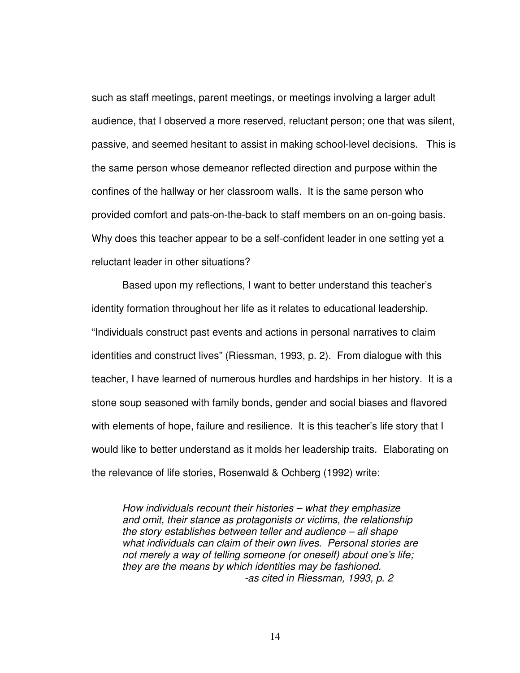such as staff meetings, parent meetings, or meetings involving a larger adult audience, that I observed a more reserved, reluctant person; one that was silent, passive, and seemed hesitant to assist in making school-level decisions. This is the same person whose demeanor reflected direction and purpose within the confines of the hallway or her classroom walls. It is the same person who provided comfort and pats-on-the-back to staff members on an on-going basis. Why does this teacher appear to be a self-confident leader in one setting yet a reluctant leader in other situations?

Based upon my reflections, I want to better understand this teacher's identity formation throughout her life as it relates to educational leadership. "Individuals construct past events and actions in personal narratives to claim identities and construct lives" (Riessman, 1993, p. 2). From dialogue with this teacher, I have learned of numerous hurdles and hardships in her history. It is a stone soup seasoned with family bonds, gender and social biases and flavored with elements of hope, failure and resilience. It is this teacher's life story that I would like to better understand as it molds her leadership traits. Elaborating on the relevance of life stories, Rosenwald & Ochberg (1992) write:

How individuals recount their histories – what they emphasize and omit, their stance as protagonists or victims, the relationship the story establishes between teller and audience – all shape what individuals can claim of their own lives. Personal stories are not merely a way of telling someone (or oneself) about one's life; they are the means by which identities may be fashioned. -as cited in Riessman, 1993, p. 2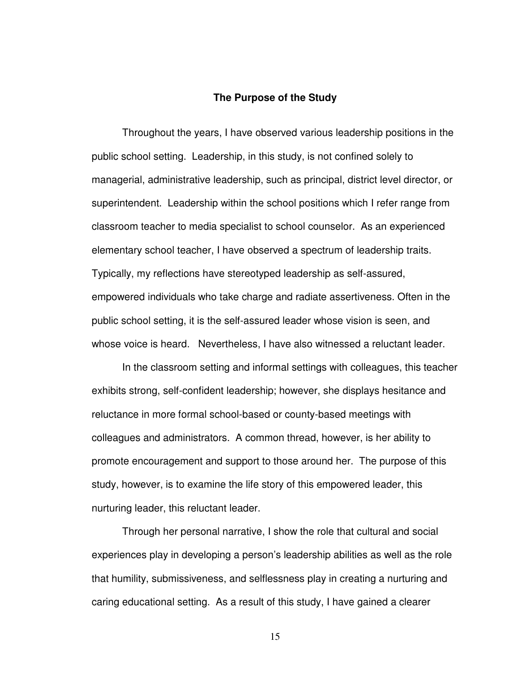### **The Purpose of the Study**

Throughout the years, I have observed various leadership positions in the public school setting. Leadership, in this study, is not confined solely to managerial, administrative leadership, such as principal, district level director, or superintendent. Leadership within the school positions which I refer range from classroom teacher to media specialist to school counselor. As an experienced elementary school teacher, I have observed a spectrum of leadership traits. Typically, my reflections have stereotyped leadership as self-assured, empowered individuals who take charge and radiate assertiveness. Often in the public school setting, it is the self-assured leader whose vision is seen, and whose voice is heard. Nevertheless, I have also witnessed a reluctant leader.

In the classroom setting and informal settings with colleagues, this teacher exhibits strong, self-confident leadership; however, she displays hesitance and reluctance in more formal school-based or county-based meetings with colleagues and administrators. A common thread, however, is her ability to promote encouragement and support to those around her. The purpose of this study, however, is to examine the life story of this empowered leader, this nurturing leader, this reluctant leader.

Through her personal narrative, I show the role that cultural and social experiences play in developing a person's leadership abilities as well as the role that humility, submissiveness, and selflessness play in creating a nurturing and caring educational setting. As a result of this study, I have gained a clearer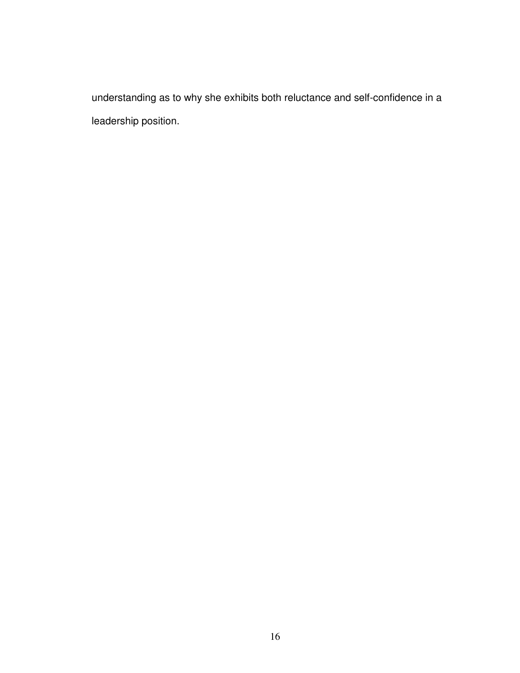understanding as to why she exhibits both reluctance and self-confidence in a leadership position.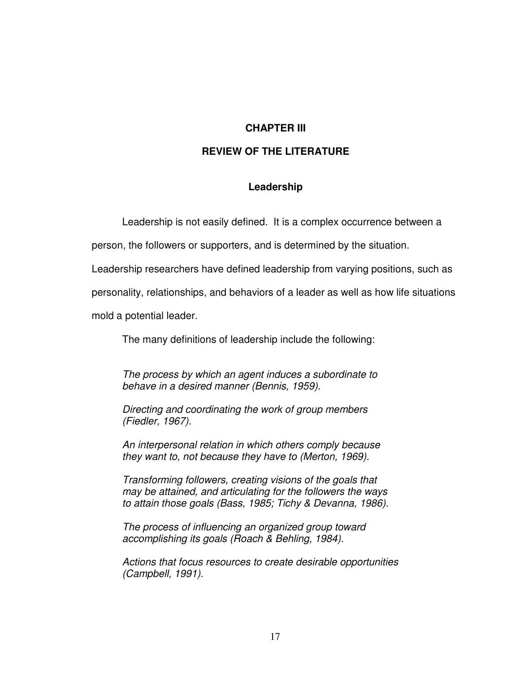# **CHAPTER III**

# **REVIEW OF THE LITERATURE**

# **Leadership**

Leadership is not easily defined. It is a complex occurrence between a

person, the followers or supporters, and is determined by the situation.

Leadership researchers have defined leadership from varying positions, such as

personality, relationships, and behaviors of a leader as well as how life situations

mold a potential leader.

The many definitions of leadership include the following:

The process by which an agent induces a subordinate to behave in a desired manner (Bennis, 1959).

 Directing and coordinating the work of group members (Fiedler, 1967).

 An interpersonal relation in which others comply because they want to, not because they have to (Merton, 1969).

 Transforming followers, creating visions of the goals that may be attained, and articulating for the followers the ways to attain those goals (Bass, 1985; Tichy & Devanna, 1986).

 The process of influencing an organized group toward accomplishing its goals (Roach & Behling, 1984).

 Actions that focus resources to create desirable opportunities (Campbell, 1991).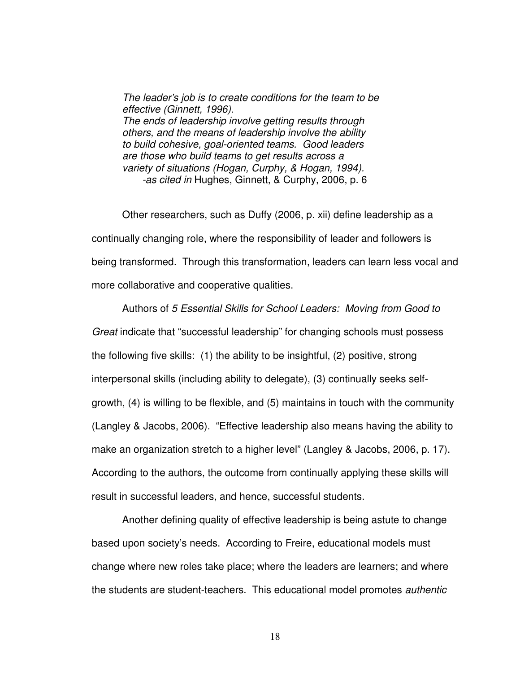The leader's job is to create conditions for the team to be effective (Ginnett, 1996). The ends of leadership involve getting results through others, and the means of leadership involve the ability to build cohesive, goal-oriented teams. Good leaders are those who build teams to get results across a variety of situations (Hogan, Curphy, & Hogan, 1994). -as cited in Hughes, Ginnett, & Curphy, 2006, p. 6

Other researchers, such as Duffy (2006, p. xii) define leadership as a continually changing role, where the responsibility of leader and followers is being transformed. Through this transformation, leaders can learn less vocal and more collaborative and cooperative qualities.

Authors of 5 Essential Skills for School Leaders: Moving from Good to Great indicate that "successful leadership" for changing schools must possess the following five skills: (1) the ability to be insightful, (2) positive, strong interpersonal skills (including ability to delegate), (3) continually seeks selfgrowth, (4) is willing to be flexible, and (5) maintains in touch with the community (Langley & Jacobs, 2006). "Effective leadership also means having the ability to make an organization stretch to a higher level" (Langley & Jacobs, 2006, p. 17). According to the authors, the outcome from continually applying these skills will result in successful leaders, and hence, successful students.

 Another defining quality of effective leadership is being astute to change based upon society's needs. According to Freire, educational models must change where new roles take place; where the leaders are learners; and where the students are student-teachers. This educational model promotes *authentic*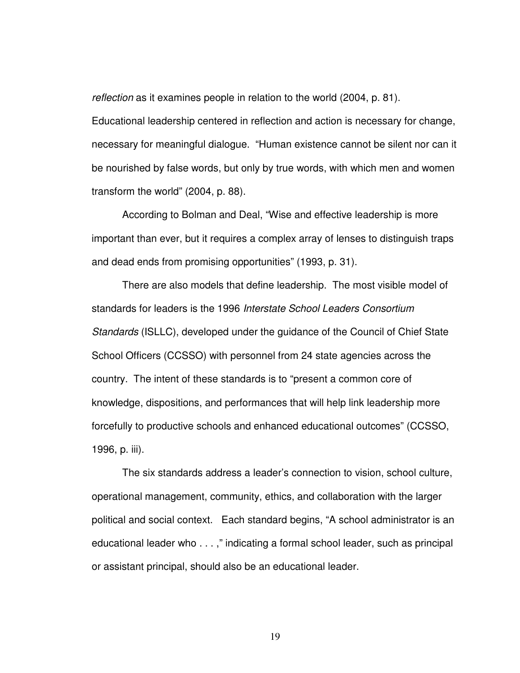reflection as it examines people in relation to the world (2004, p. 81).

Educational leadership centered in reflection and action is necessary for change, necessary for meaningful dialogue. "Human existence cannot be silent nor can it be nourished by false words, but only by true words, with which men and women transform the world" (2004, p. 88).

 According to Bolman and Deal, "Wise and effective leadership is more important than ever, but it requires a complex array of lenses to distinguish traps and dead ends from promising opportunities" (1993, p. 31).

 There are also models that define leadership. The most visible model of standards for leaders is the 1996 Interstate School Leaders Consortium Standards (ISLLC), developed under the guidance of the Council of Chief State School Officers (CCSSO) with personnel from 24 state agencies across the country. The intent of these standards is to "present a common core of knowledge, dispositions, and performances that will help link leadership more forcefully to productive schools and enhanced educational outcomes" (CCSSO, 1996, p. iii).

 The six standards address a leader's connection to vision, school culture, operational management, community, ethics, and collaboration with the larger political and social context. Each standard begins, "A school administrator is an educational leader who . . . ," indicating a formal school leader, such as principal or assistant principal, should also be an educational leader.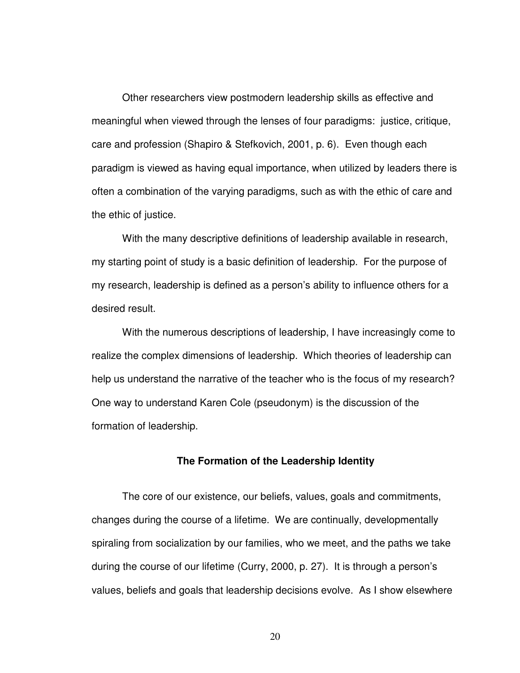Other researchers view postmodern leadership skills as effective and meaningful when viewed through the lenses of four paradigms: justice, critique, care and profession (Shapiro & Stefkovich, 2001, p. 6). Even though each paradigm is viewed as having equal importance, when utilized by leaders there is often a combination of the varying paradigms, such as with the ethic of care and the ethic of justice.

With the many descriptive definitions of leadership available in research, my starting point of study is a basic definition of leadership. For the purpose of my research, leadership is defined as a person's ability to influence others for a desired result.

With the numerous descriptions of leadership, I have increasingly come to realize the complex dimensions of leadership. Which theories of leadership can help us understand the narrative of the teacher who is the focus of my research? One way to understand Karen Cole (pseudonym) is the discussion of the formation of leadership.

#### **The Formation of the Leadership Identity**

 The core of our existence, our beliefs, values, goals and commitments, changes during the course of a lifetime. We are continually, developmentally spiraling from socialization by our families, who we meet, and the paths we take during the course of our lifetime (Curry, 2000, p. 27). It is through a person's values, beliefs and goals that leadership decisions evolve. As I show elsewhere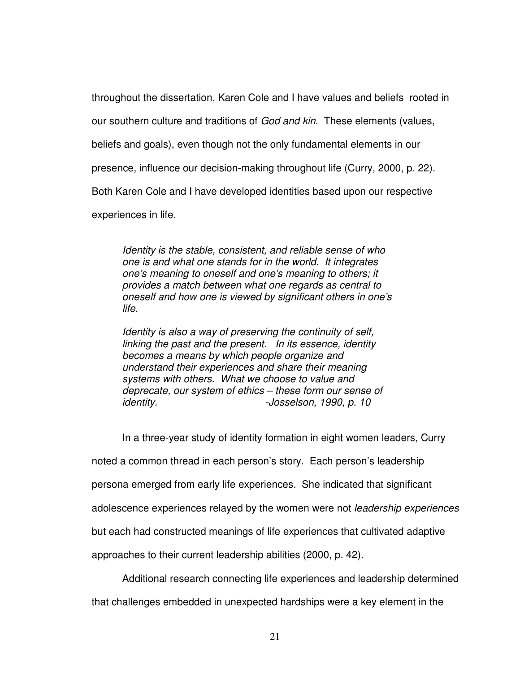throughout the dissertation, Karen Cole and I have values and beliefs rooted in

our southern culture and traditions of God and kin. These elements (values,

beliefs and goals), even though not the only fundamental elements in our

presence, influence our decision-making throughout life (Curry, 2000, p. 22).

Both Karen Cole and I have developed identities based upon our respective

experiences in life.

Identity is the stable, consistent, and reliable sense of who one is and what one stands for in the world. It integrates one's meaning to oneself and one's meaning to others; it provides a match between what one regards as central to oneself and how one is viewed by significant others in one's life.

Identity is also a way of preserving the continuity of self, linking the past and the present. In its essence, identity becomes a means by which people organize and understand their experiences and share their meaning systems with others. What we choose to value and deprecate, our system of ethics – these form our sense of identity. **A contract of the COVID-Josselson, 1990, p. 10** 

In a three-year study of identity formation in eight women leaders, Curry

noted a common thread in each person's story. Each person's leadership

persona emerged from early life experiences. She indicated that significant

adolescence experiences relayed by the women were not *leadership experiences* 

but each had constructed meanings of life experiences that cultivated adaptive

approaches to their current leadership abilities (2000, p. 42).

Additional research connecting life experiences and leadership determined

that challenges embedded in unexpected hardships were a key element in the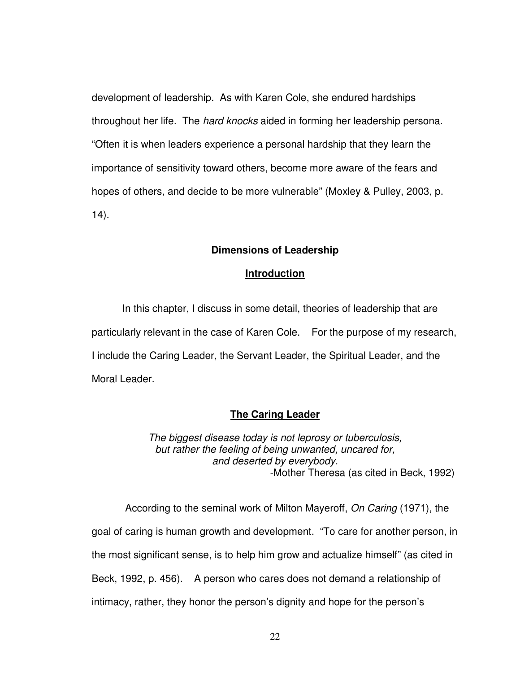development of leadership. As with Karen Cole, she endured hardships throughout her life. The hard knocks aided in forming her leadership persona. "Often it is when leaders experience a personal hardship that they learn the importance of sensitivity toward others, become more aware of the fears and hopes of others, and decide to be more vulnerable" (Moxley & Pulley, 2003, p. 14).

# **Dimensions of Leadership**

### **Introduction**

In this chapter, I discuss in some detail, theories of leadership that are particularly relevant in the case of Karen Cole. For the purpose of my research, I include the Caring Leader, the Servant Leader, the Spiritual Leader, and the Moral Leader.

# **The Caring Leader**

The biggest disease today is not leprosy or tuberculosis, but rather the feeling of being unwanted, uncared for, and deserted by everybody. -Mother Theresa (as cited in Beck, 1992)

 According to the seminal work of Milton Mayeroff, On Caring (1971), the goal of caring is human growth and development. "To care for another person, in the most significant sense, is to help him grow and actualize himself" (as cited in Beck, 1992, p. 456). A person who cares does not demand a relationship of intimacy, rather, they honor the person's dignity and hope for the person's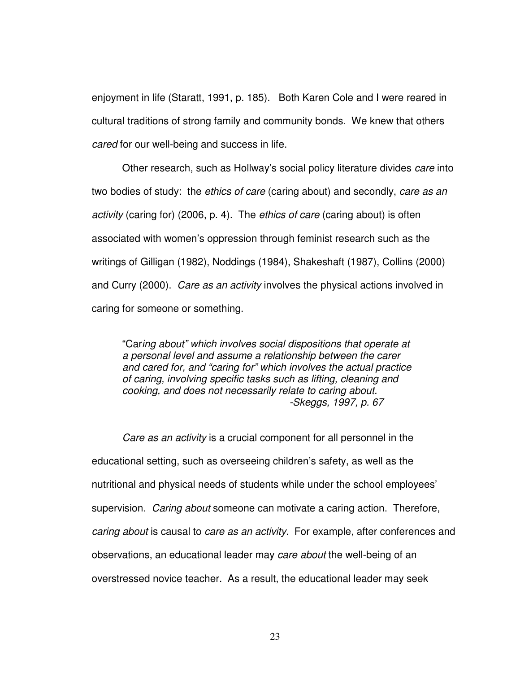enjoyment in life (Staratt, 1991, p. 185). Both Karen Cole and I were reared in cultural traditions of strong family and community bonds. We knew that others cared for our well-being and success in life.

Other research, such as Hollway's social policy literature divides care into two bodies of study: the ethics of care (caring about) and secondly, care as an activity (caring for) (2006, p. 4). The ethics of care (caring about) is often associated with women's oppression through feminist research such as the writings of Gilligan (1982), Noddings (1984), Shakeshaft (1987), Collins (2000) and Curry (2000). *Care as an activity* involves the physical actions involved in caring for someone or something.

 "Caring about" which involves social dispositions that operate at a personal level and assume a relationship between the carer and cared for, and "caring for" which involves the actual practice of caring, involving specific tasks such as lifting, cleaning and cooking, and does not necessarily relate to caring about. -Skeggs, 1997, p. 67

Care as an activity is a crucial component for all personnel in the educational setting, such as overseeing children's safety, as well as the nutritional and physical needs of students while under the school employees' supervision. Caring about someone can motivate a caring action. Therefore, caring about is causal to care as an activity. For example, after conferences and observations, an educational leader may care about the well-being of an overstressed novice teacher. As a result, the educational leader may seek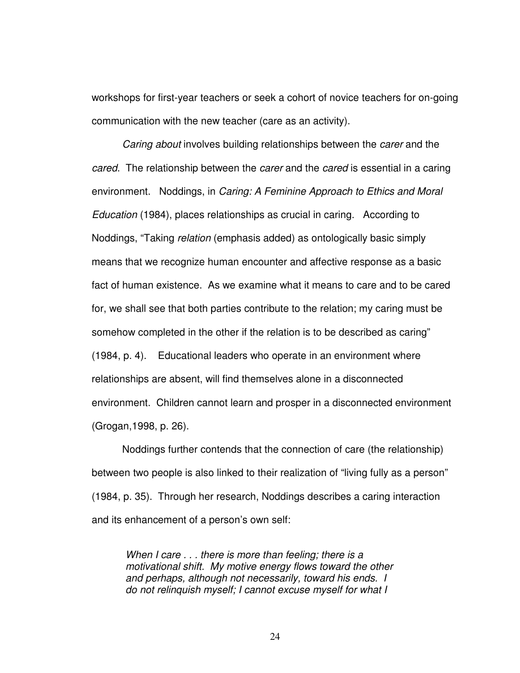workshops for first-year teachers or seek a cohort of novice teachers for on-going communication with the new teacher (care as an activity).

Caring about involves building relationships between the carer and the cared. The relationship between the carer and the cared is essential in a caring environment. Noddings, in Caring: A Feminine Approach to Ethics and Moral Education (1984), places relationships as crucial in caring. According to Noddings, "Taking relation (emphasis added) as ontologically basic simply means that we recognize human encounter and affective response as a basic fact of human existence. As we examine what it means to care and to be cared for, we shall see that both parties contribute to the relation; my caring must be somehow completed in the other if the relation is to be described as caring" (1984, p. 4). Educational leaders who operate in an environment where relationships are absent, will find themselves alone in a disconnected environment. Children cannot learn and prosper in a disconnected environment (Grogan,1998, p. 26).

 Noddings further contends that the connection of care (the relationship) between two people is also linked to their realization of "living fully as a person" (1984, p. 35). Through her research, Noddings describes a caring interaction and its enhancement of a person's own self:

When I care  $\ldots$  there is more than feeling; there is a motivational shift. My motive energy flows toward the other and perhaps, although not necessarily, toward his ends. I do not relinquish myself; I cannot excuse myself for what I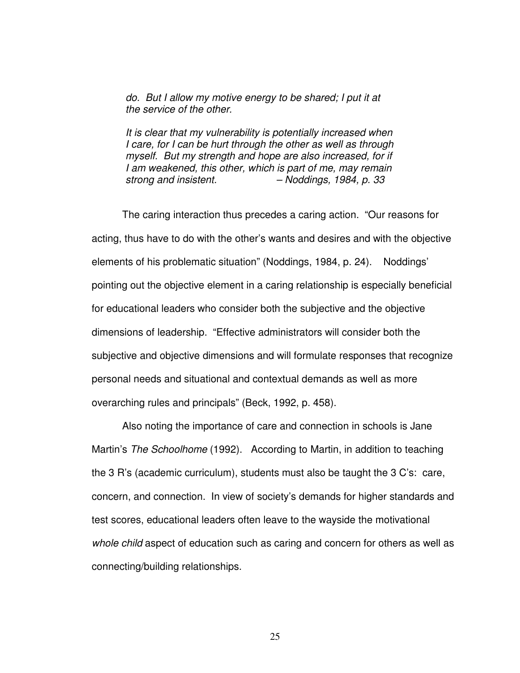do. But I allow my motive energy to be shared; I put it at the service of the other.

It is clear that my vulnerability is potentially increased when I care, for I can be hurt through the other as well as through myself. But my strength and hope are also increased, for if I am weakened, this other, which is part of me, may remain strong and insistent. – Hoddings, 1984, p. 33

 The caring interaction thus precedes a caring action. "Our reasons for acting, thus have to do with the other's wants and desires and with the objective elements of his problematic situation" (Noddings, 1984, p. 24). Noddings' pointing out the objective element in a caring relationship is especially beneficial for educational leaders who consider both the subjective and the objective dimensions of leadership. "Effective administrators will consider both the subjective and objective dimensions and will formulate responses that recognize personal needs and situational and contextual demands as well as more overarching rules and principals" (Beck, 1992, p. 458).

Also noting the importance of care and connection in schools is Jane Martin's The Schoolhome (1992). According to Martin, in addition to teaching the 3 R's (academic curriculum), students must also be taught the 3 C's: care, concern, and connection. In view of society's demands for higher standards and test scores, educational leaders often leave to the wayside the motivational whole child aspect of education such as caring and concern for others as well as connecting/building relationships.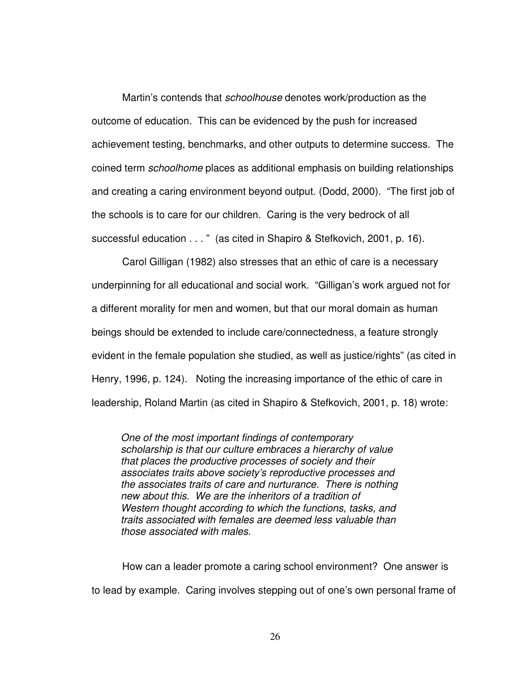Martin's contends that *schoolhouse* denotes work/production as the outcome of education. This can be evidenced by the push for increased achievement testing, benchmarks, and other outputs to determine success. The coined term schoolhome places as additional emphasis on building relationships and creating a caring environment beyond output. (Dodd, 2000). "The first job of the schools is to care for our children. Caring is the very bedrock of all successful education . . . " (as cited in Shapiro & Stefkovich, 2001, p. 16).

Carol Gilligan (1982) also stresses that an ethic of care is a necessary underpinning for all educational and social work. "Gilligan's work argued not for a different morality for men and women, but that our moral domain as human beings should be extended to include care/connectedness, a feature strongly evident in the female population she studied, as well as justice/rights" (as cited in Henry, 1996, p. 124). Noting the increasing importance of the ethic of care in leadership, Roland Martin (as cited in Shapiro & Stefkovich, 2001, p. 18) wrote:

One of the most important findings of contemporary scholarship is that our culture embraces a hierarchy of value that places the productive processes of society and their associates traits above society's reproductive processes and the associates traits of care and nurturance. There is nothing new about this. We are the inheritors of a tradition of Western thought according to which the functions, tasks, and traits associated with females are deemed less valuable than those associated with males.

 How can a leader promote a caring school environment? One answer is to lead by example. Caring involves stepping out of one's own personal frame of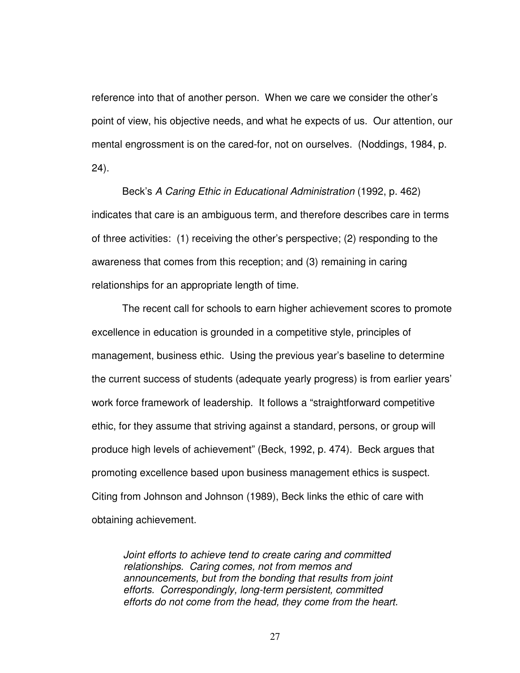reference into that of another person. When we care we consider the other's point of view, his objective needs, and what he expects of us. Our attention, our mental engrossment is on the cared-for, not on ourselves. (Noddings, 1984, p. 24).

 Beck's A Caring Ethic in Educational Administration (1992, p. 462) indicates that care is an ambiguous term, and therefore describes care in terms of three activities: (1) receiving the other's perspective; (2) responding to the awareness that comes from this reception; and (3) remaining in caring relationships for an appropriate length of time.

The recent call for schools to earn higher achievement scores to promote excellence in education is grounded in a competitive style, principles of management, business ethic. Using the previous year's baseline to determine the current success of students (adequate yearly progress) is from earlier years' work force framework of leadership. It follows a "straightforward competitive ethic, for they assume that striving against a standard, persons, or group will produce high levels of achievement" (Beck, 1992, p. 474). Beck argues that promoting excellence based upon business management ethics is suspect. Citing from Johnson and Johnson (1989), Beck links the ethic of care with obtaining achievement.

Joint efforts to achieve tend to create caring and committed relationships. Caring comes, not from memos and announcements, but from the bonding that results from joint efforts. Correspondingly, long-term persistent, committed efforts do not come from the head, they come from the heart.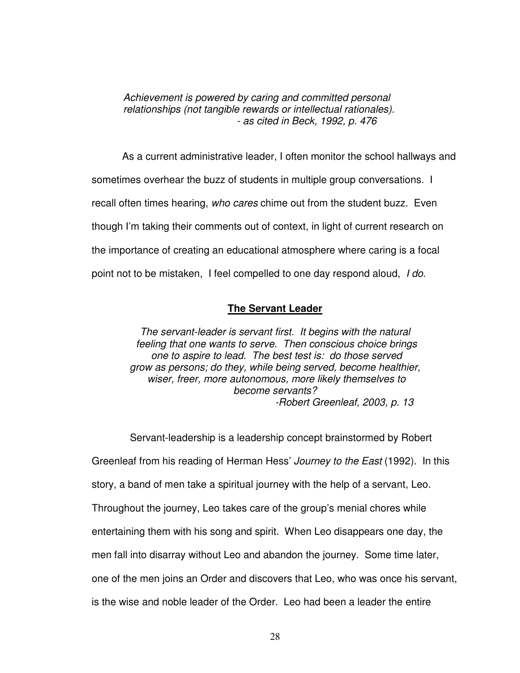Achievement is powered by caring and committed personal relationships (not tangible rewards or intellectual rationales). - as cited in Beck, 1992, p. 476

As a current administrative leader, I often monitor the school hallways and sometimes overhear the buzz of students in multiple group conversations. I recall often times hearing, who cares chime out from the student buzz. Even though I'm taking their comments out of context, in light of current research on the importance of creating an educational atmosphere where caring is a focal point not to be mistaken, I feel compelled to one day respond aloud, I do.

# **The Servant Leader**

The servant-leader is servant first. It begins with the natural feeling that one wants to serve. Then conscious choice brings one to aspire to lead. The best test is: do those served grow as persons; do they, while being served, become healthier, wiser, freer, more autonomous, more likely themselves to become servants? -Robert Greenleaf, 2003, p. 13

Servant-leadership is a leadership concept brainstormed by Robert Greenleaf from his reading of Herman Hess' Journey to the East (1992). In this story, a band of men take a spiritual journey with the help of a servant, Leo. Throughout the journey, Leo takes care of the group's menial chores while entertaining them with his song and spirit. When Leo disappears one day, the men fall into disarray without Leo and abandon the journey. Some time later, one of the men joins an Order and discovers that Leo, who was once his servant, is the wise and noble leader of the Order. Leo had been a leader the entire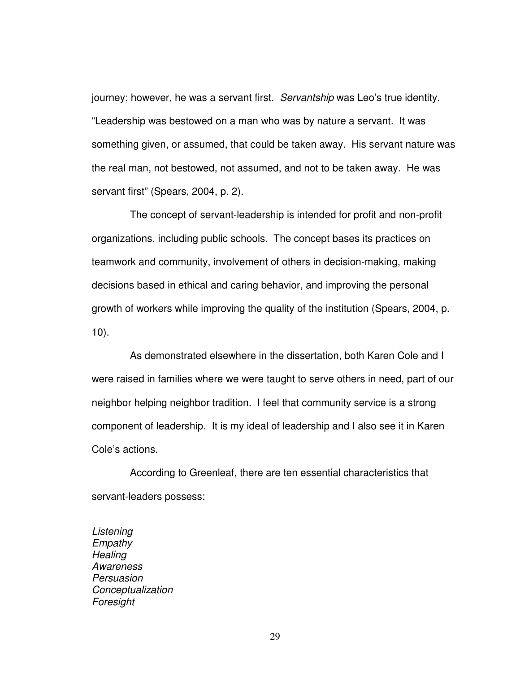journey; however, he was a servant first. Servantship was Leo's true identity. "Leadership was bestowed on a man who was by nature a servant. It was something given, or assumed, that could be taken away. His servant nature was the real man, not bestowed, not assumed, and not to be taken away. He was servant first" (Spears, 2004, p. 2).

 The concept of servant-leadership is intended for profit and non-profit organizations, including public schools. The concept bases its practices on teamwork and community, involvement of others in decision-making, making decisions based in ethical and caring behavior, and improving the personal growth of workers while improving the quality of the institution (Spears, 2004, p. 10).

 As demonstrated elsewhere in the dissertation, both Karen Cole and I were raised in families where we were taught to serve others in need, part of our neighbor helping neighbor tradition. I feel that community service is a strong component of leadership. It is my ideal of leadership and I also see it in Karen Cole's actions.

 According to Greenleaf, there are ten essential characteristics that servant-leaders possess:

Listening Empathy **Healing Awareness** Persuasion **Conceptualization** Foresight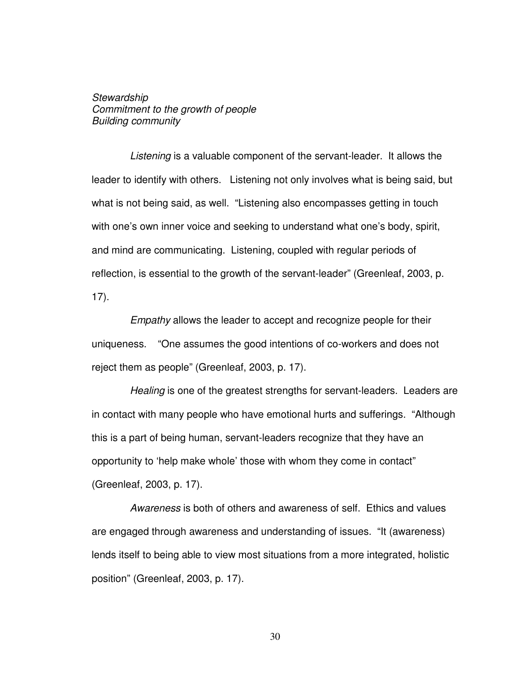**Stewardship** Commitment to the growth of people Building community

Listening is a valuable component of the servant-leader. It allows the leader to identify with others. Listening not only involves what is being said, but what is not being said, as well. "Listening also encompasses getting in touch with one's own inner voice and seeking to understand what one's body, spirit, and mind are communicating. Listening, coupled with regular periods of reflection, is essential to the growth of the servant-leader" (Greenleaf, 2003, p. 17).

Empathy allows the leader to accept and recognize people for their uniqueness. "One assumes the good intentions of co-workers and does not reject them as people" (Greenleaf, 2003, p. 17).

Healing is one of the greatest strengths for servant-leaders. Leaders are in contact with many people who have emotional hurts and sufferings. "Although this is a part of being human, servant-leaders recognize that they have an opportunity to 'help make whole' those with whom they come in contact" (Greenleaf, 2003, p. 17).

Awareness is both of others and awareness of self. Ethics and values are engaged through awareness and understanding of issues. "It (awareness) lends itself to being able to view most situations from a more integrated, holistic position" (Greenleaf, 2003, p. 17).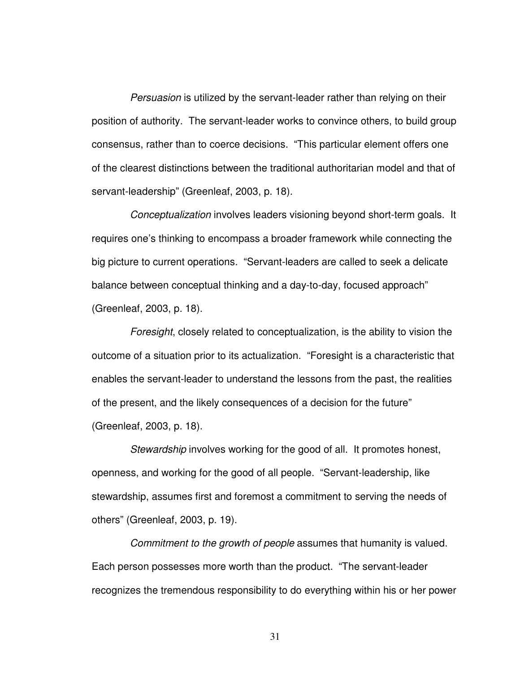Persuasion is utilized by the servant-leader rather than relying on their position of authority. The servant-leader works to convince others, to build group consensus, rather than to coerce decisions. "This particular element offers one of the clearest distinctions between the traditional authoritarian model and that of servant-leadership" (Greenleaf, 2003, p. 18).

Conceptualization involves leaders visioning beyond short-term goals. It requires one's thinking to encompass a broader framework while connecting the big picture to current operations. "Servant-leaders are called to seek a delicate balance between conceptual thinking and a day-to-day, focused approach" (Greenleaf, 2003, p. 18).

Foresight, closely related to conceptualization, is the ability to vision the outcome of a situation prior to its actualization. "Foresight is a characteristic that enables the servant-leader to understand the lessons from the past, the realities of the present, and the likely consequences of a decision for the future" (Greenleaf, 2003, p. 18).

Stewardship involves working for the good of all. It promotes honest, openness, and working for the good of all people. "Servant-leadership, like stewardship, assumes first and foremost a commitment to serving the needs of others" (Greenleaf, 2003, p. 19).

Commitment to the growth of people assumes that humanity is valued. Each person possesses more worth than the product. "The servant-leader recognizes the tremendous responsibility to do everything within his or her power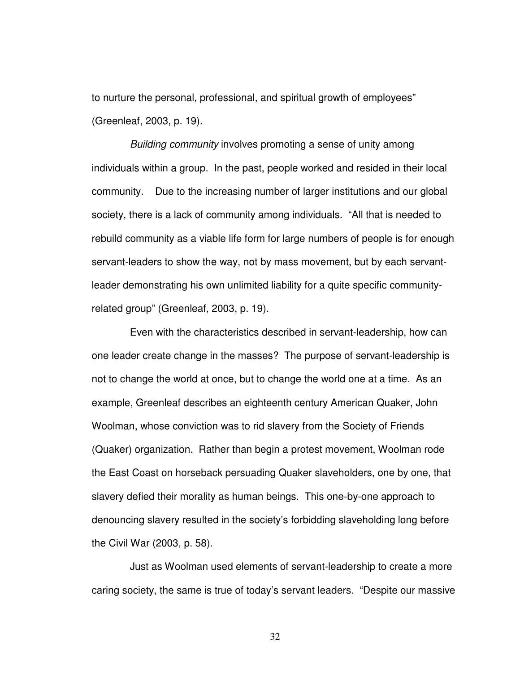to nurture the personal, professional, and spiritual growth of employees" (Greenleaf, 2003, p. 19).

Building community involves promoting a sense of unity among individuals within a group. In the past, people worked and resided in their local community. Due to the increasing number of larger institutions and our global society, there is a lack of community among individuals. "All that is needed to rebuild community as a viable life form for large numbers of people is for enough servant-leaders to show the way, not by mass movement, but by each servantleader demonstrating his own unlimited liability for a quite specific communityrelated group" (Greenleaf, 2003, p. 19).

 Even with the characteristics described in servant-leadership, how can one leader create change in the masses? The purpose of servant-leadership is not to change the world at once, but to change the world one at a time. As an example, Greenleaf describes an eighteenth century American Quaker, John Woolman, whose conviction was to rid slavery from the Society of Friends (Quaker) organization. Rather than begin a protest movement, Woolman rode the East Coast on horseback persuading Quaker slaveholders, one by one, that slavery defied their morality as human beings. This one-by-one approach to denouncing slavery resulted in the society's forbidding slaveholding long before the Civil War (2003, p. 58).

Just as Woolman used elements of servant-leadership to create a more caring society, the same is true of today's servant leaders. "Despite our massive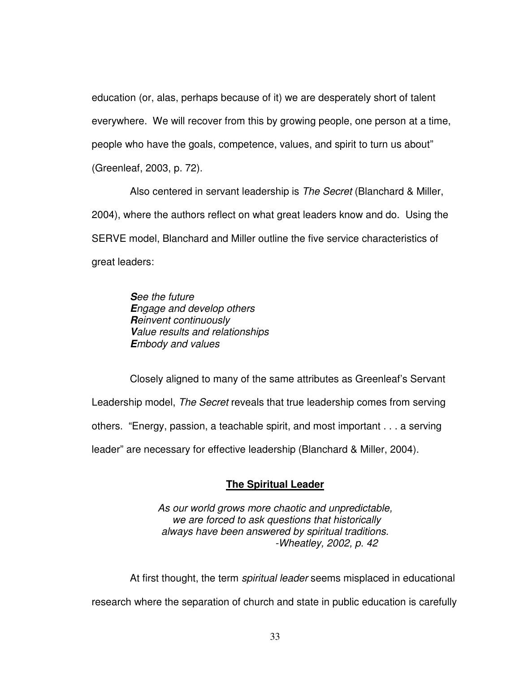education (or, alas, perhaps because of it) we are desperately short of talent everywhere. We will recover from this by growing people, one person at a time, people who have the goals, competence, values, and spirit to turn us about" (Greenleaf, 2003, p. 72).

 Also centered in servant leadership is The Secret (Blanchard & Miller, 2004), where the authors reflect on what great leaders know and do. Using the SERVE model, Blanchard and Miller outline the five service characteristics of great leaders:

> **S**ee the future **E**ngage and develop others **R**einvent continuously **V**alue results and relationships **E**mbody and values

 Closely aligned to many of the same attributes as Greenleaf's Servant Leadership model, The Secret reveals that true leadership comes from serving others. "Energy, passion, a teachable spirit, and most important . . . a serving leader" are necessary for effective leadership (Blanchard & Miller, 2004).

# **The Spiritual Leader**

As our world grows more chaotic and unpredictable, we are forced to ask questions that historically always have been answered by spiritual traditions. -Wheatley, 2002, p. 42

At first thought, the term *spiritual leader* seems misplaced in educational

research where the separation of church and state in public education is carefully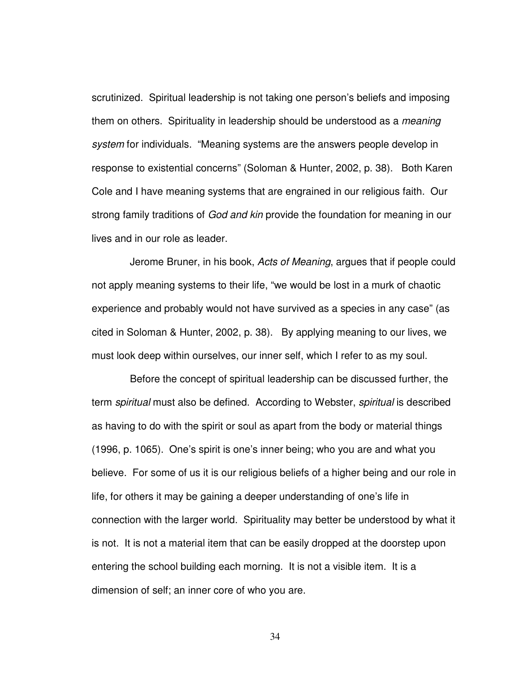scrutinized. Spiritual leadership is not taking one person's beliefs and imposing them on others. Spirituality in leadership should be understood as a *meaning* system for individuals. "Meaning systems are the answers people develop in response to existential concerns" (Soloman & Hunter, 2002, p. 38). Both Karen Cole and I have meaning systems that are engrained in our religious faith. Our strong family traditions of God and kin provide the foundation for meaning in our lives and in our role as leader.

 Jerome Bruner, in his book, Acts of Meaning, argues that if people could not apply meaning systems to their life, "we would be lost in a murk of chaotic experience and probably would not have survived as a species in any case" (as cited in Soloman & Hunter, 2002, p. 38). By applying meaning to our lives, we must look deep within ourselves, our inner self, which I refer to as my soul.

 Before the concept of spiritual leadership can be discussed further, the term *spiritual* must also be defined. According to Webster, *spiritual* is described as having to do with the spirit or soul as apart from the body or material things (1996, p. 1065). One's spirit is one's inner being; who you are and what you believe. For some of us it is our religious beliefs of a higher being and our role in life, for others it may be gaining a deeper understanding of one's life in connection with the larger world. Spirituality may better be understood by what it is not. It is not a material item that can be easily dropped at the doorstep upon entering the school building each morning. It is not a visible item. It is a dimension of self; an inner core of who you are.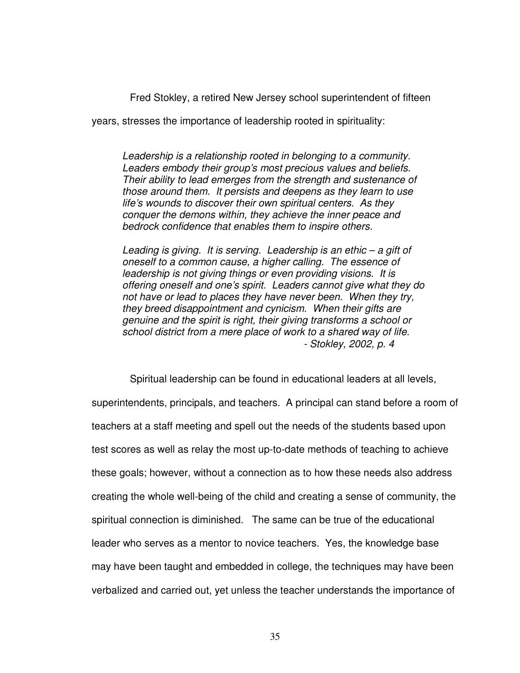Fred Stokley, a retired New Jersey school superintendent of fifteen

years, stresses the importance of leadership rooted in spirituality:

Leadership is a relationship rooted in belonging to a community. Leaders embody their group's most precious values and beliefs. Their ability to lead emerges from the strength and sustenance of those around them. It persists and deepens as they learn to use life's wounds to discover their own spiritual centers. As they conquer the demons within, they achieve the inner peace and bedrock confidence that enables them to inspire others.

Leading is giving. It is serving. Leadership is an ethic – a gift of oneself to a common cause, a higher calling. The essence of leadership is not giving things or even providing visions. It is offering oneself and one's spirit. Leaders cannot give what they do not have or lead to places they have never been. When they try, they breed disappointment and cynicism. When their gifts are genuine and the spirit is right, their giving transforms a school or school district from a mere place of work to a shared way of life. - Stokley, 2002, p. 4

 Spiritual leadership can be found in educational leaders at all levels, superintendents, principals, and teachers. A principal can stand before a room of teachers at a staff meeting and spell out the needs of the students based upon test scores as well as relay the most up-to-date methods of teaching to achieve these goals; however, without a connection as to how these needs also address creating the whole well-being of the child and creating a sense of community, the spiritual connection is diminished. The same can be true of the educational leader who serves as a mentor to novice teachers. Yes, the knowledge base may have been taught and embedded in college, the techniques may have been verbalized and carried out, yet unless the teacher understands the importance of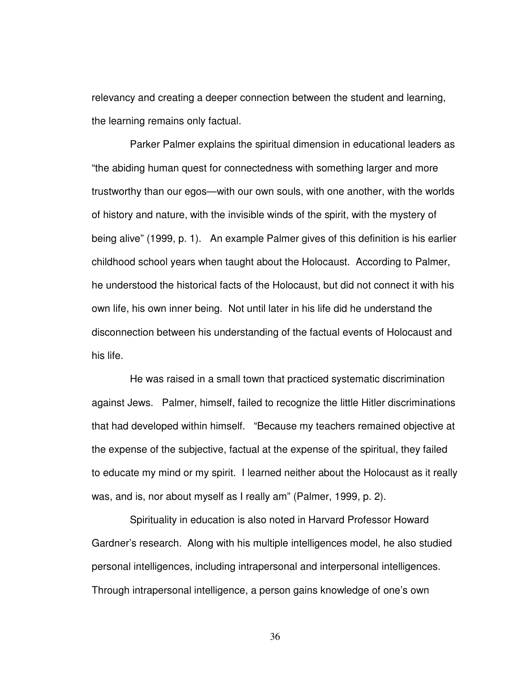relevancy and creating a deeper connection between the student and learning, the learning remains only factual.

 Parker Palmer explains the spiritual dimension in educational leaders as "the abiding human quest for connectedness with something larger and more trustworthy than our egos—with our own souls, with one another, with the worlds of history and nature, with the invisible winds of the spirit, with the mystery of being alive" (1999, p. 1). An example Palmer gives of this definition is his earlier childhood school years when taught about the Holocaust. According to Palmer, he understood the historical facts of the Holocaust, but did not connect it with his own life, his own inner being. Not until later in his life did he understand the disconnection between his understanding of the factual events of Holocaust and his life.

 He was raised in a small town that practiced systematic discrimination against Jews. Palmer, himself, failed to recognize the little Hitler discriminations that had developed within himself. "Because my teachers remained objective at the expense of the subjective, factual at the expense of the spiritual, they failed to educate my mind or my spirit. I learned neither about the Holocaust as it really was, and is, nor about myself as I really am" (Palmer, 1999, p. 2).

 Spirituality in education is also noted in Harvard Professor Howard Gardner's research. Along with his multiple intelligences model, he also studied personal intelligences, including intrapersonal and interpersonal intelligences. Through intrapersonal intelligence, a person gains knowledge of one's own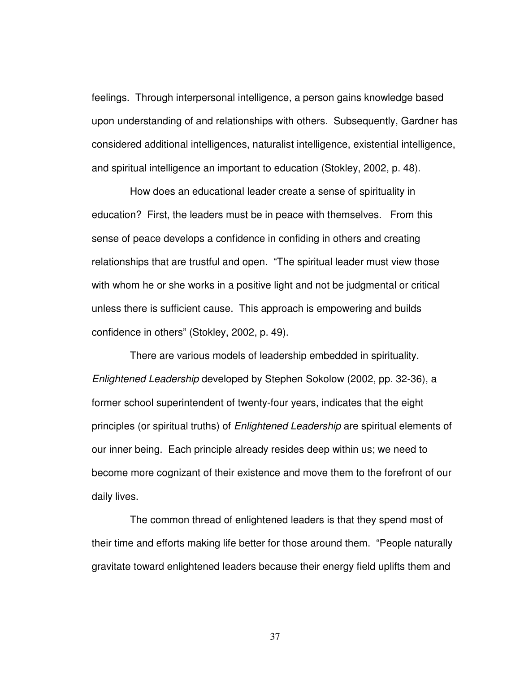feelings. Through interpersonal intelligence, a person gains knowledge based upon understanding of and relationships with others. Subsequently, Gardner has considered additional intelligences, naturalist intelligence, existential intelligence, and spiritual intelligence an important to education (Stokley, 2002, p. 48).

 How does an educational leader create a sense of spirituality in education? First, the leaders must be in peace with themselves. From this sense of peace develops a confidence in confiding in others and creating relationships that are trustful and open. "The spiritual leader must view those with whom he or she works in a positive light and not be judgmental or critical unless there is sufficient cause. This approach is empowering and builds confidence in others" (Stokley, 2002, p. 49).

There are various models of leadership embedded in spirituality. Enlightened Leadership developed by Stephen Sokolow (2002, pp. 32-36), a former school superintendent of twenty-four years, indicates that the eight principles (or spiritual truths) of Enlightened Leadership are spiritual elements of our inner being. Each principle already resides deep within us; we need to become more cognizant of their existence and move them to the forefront of our daily lives.

 The common thread of enlightened leaders is that they spend most of their time and efforts making life better for those around them. "People naturally gravitate toward enlightened leaders because their energy field uplifts them and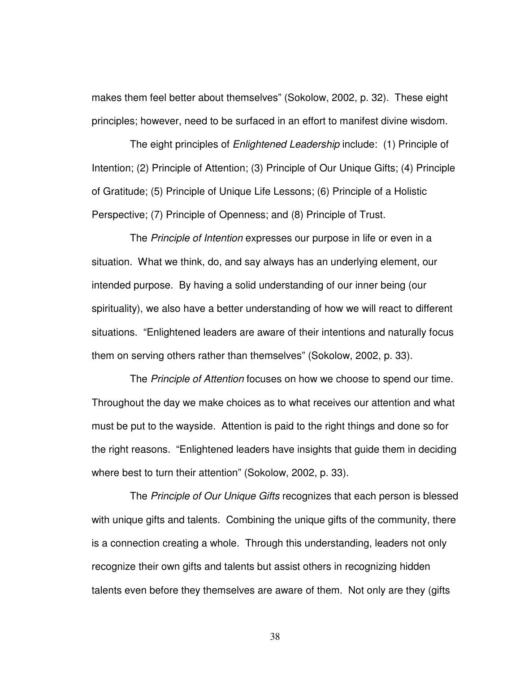makes them feel better about themselves" (Sokolow, 2002, p. 32). These eight principles; however, need to be surfaced in an effort to manifest divine wisdom.

The eight principles of *Enlightened Leadership* include: (1) Principle of Intention; (2) Principle of Attention; (3) Principle of Our Unique Gifts; (4) Principle of Gratitude; (5) Principle of Unique Life Lessons; (6) Principle of a Holistic Perspective; (7) Principle of Openness; and (8) Principle of Trust.

The Principle of Intention expresses our purpose in life or even in a situation. What we think, do, and say always has an underlying element, our intended purpose. By having a solid understanding of our inner being (our spirituality), we also have a better understanding of how we will react to different situations. "Enlightened leaders are aware of their intentions and naturally focus them on serving others rather than themselves" (Sokolow, 2002, p. 33).

The *Principle of Attention* focuses on how we choose to spend our time. Throughout the day we make choices as to what receives our attention and what must be put to the wayside. Attention is paid to the right things and done so for the right reasons. "Enlightened leaders have insights that guide them in deciding where best to turn their attention" (Sokolow, 2002, p. 33).

The Principle of Our Unique Gifts recognizes that each person is blessed with unique gifts and talents. Combining the unique gifts of the community, there is a connection creating a whole. Through this understanding, leaders not only recognize their own gifts and talents but assist others in recognizing hidden talents even before they themselves are aware of them. Not only are they (gifts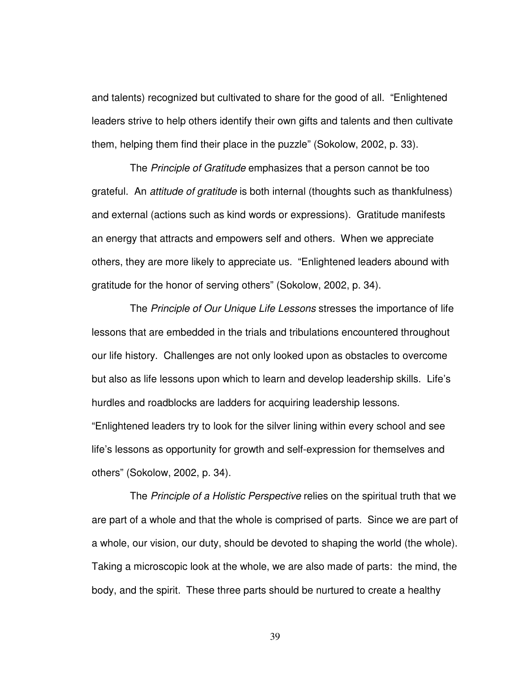and talents) recognized but cultivated to share for the good of all. "Enlightened leaders strive to help others identify their own gifts and talents and then cultivate them, helping them find their place in the puzzle" (Sokolow, 2002, p. 33).

The Principle of Gratitude emphasizes that a person cannot be too grateful. An attitude of gratitude is both internal (thoughts such as thankfulness) and external (actions such as kind words or expressions). Gratitude manifests an energy that attracts and empowers self and others. When we appreciate others, they are more likely to appreciate us. "Enlightened leaders abound with gratitude for the honor of serving others" (Sokolow, 2002, p. 34).

The Principle of Our Unique Life Lessons stresses the importance of life lessons that are embedded in the trials and tribulations encountered throughout our life history. Challenges are not only looked upon as obstacles to overcome but also as life lessons upon which to learn and develop leadership skills. Life's hurdles and roadblocks are ladders for acquiring leadership lessons. "Enlightened leaders try to look for the silver lining within every school and see

life's lessons as opportunity for growth and self-expression for themselves and others" (Sokolow, 2002, p. 34).

The Principle of a Holistic Perspective relies on the spiritual truth that we are part of a whole and that the whole is comprised of parts. Since we are part of a whole, our vision, our duty, should be devoted to shaping the world (the whole). Taking a microscopic look at the whole, we are also made of parts: the mind, the body, and the spirit. These three parts should be nurtured to create a healthy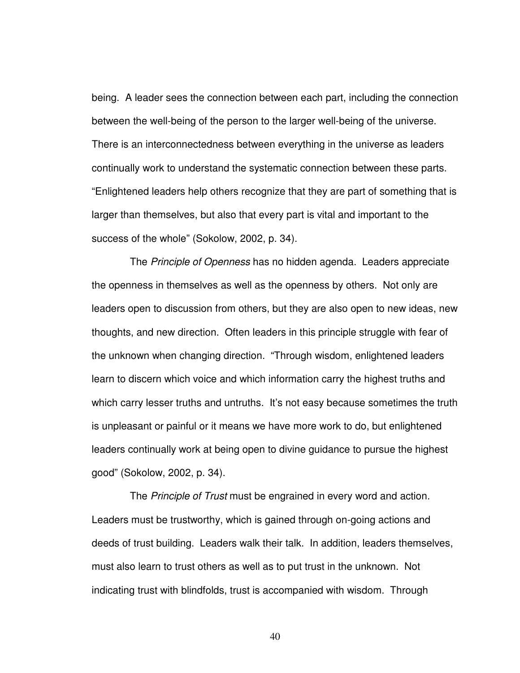being. A leader sees the connection between each part, including the connection between the well-being of the person to the larger well-being of the universe. There is an interconnectedness between everything in the universe as leaders continually work to understand the systematic connection between these parts. "Enlightened leaders help others recognize that they are part of something that is larger than themselves, but also that every part is vital and important to the success of the whole" (Sokolow, 2002, p. 34).

The Principle of Openness has no hidden agenda. Leaders appreciate the openness in themselves as well as the openness by others. Not only are leaders open to discussion from others, but they are also open to new ideas, new thoughts, and new direction. Often leaders in this principle struggle with fear of the unknown when changing direction. "Through wisdom, enlightened leaders learn to discern which voice and which information carry the highest truths and which carry lesser truths and untruths. It's not easy because sometimes the truth is unpleasant or painful or it means we have more work to do, but enlightened leaders continually work at being open to divine guidance to pursue the highest good" (Sokolow, 2002, p. 34).

The Principle of Trust must be engrained in every word and action. Leaders must be trustworthy, which is gained through on-going actions and deeds of trust building. Leaders walk their talk. In addition, leaders themselves, must also learn to trust others as well as to put trust in the unknown. Not indicating trust with blindfolds, trust is accompanied with wisdom. Through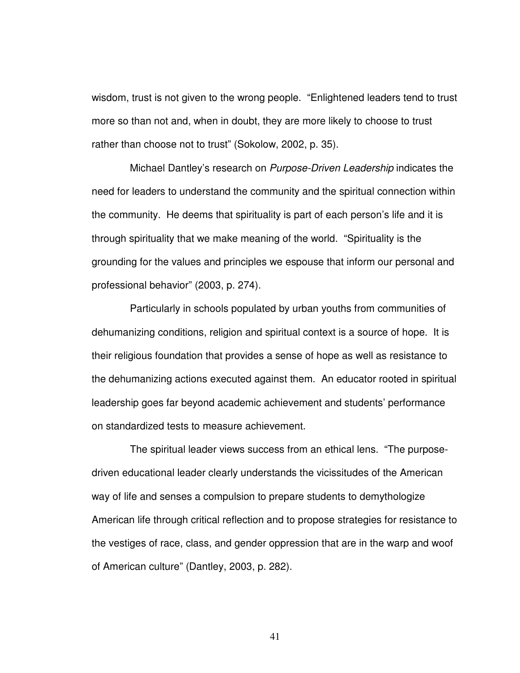wisdom, trust is not given to the wrong people. "Enlightened leaders tend to trust more so than not and, when in doubt, they are more likely to choose to trust rather than choose not to trust" (Sokolow, 2002, p. 35).

Michael Dantley's research on Purpose-Driven Leadership indicates the need for leaders to understand the community and the spiritual connection within the community. He deems that spirituality is part of each person's life and it is through spirituality that we make meaning of the world. "Spirituality is the grounding for the values and principles we espouse that inform our personal and professional behavior" (2003, p. 274).

 Particularly in schools populated by urban youths from communities of dehumanizing conditions, religion and spiritual context is a source of hope. It is their religious foundation that provides a sense of hope as well as resistance to the dehumanizing actions executed against them. An educator rooted in spiritual leadership goes far beyond academic achievement and students' performance on standardized tests to measure achievement.

 The spiritual leader views success from an ethical lens. "The purposedriven educational leader clearly understands the vicissitudes of the American way of life and senses a compulsion to prepare students to demythologize American life through critical reflection and to propose strategies for resistance to the vestiges of race, class, and gender oppression that are in the warp and woof of American culture" (Dantley, 2003, p. 282).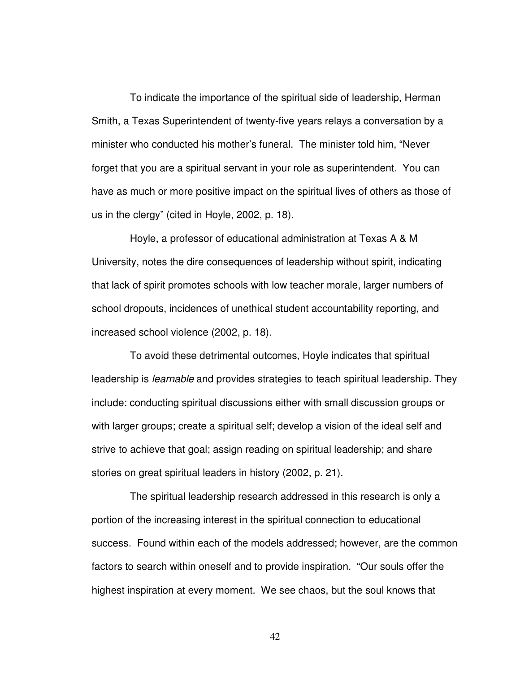To indicate the importance of the spiritual side of leadership, Herman Smith, a Texas Superintendent of twenty-five years relays a conversation by a minister who conducted his mother's funeral. The minister told him, "Never forget that you are a spiritual servant in your role as superintendent. You can have as much or more positive impact on the spiritual lives of others as those of us in the clergy" (cited in Hoyle, 2002, p. 18).

 Hoyle, a professor of educational administration at Texas A & M University, notes the dire consequences of leadership without spirit, indicating that lack of spirit promotes schools with low teacher morale, larger numbers of school dropouts, incidences of unethical student accountability reporting, and increased school violence (2002, p. 18).

 To avoid these detrimental outcomes, Hoyle indicates that spiritual leadership is *learnable* and provides strategies to teach spiritual leadership. They include: conducting spiritual discussions either with small discussion groups or with larger groups; create a spiritual self; develop a vision of the ideal self and strive to achieve that goal; assign reading on spiritual leadership; and share stories on great spiritual leaders in history (2002, p. 21).

 The spiritual leadership research addressed in this research is only a portion of the increasing interest in the spiritual connection to educational success. Found within each of the models addressed; however, are the common factors to search within oneself and to provide inspiration. "Our souls offer the highest inspiration at every moment. We see chaos, but the soul knows that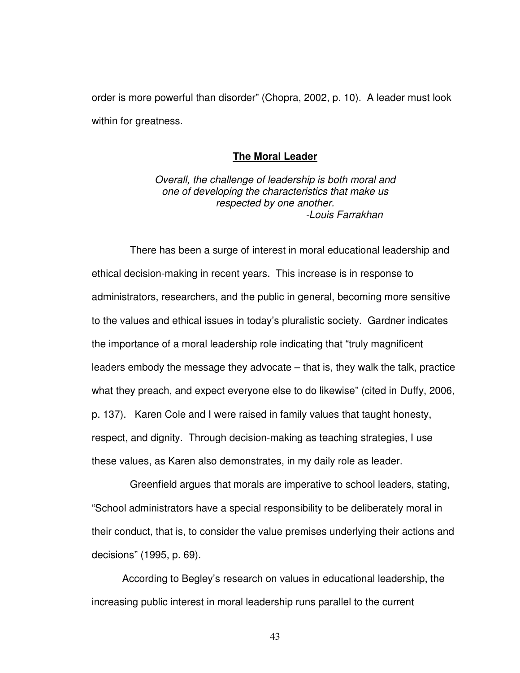order is more powerful than disorder" (Chopra, 2002, p. 10). A leader must look within for greatness.

### **The Moral Leader**

Overall, the challenge of leadership is both moral and one of developing the characteristics that make us respected by one another. -Louis Farrakhan

 There has been a surge of interest in moral educational leadership and ethical decision-making in recent years. This increase is in response to administrators, researchers, and the public in general, becoming more sensitive to the values and ethical issues in today's pluralistic society. Gardner indicates the importance of a moral leadership role indicating that "truly magnificent leaders embody the message they advocate – that is, they walk the talk, practice what they preach, and expect everyone else to do likewise" (cited in Duffy, 2006, p. 137). Karen Cole and I were raised in family values that taught honesty, respect, and dignity. Through decision-making as teaching strategies, I use these values, as Karen also demonstrates, in my daily role as leader.

 Greenfield argues that morals are imperative to school leaders, stating, "School administrators have a special responsibility to be deliberately moral in their conduct, that is, to consider the value premises underlying their actions and decisions" (1995, p. 69).

According to Begley's research on values in educational leadership, the increasing public interest in moral leadership runs parallel to the current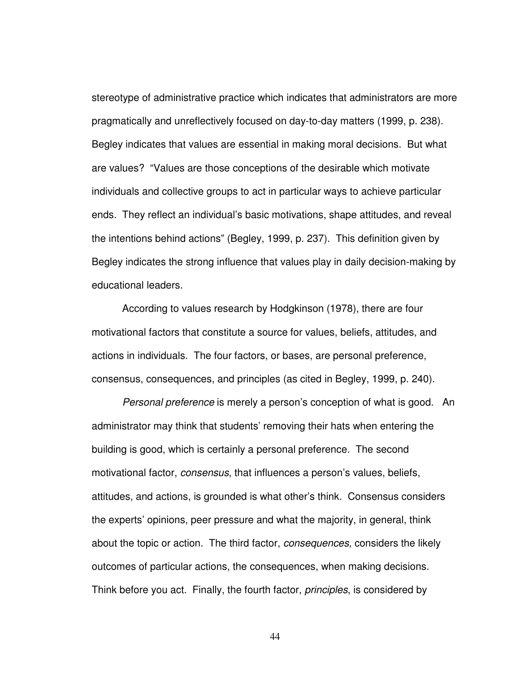stereotype of administrative practice which indicates that administrators are more pragmatically and unreflectively focused on day-to-day matters (1999, p. 238). Begley indicates that values are essential in making moral decisions. But what are values? "Values are those conceptions of the desirable which motivate individuals and collective groups to act in particular ways to achieve particular ends. They reflect an individual's basic motivations, shape attitudes, and reveal the intentions behind actions" (Begley, 1999, p. 237). This definition given by Begley indicates the strong influence that values play in daily decision-making by educational leaders.

According to values research by Hodgkinson (1978), there are four motivational factors that constitute a source for values, beliefs, attitudes, and actions in individuals. The four factors, or bases, are personal preference, consensus, consequences, and principles (as cited in Begley, 1999, p. 240).

Personal preference is merely a person's conception of what is good. An administrator may think that students' removing their hats when entering the building is good, which is certainly a personal preference. The second motivational factor, consensus, that influences a person's values, beliefs, attitudes, and actions, is grounded is what other's think. Consensus considers the experts' opinions, peer pressure and what the majority, in general, think about the topic or action. The third factor, *consequences*, considers the likely outcomes of particular actions, the consequences, when making decisions. Think before you act. Finally, the fourth factor, *principles*, is considered by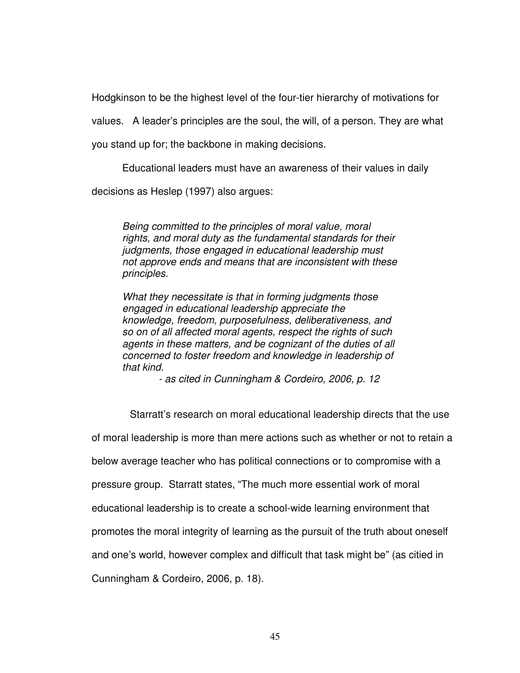Hodgkinson to be the highest level of the four-tier hierarchy of motivations for

values. A leader's principles are the soul, the will, of a person. They are what

you stand up for; the backbone in making decisions.

Educational leaders must have an awareness of their values in daily

decisions as Heslep (1997) also argues:

Being committed to the principles of moral value, moral rights, and moral duty as the fundamental standards for their judgments, those engaged in educational leadership must not approve ends and means that are inconsistent with these principles.

What they necessitate is that in forming judgments those engaged in educational leadership appreciate the knowledge, freedom, purposefulness, deliberativeness, and so on of all affected moral agents, respect the rights of such agents in these matters, and be cognizant of the duties of all concerned to foster freedom and knowledge in leadership of that kind.

- as cited in Cunningham & Cordeiro, 2006, p. 12

 Starratt's research on moral educational leadership directs that the use of moral leadership is more than mere actions such as whether or not to retain a below average teacher who has political connections or to compromise with a pressure group. Starratt states, "The much more essential work of moral educational leadership is to create a school-wide learning environment that

promotes the moral integrity of learning as the pursuit of the truth about oneself

and one's world, however complex and difficult that task might be" (as citied in

Cunningham & Cordeiro, 2006, p. 18).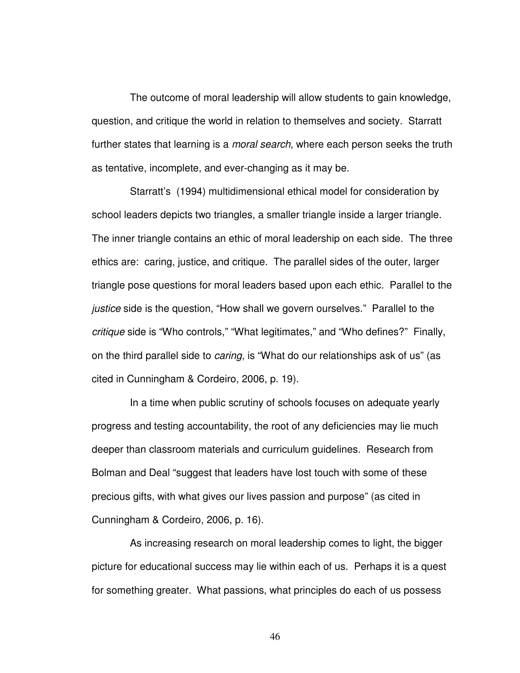The outcome of moral leadership will allow students to gain knowledge, question, and critique the world in relation to themselves and society. Starratt further states that learning is a *moral search*, where each person seeks the truth as tentative, incomplete, and ever-changing as it may be.

 Starratt's (1994) multidimensional ethical model for consideration by school leaders depicts two triangles, a smaller triangle inside a larger triangle. The inner triangle contains an ethic of moral leadership on each side. The three ethics are: caring, justice, and critique. The parallel sides of the outer, larger triangle pose questions for moral leaders based upon each ethic. Parallel to the justice side is the question, "How shall we govern ourselves." Parallel to the critique side is "Who controls," "What legitimates," and "Who defines?" Finally, on the third parallel side to caring, is "What do our relationships ask of us" (as cited in Cunningham & Cordeiro, 2006, p. 19).

 In a time when public scrutiny of schools focuses on adequate yearly progress and testing accountability, the root of any deficiencies may lie much deeper than classroom materials and curriculum guidelines. Research from Bolman and Deal "suggest that leaders have lost touch with some of these precious gifts, with what gives our lives passion and purpose" (as cited in Cunningham & Cordeiro, 2006, p. 16).

 As increasing research on moral leadership comes to light, the bigger picture for educational success may lie within each of us. Perhaps it is a quest for something greater. What passions, what principles do each of us possess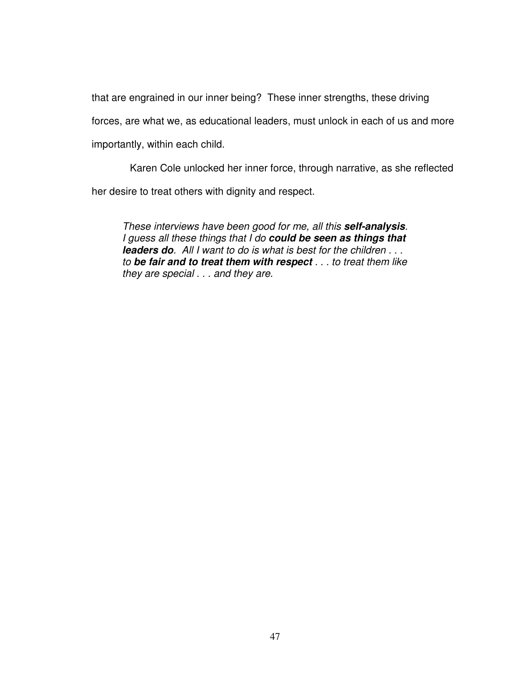that are engrained in our inner being? These inner strengths, these driving

forces, are what we, as educational leaders, must unlock in each of us and more

importantly, within each child.

Karen Cole unlocked her inner force, through narrative, as she reflected

her desire to treat others with dignity and respect.

These interviews have been good for me, all this **self-analysis**. I guess all these things that I do **could be seen as things that leaders do**. All I want to do is what is best for the children . . . to **be fair and to treat them with respect** . . . to treat them like they are special . . . and they are.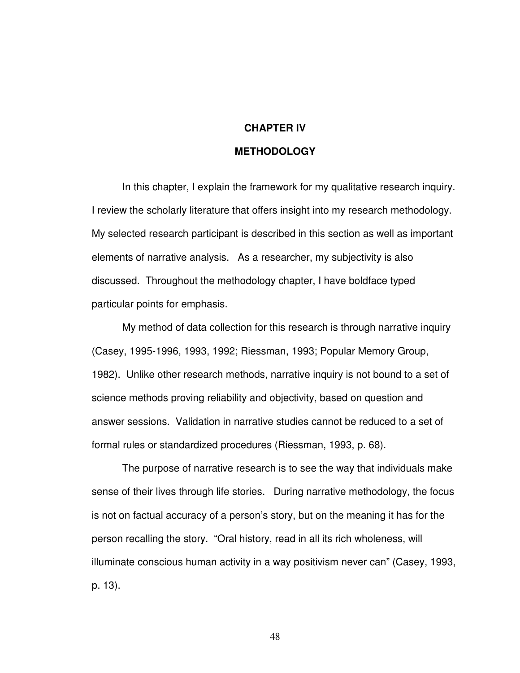# **CHAPTER IV METHODOLOGY**

In this chapter, I explain the framework for my qualitative research inquiry. I review the scholarly literature that offers insight into my research methodology. My selected research participant is described in this section as well as important elements of narrative analysis. As a researcher, my subjectivity is also discussed. Throughout the methodology chapter, I have boldface typed particular points for emphasis.

 My method of data collection for this research is through narrative inquiry (Casey, 1995-1996, 1993, 1992; Riessman, 1993; Popular Memory Group, 1982). Unlike other research methods, narrative inquiry is not bound to a set of science methods proving reliability and objectivity, based on question and answer sessions. Validation in narrative studies cannot be reduced to a set of formal rules or standardized procedures (Riessman, 1993, p. 68).

 The purpose of narrative research is to see the way that individuals make sense of their lives through life stories. During narrative methodology, the focus is not on factual accuracy of a person's story, but on the meaning it has for the person recalling the story. "Oral history, read in all its rich wholeness, will illuminate conscious human activity in a way positivism never can" (Casey, 1993, p. 13).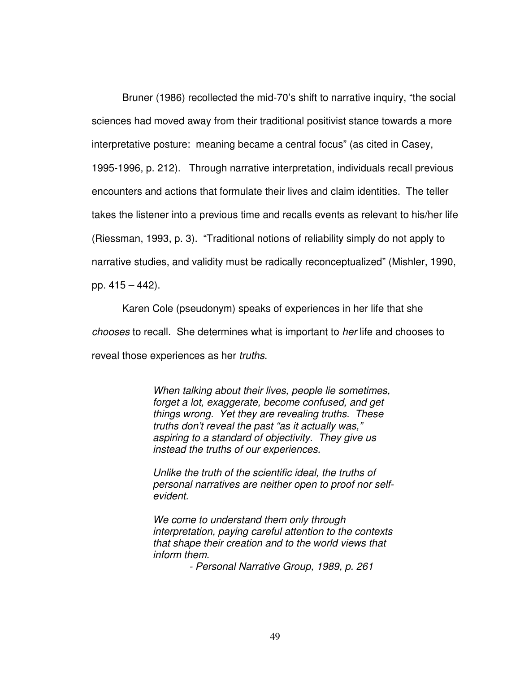Bruner (1986) recollected the mid-70's shift to narrative inquiry, "the social sciences had moved away from their traditional positivist stance towards a more interpretative posture: meaning became a central focus" (as cited in Casey, 1995-1996, p. 212). Through narrative interpretation, individuals recall previous encounters and actions that formulate their lives and claim identities. The teller takes the listener into a previous time and recalls events as relevant to his/her life (Riessman, 1993, p. 3). "Traditional notions of reliability simply do not apply to narrative studies, and validity must be radically reconceptualized" (Mishler, 1990, pp. 415 – 442).

 Karen Cole (pseudonym) speaks of experiences in her life that she chooses to recall. She determines what is important to her life and chooses to reveal those experiences as her *truths*.

> When talking about their lives, people lie sometimes, forget a lot, exaggerate, become confused, and get things wrong. Yet they are revealing truths. These truths don't reveal the past "as it actually was," aspiring to a standard of objectivity. They give us instead the truths of our experiences.

Unlike the truth of the scientific ideal, the truths of personal narratives are neither open to proof nor selfevident.

We come to understand them only through interpretation, paying careful attention to the contexts that shape their creation and to the world views that inform them.

- Personal Narrative Group, 1989, p. 261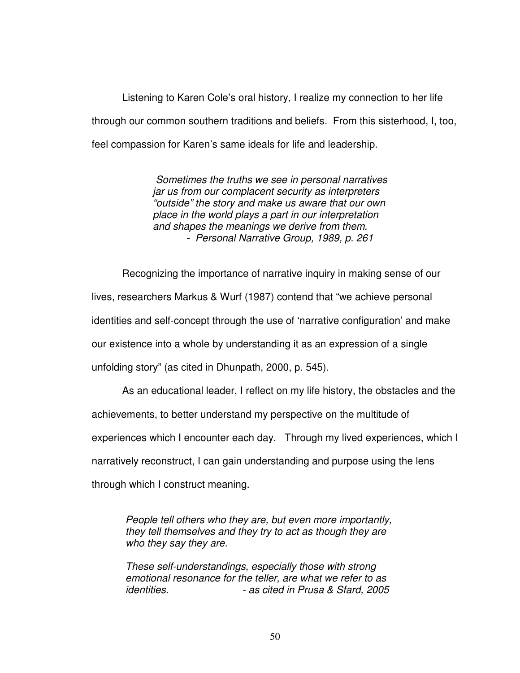Listening to Karen Cole's oral history, I realize my connection to her life through our common southern traditions and beliefs. From this sisterhood, I, too, feel compassion for Karen's same ideals for life and leadership.

> Sometimes the truths we see in personal narratives jar us from our complacent security as interpreters "outside" the story and make us aware that our own place in the world plays a part in our interpretation and shapes the meanings we derive from them. - Personal Narrative Group, 1989, p. 261

Recognizing the importance of narrative inquiry in making sense of our

lives, researchers Markus & Wurf (1987) contend that "we achieve personal

identities and self-concept through the use of 'narrative configuration' and make

our existence into a whole by understanding it as an expression of a single

unfolding story" (as cited in Dhunpath, 2000, p. 545).

As an educational leader, I reflect on my life history, the obstacles and the

achievements, to better understand my perspective on the multitude of

experiences which I encounter each day. Through my lived experiences, which I

narratively reconstruct, I can gain understanding and purpose using the lens

through which I construct meaning.

People tell others who they are, but even more importantly, they tell themselves and they try to act as though they are who they say they are.

These self-understandings, especially those with strong emotional resonance for the teller, are what we refer to as identities. The sected in Prusa & Stard, 2005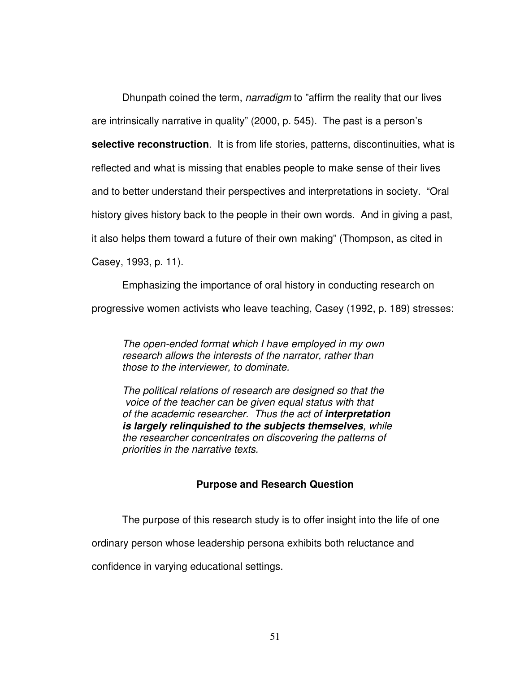Dhunpath coined the term, narradigm to "affirm the reality that our lives are intrinsically narrative in quality" (2000, p. 545). The past is a person's **selective reconstruction**. It is from life stories, patterns, discontinuities, what is reflected and what is missing that enables people to make sense of their lives and to better understand their perspectives and interpretations in society. "Oral history gives history back to the people in their own words. And in giving a past, it also helps them toward a future of their own making" (Thompson, as cited in Casey, 1993, p. 11).

 Emphasizing the importance of oral history in conducting research on progressive women activists who leave teaching, Casey (1992, p. 189) stresses:

The open-ended format which I have employed in my own research allows the interests of the narrator, rather than those to the interviewer, to dominate.

The political relations of research are designed so that the voice of the teacher can be given equal status with that of the academic researcher. Thus the act of **interpretation is largely relinquished to the subjects themselves**, while the researcher concentrates on discovering the patterns of priorities in the narrative texts.

### **Purpose and Research Question**

The purpose of this research study is to offer insight into the life of one

ordinary person whose leadership persona exhibits both reluctance and

confidence in varying educational settings.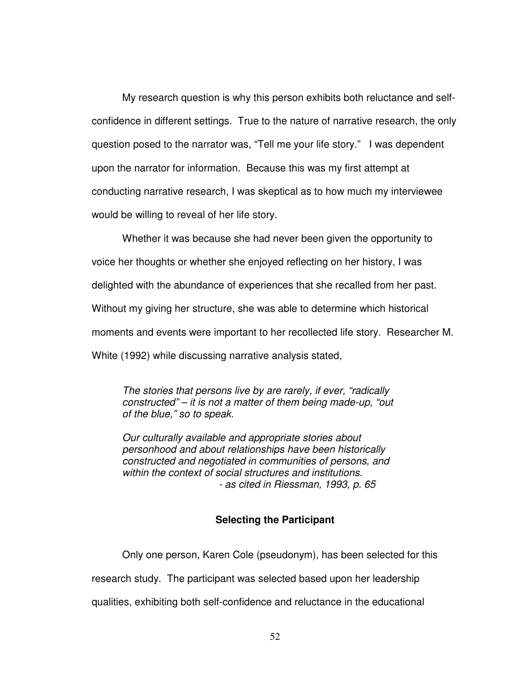My research question is why this person exhibits both reluctance and selfconfidence in different settings. True to the nature of narrative research, the only question posed to the narrator was, "Tell me your life story." I was dependent upon the narrator for information. Because this was my first attempt at conducting narrative research, I was skeptical as to how much my interviewee would be willing to reveal of her life story.

Whether it was because she had never been given the opportunity to voice her thoughts or whether she enjoyed reflecting on her history, I was delighted with the abundance of experiences that she recalled from her past. Without my giving her structure, she was able to determine which historical moments and events were important to her recollected life story. Researcher M. White (1992) while discussing narrative analysis stated,

The stories that persons live by are rarely, if ever, "radically constructed" – it is not a matter of them being made-up, "out of the blue," so to speak.

Our culturally available and appropriate stories about personhood and about relationships have been historically constructed and negotiated in communities of persons, and within the context of social structures and institutions. - as cited in Riessman, 1993, p. 65

### **Selecting the Participant**

Only one person, Karen Cole (pseudonym), has been selected for this

research study. The participant was selected based upon her leadership

qualities, exhibiting both self-confidence and reluctance in the educational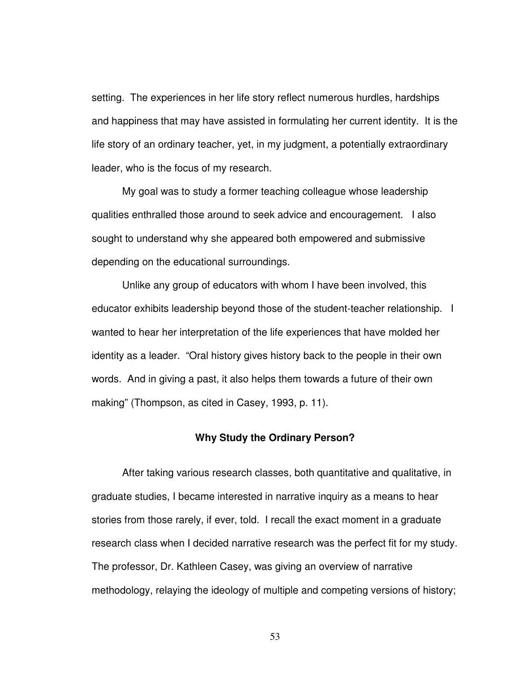setting. The experiences in her life story reflect numerous hurdles, hardships and happiness that may have assisted in formulating her current identity. It is the life story of an ordinary teacher, yet, in my judgment, a potentially extraordinary leader, who is the focus of my research.

My goal was to study a former teaching colleague whose leadership qualities enthralled those around to seek advice and encouragement. I also sought to understand why she appeared both empowered and submissive depending on the educational surroundings.

Unlike any group of educators with whom I have been involved, this educator exhibits leadership beyond those of the student-teacher relationship. I wanted to hear her interpretation of the life experiences that have molded her identity as a leader. "Oral history gives history back to the people in their own words. And in giving a past, it also helps them towards a future of their own making" (Thompson, as cited in Casey, 1993, p. 11).

### **Why Study the Ordinary Person?**

After taking various research classes, both quantitative and qualitative, in graduate studies, I became interested in narrative inquiry as a means to hear stories from those rarely, if ever, told. I recall the exact moment in a graduate research class when I decided narrative research was the perfect fit for my study. The professor, Dr. Kathleen Casey, was giving an overview of narrative methodology, relaying the ideology of multiple and competing versions of history;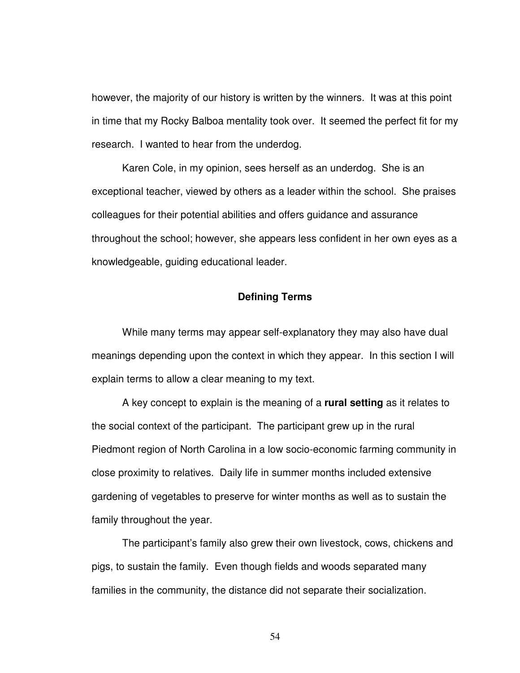however, the majority of our history is written by the winners. It was at this point in time that my Rocky Balboa mentality took over. It seemed the perfect fit for my research. I wanted to hear from the underdog.

Karen Cole, in my opinion, sees herself as an underdog. She is an exceptional teacher, viewed by others as a leader within the school. She praises colleagues for their potential abilities and offers guidance and assurance throughout the school; however, she appears less confident in her own eyes as a knowledgeable, guiding educational leader.

### **Defining Terms**

While many terms may appear self-explanatory they may also have dual meanings depending upon the context in which they appear. In this section I will explain terms to allow a clear meaning to my text.

 A key concept to explain is the meaning of a **rural setting** as it relates to the social context of the participant. The participant grew up in the rural Piedmont region of North Carolina in a low socio-economic farming community in close proximity to relatives. Daily life in summer months included extensive gardening of vegetables to preserve for winter months as well as to sustain the family throughout the year.

 The participant's family also grew their own livestock, cows, chickens and pigs, to sustain the family. Even though fields and woods separated many families in the community, the distance did not separate their socialization.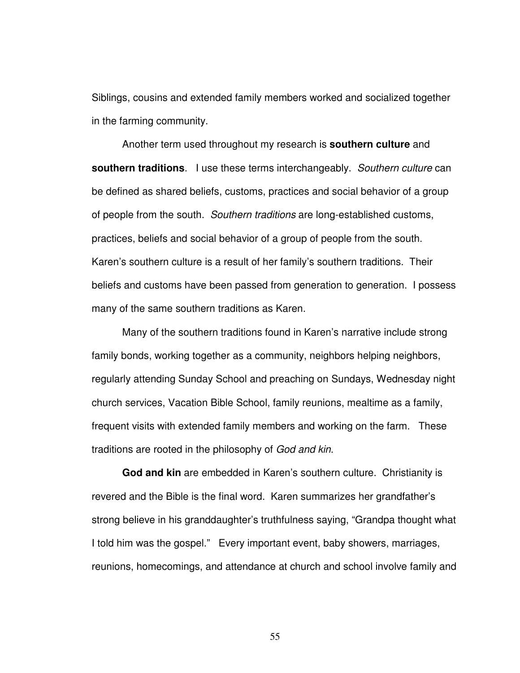Siblings, cousins and extended family members worked and socialized together in the farming community.

 Another term used throughout my research is **southern culture** and **southern traditions**. I use these terms interchangeably. Southern culture can be defined as shared beliefs, customs, practices and social behavior of a group of people from the south. Southern traditions are long-established customs, practices, beliefs and social behavior of a group of people from the south. Karen's southern culture is a result of her family's southern traditions. Their beliefs and customs have been passed from generation to generation. I possess many of the same southern traditions as Karen.

 Many of the southern traditions found in Karen's narrative include strong family bonds, working together as a community, neighbors helping neighbors, regularly attending Sunday School and preaching on Sundays, Wednesday night church services, Vacation Bible School, family reunions, mealtime as a family, frequent visits with extended family members and working on the farm. These traditions are rooted in the philosophy of God and kin.

 **God and kin** are embedded in Karen's southern culture. Christianity is revered and the Bible is the final word. Karen summarizes her grandfather's strong believe in his granddaughter's truthfulness saying, "Grandpa thought what I told him was the gospel." Every important event, baby showers, marriages, reunions, homecomings, and attendance at church and school involve family and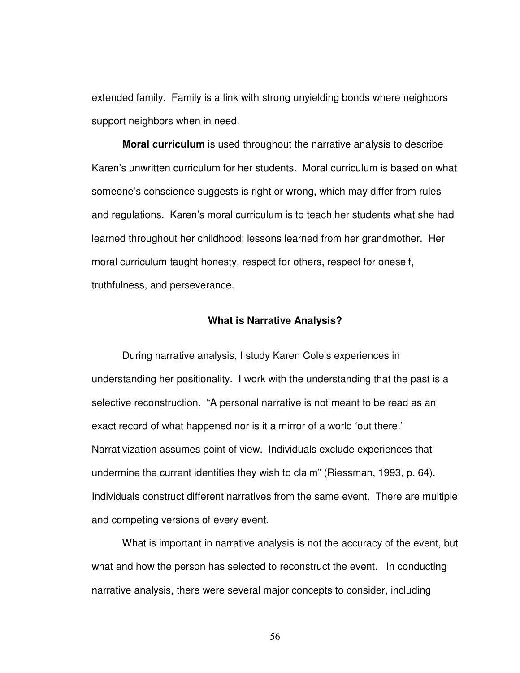extended family. Family is a link with strong unyielding bonds where neighbors support neighbors when in need.

 **Moral curriculum** is used throughout the narrative analysis to describe Karen's unwritten curriculum for her students. Moral curriculum is based on what someone's conscience suggests is right or wrong, which may differ from rules and regulations. Karen's moral curriculum is to teach her students what she had learned throughout her childhood; lessons learned from her grandmother. Her moral curriculum taught honesty, respect for others, respect for oneself, truthfulness, and perseverance.

#### **What is Narrative Analysis?**

 During narrative analysis, I study Karen Cole's experiences in understanding her positionality. I work with the understanding that the past is a selective reconstruction. "A personal narrative is not meant to be read as an exact record of what happened nor is it a mirror of a world 'out there.' Narrativization assumes point of view. Individuals exclude experiences that undermine the current identities they wish to claim" (Riessman, 1993, p. 64). Individuals construct different narratives from the same event. There are multiple and competing versions of every event.

 What is important in narrative analysis is not the accuracy of the event, but what and how the person has selected to reconstruct the event. In conducting narrative analysis, there were several major concepts to consider, including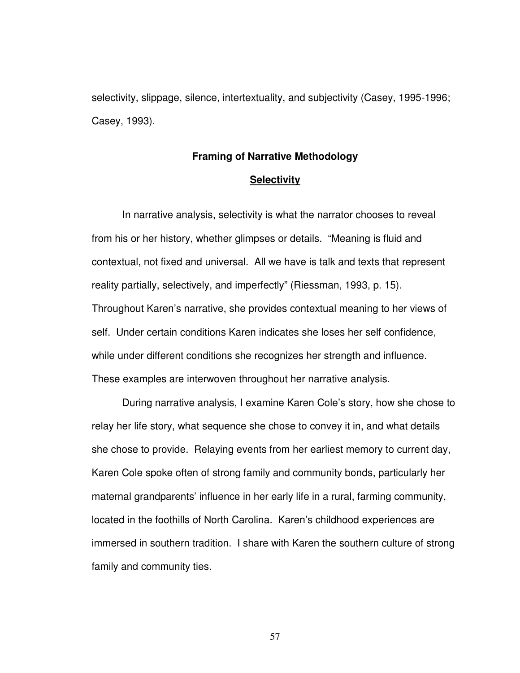selectivity, slippage, silence, intertextuality, and subjectivity (Casey, 1995-1996; Casey, 1993).

# **Framing of Narrative Methodology**

### **Selectivity**

In narrative analysis, selectivity is what the narrator chooses to reveal from his or her history, whether glimpses or details. "Meaning is fluid and contextual, not fixed and universal. All we have is talk and texts that represent reality partially, selectively, and imperfectly" (Riessman, 1993, p. 15). Throughout Karen's narrative, she provides contextual meaning to her views of self. Under certain conditions Karen indicates she loses her self confidence, while under different conditions she recognizes her strength and influence. These examples are interwoven throughout her narrative analysis.

During narrative analysis, I examine Karen Cole's story, how she chose to relay her life story, what sequence she chose to convey it in, and what details she chose to provide. Relaying events from her earliest memory to current day, Karen Cole spoke often of strong family and community bonds, particularly her maternal grandparents' influence in her early life in a rural, farming community, located in the foothills of North Carolina. Karen's childhood experiences are immersed in southern tradition. I share with Karen the southern culture of strong family and community ties.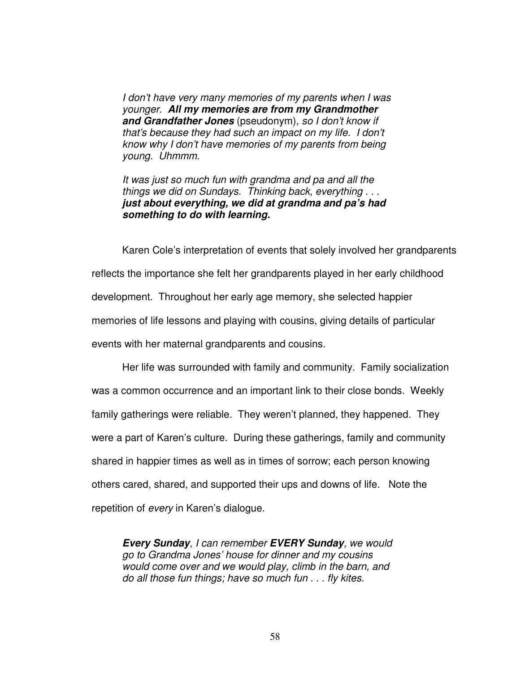I don't have very many memories of my parents when I was younger. **All my memories are from my Grandmother and Grandfather Jones** (pseudonym), so I don't know if that's because they had such an impact on my life. I don't know why I don't have memories of my parents from being young. Uhmmm.

It was just so much fun with grandma and pa and all the things we did on Sundays. Thinking back, everything . . . **just about everything, we did at grandma and pa's had something to do with learning.**

 Karen Cole's interpretation of events that solely involved her grandparents reflects the importance she felt her grandparents played in her early childhood development. Throughout her early age memory, she selected happier memories of life lessons and playing with cousins, giving details of particular events with her maternal grandparents and cousins.

 Her life was surrounded with family and community. Family socialization was a common occurrence and an important link to their close bonds. Weekly family gatherings were reliable. They weren't planned, they happened. They were a part of Karen's culture. During these gatherings, family and community shared in happier times as well as in times of sorrow; each person knowing others cared, shared, and supported their ups and downs of life. Note the repetition of every in Karen's dialogue.

**Every Sunday**, I can remember **EVERY Sunday**, we would go to Grandma Jones' house for dinner and my cousins would come over and we would play, climb in the barn, and do all those fun things; have so much fun . . . fly kites.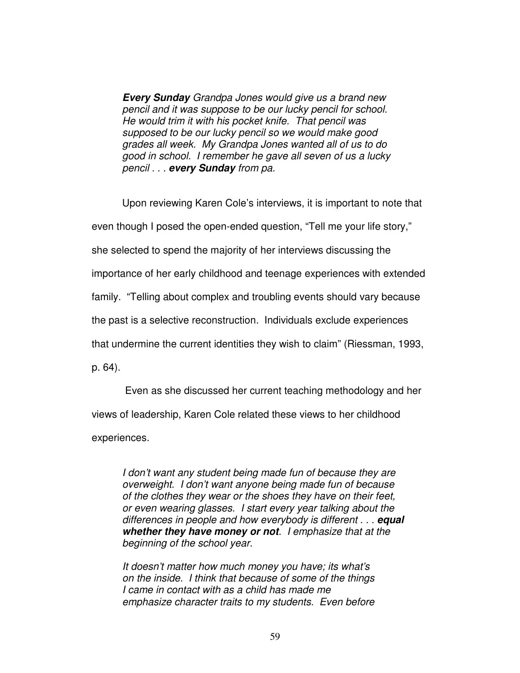**Every Sunday** Grandpa Jones would give us a brand new pencil and it was suppose to be our lucky pencil for school. He would trim it with his pocket knife. That pencil was supposed to be our lucky pencil so we would make good grades all week. My Grandpa Jones wanted all of us to do good in school. I remember he gave all seven of us a lucky pencil . . . **every Sunday** from pa.

 Upon reviewing Karen Cole's interviews, it is important to note that even though I posed the open-ended question, "Tell me your life story," she selected to spend the majority of her interviews discussing the importance of her early childhood and teenage experiences with extended family. "Telling about complex and troubling events should vary because the past is a selective reconstruction. Individuals exclude experiences that undermine the current identities they wish to claim" (Riessman, 1993, p. 64).

 Even as she discussed her current teaching methodology and her views of leadership, Karen Cole related these views to her childhood experiences.

I don't want any student being made fun of because they are overweight. I don't want anyone being made fun of because of the clothes they wear or the shoes they have on their feet, or even wearing glasses. I start every year talking about the differences in people and how everybody is different . . . **equal whether they have money or not**. I emphasize that at the beginning of the school year.

It doesn't matter how much money you have; its what's on the inside. I think that because of some of the things I came in contact with as a child has made me emphasize character traits to my students. Even before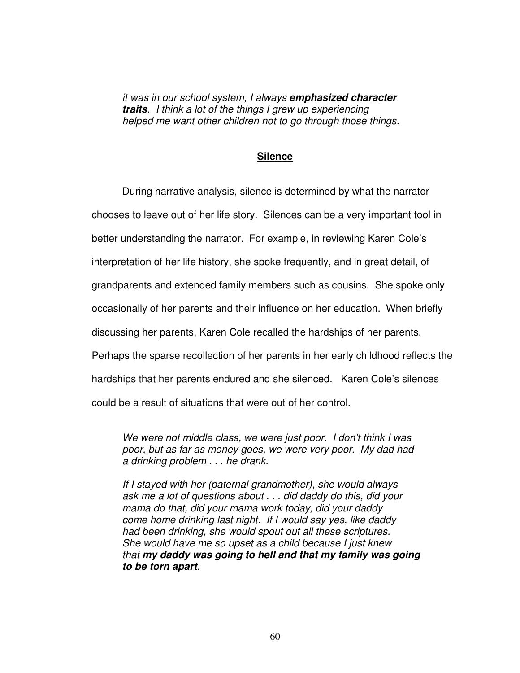it was in our school system, I always **emphasized character traits**. I think a lot of the things I grew up experiencing helped me want other children not to go through those things.

# **Silence**

During narrative analysis, silence is determined by what the narrator

chooses to leave out of her life story. Silences can be a very important tool in

better understanding the narrator. For example, in reviewing Karen Cole's

interpretation of her life history, she spoke frequently, and in great detail, of

grandparents and extended family members such as cousins. She spoke only

occasionally of her parents and their influence on her education. When briefly

discussing her parents, Karen Cole recalled the hardships of her parents.

Perhaps the sparse recollection of her parents in her early childhood reflects the

hardships that her parents endured and she silenced. Karen Cole's silences

could be a result of situations that were out of her control.

We were not middle class, we were just poor. I don't think I was poor, but as far as money goes, we were very poor. My dad had a drinking problem . . . he drank.

If I stayed with her (paternal grandmother), she would always ask me a lot of questions about . . . did daddy do this, did your mama do that, did your mama work today, did your daddy come home drinking last night. If I would say yes, like daddy had been drinking, she would spout out all these scriptures. She would have me so upset as a child because I just knew that **my daddy was going to hell and that my family was going to be torn apart**.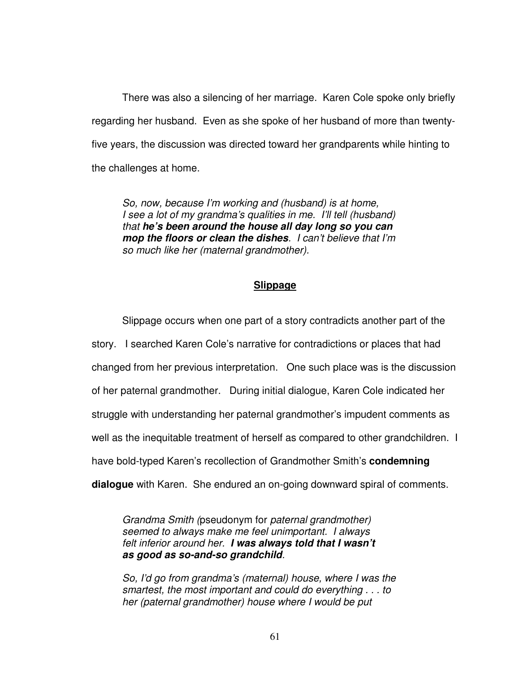There was also a silencing of her marriage. Karen Cole spoke only briefly regarding her husband. Even as she spoke of her husband of more than twentyfive years, the discussion was directed toward her grandparents while hinting to the challenges at home.

So, now, because I'm working and (husband) is at home, I see a lot of my grandma's qualities in me. I'll tell (husband) that **he's been around the house all day long so you can mop the floors or clean the dishes**. I can't believe that I'm so much like her (maternal grandmother).

# **Slippage**

Slippage occurs when one part of a story contradicts another part of the story. I searched Karen Cole's narrative for contradictions or places that had changed from her previous interpretation. One such place was is the discussion of her paternal grandmother. During initial dialogue, Karen Cole indicated her struggle with understanding her paternal grandmother's impudent comments as well as the inequitable treatment of herself as compared to other grandchildren. I have bold-typed Karen's recollection of Grandmother Smith's **condemning dialogue** with Karen. She endured an on-going downward spiral of comments.

Grandma Smith (pseudonym for paternal grandmother) seemed to always make me feel unimportant. I always felt inferior around her. **I was always told that I wasn't as good as so-and-so grandchild**.

So, I'd go from grandma's (maternal) house, where I was the smartest, the most important and could do everything . . . to her (paternal grandmother) house where I would be put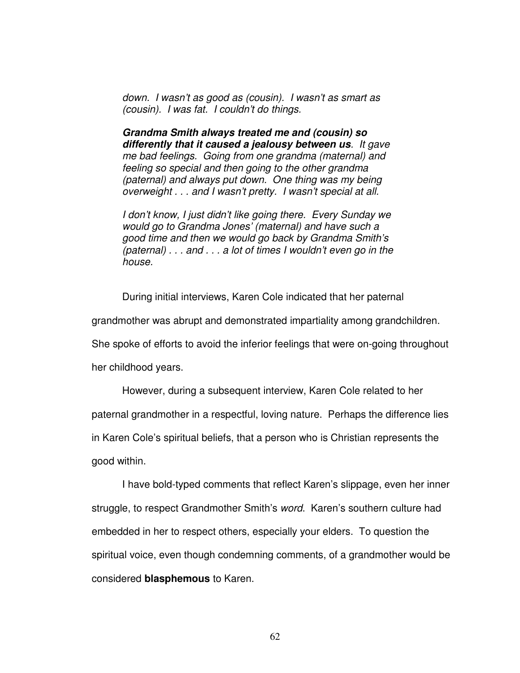down. I wasn't as good as (cousin). I wasn't as smart as (cousin). I was fat. I couldn't do things.

**Grandma Smith always treated me and (cousin) so differently that it caused a jealousy between us**. It gave me bad feelings. Going from one grandma (maternal) and feeling so special and then going to the other grandma (paternal) and always put down. One thing was my being overweight . . . and I wasn't pretty. I wasn't special at all.

I don't know, I just didn't like going there. Every Sunday we would go to Grandma Jones' (maternal) and have such a good time and then we would go back by Grandma Smith's (paternal)  $\ldots$  and  $\ldots$  a lot of times I wouldn't even go in the house.

During initial interviews, Karen Cole indicated that her paternal

grandmother was abrupt and demonstrated impartiality among grandchildren.

She spoke of efforts to avoid the inferior feelings that were on-going throughout

her childhood years.

However, during a subsequent interview, Karen Cole related to her

paternal grandmother in a respectful, loving nature. Perhaps the difference lies

in Karen Cole's spiritual beliefs, that a person who is Christian represents the good within.

 I have bold-typed comments that reflect Karen's slippage, even her inner struggle, to respect Grandmother Smith's word. Karen's southern culture had embedded in her to respect others, especially your elders. To question the spiritual voice, even though condemning comments, of a grandmother would be considered **blasphemous** to Karen.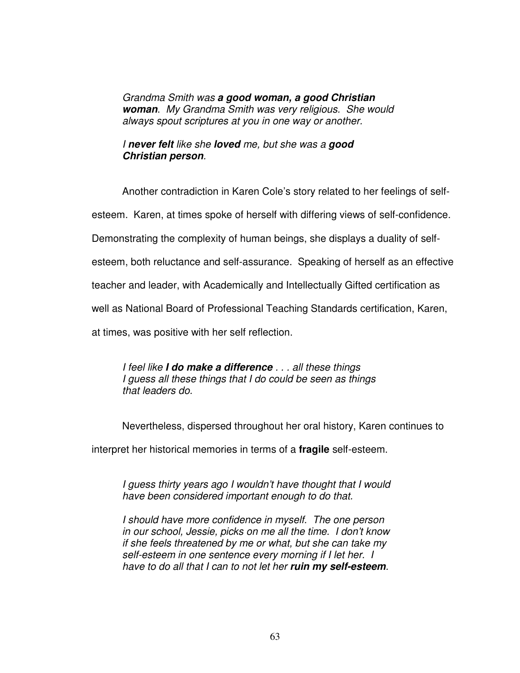Grandma Smith was **a good woman, a good Christian woman**. My Grandma Smith was very religious. She would always spout scriptures at you in one way or another.

### I **never felt** like she **loved** me, but she was a **good Christian person**.

Another contradiction in Karen Cole's story related to her feelings of self-

esteem. Karen, at times spoke of herself with differing views of self-confidence.

Demonstrating the complexity of human beings, she displays a duality of self-

esteem, both reluctance and self-assurance. Speaking of herself as an effective

teacher and leader, with Academically and Intellectually Gifted certification as

well as National Board of Professional Teaching Standards certification, Karen,

at times, was positive with her self reflection.

I feel like **I do make a difference** . . . all these things I guess all these things that I do could be seen as things that leaders do.

Nevertheless, dispersed throughout her oral history, Karen continues to

interpret her historical memories in terms of a **fragile** self-esteem.

I guess thirty years ago I wouldn't have thought that I would have been considered important enough to do that.

 I should have more confidence in myself. The one person in our school, Jessie, picks on me all the time. I don't know if she feels threatened by me or what, but she can take my self-esteem in one sentence every morning if I let her. I have to do all that I can to not let her **ruin my self-esteem**.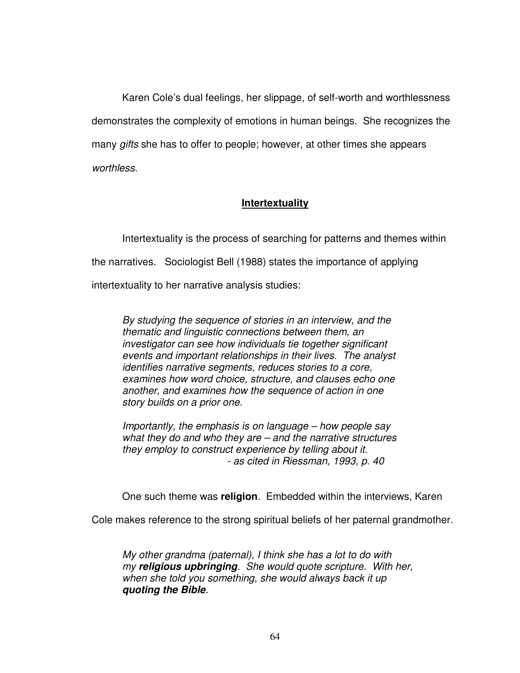Karen Cole's dual feelings, her slippage, of self-worth and worthlessness demonstrates the complexity of emotions in human beings. She recognizes the many *gifts* she has to offer to people; however, at other times she appears worthless.

### **Intertextuality**

Intertextuality is the process of searching for patterns and themes within the narratives. Sociologist Bell (1988) states the importance of applying intertextuality to her narrative analysis studies:

By studying the sequence of stories in an interview, and the thematic and linguistic connections between them, an investigator can see how individuals tie together significant events and important relationships in their lives. The analyst identifies narrative segments, reduces stories to a core, examines how word choice, structure, and clauses echo one another, and examines how the sequence of action in one story builds on a prior one.

Importantly, the emphasis is on language – how people say what they do and who they are – and the narrative structures they employ to construct experience by telling about it. - as cited in Riessman, 1993, p. 40

One such theme was **religion**. Embedded within the interviews, Karen

Cole makes reference to the strong spiritual beliefs of her paternal grandmother.

My other grandma (paternal), I think she has a lot to do with my **religious upbringing**. She would quote scripture. With her, when she told you something, she would always back it up **quoting the Bible**.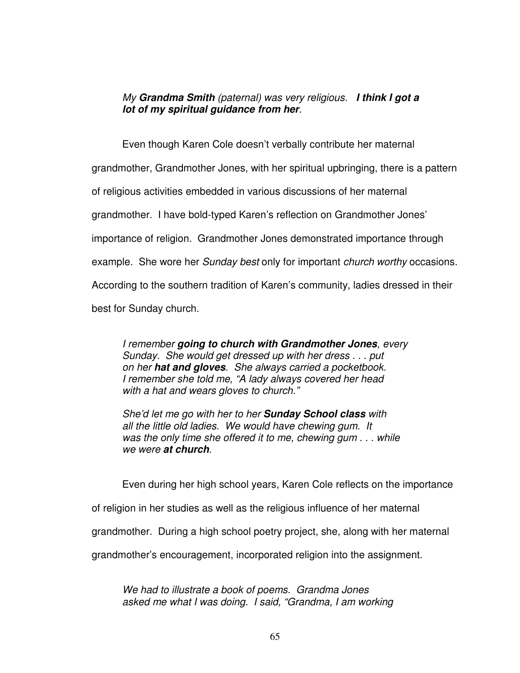# My **Grandma Smith** (paternal) was very religious. **I think I got a lot of my spiritual guidance from her**.

Even though Karen Cole doesn't verbally contribute her maternal

grandmother, Grandmother Jones, with her spiritual upbringing, there is a pattern

of religious activities embedded in various discussions of her maternal

grandmother. I have bold-typed Karen's reflection on Grandmother Jones'

importance of religion. Grandmother Jones demonstrated importance through

example. She wore her Sunday best only for important church worthy occasions.

According to the southern tradition of Karen's community, ladies dressed in their

best for Sunday church.

I remember **going to church with Grandmother Jones**, every Sunday. She would get dressed up with her dress . . . put on her **hat and gloves**. She always carried a pocketbook. I remember she told me, "A lady always covered her head with a hat and wears gloves to church."

She'd let me go with her to her **Sunday School class** with all the little old ladies. We would have chewing gum. It was the only time she offered it to me, chewing gum . . . while we were **at church**.

Even during her high school years, Karen Cole reflects on the importance

of religion in her studies as well as the religious influence of her maternal

grandmother. During a high school poetry project, she, along with her maternal

grandmother's encouragement, incorporated religion into the assignment.

We had to illustrate a book of poems. Grandma Jones asked me what I was doing. I said, "Grandma, I am working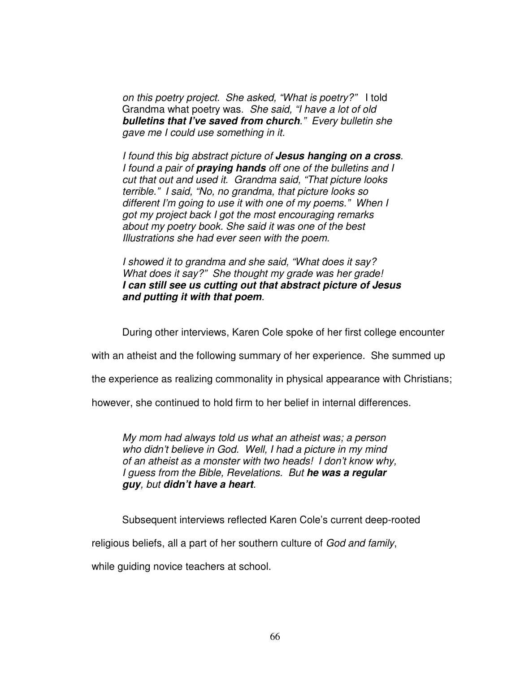on this poetry project. She asked, "What is poetry?" I told Grandma what poetry was. She said, "I have a lot of old **bulletins that I've saved from church**." Every bulletin she gave me I could use something in it.

I found this big abstract picture of **Jesus hanging on a cross**. I found a pair of **praying hands** off one of the bulletins and I cut that out and used it. Grandma said, "That picture looks terrible." I said, "No, no grandma, that picture looks so different I'm going to use it with one of my poems." When I got my project back I got the most encouraging remarks about my poetry book. She said it was one of the best Illustrations she had ever seen with the poem.

I showed it to grandma and she said, "What does it say? What does it say?" She thought my grade was her grade! **I can still see us cutting out that abstract picture of Jesus and putting it with that poem**.

During other interviews, Karen Cole spoke of her first college encounter

with an atheist and the following summary of her experience. She summed up

the experience as realizing commonality in physical appearance with Christians;

however, she continued to hold firm to her belief in internal differences.

My mom had always told us what an atheist was; a person who didn't believe in God. Well, I had a picture in my mind of an atheist as a monster with two heads! I don't know why, I guess from the Bible, Revelations. But **he was a regular guy**, but **didn't have a heart**.

Subsequent interviews reflected Karen Cole's current deep-rooted

religious beliefs, all a part of her southern culture of God and family,

while guiding novice teachers at school.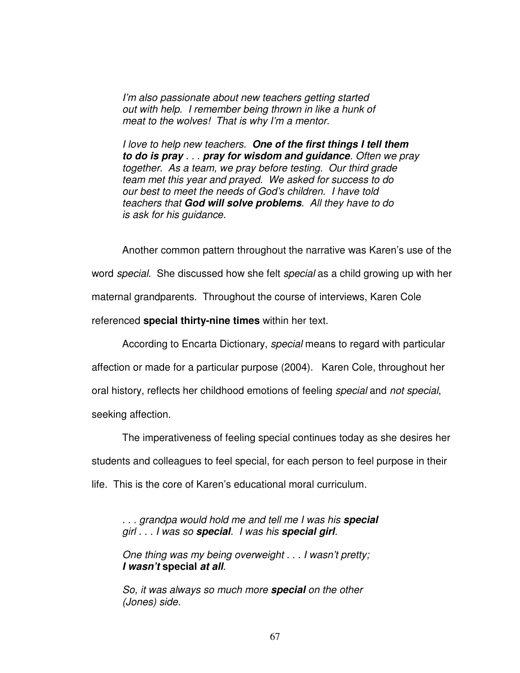I'm also passionate about new teachers getting started out with help. I remember being thrown in like a hunk of meat to the wolves! That is why I'm a mentor.

 I love to help new teachers. **One of the first things I tell them to do is pray** . . . **pray for wisdom and guidance**. Often we pray together. As a team, we pray before testing. Our third grade team met this year and prayed. We asked for success to do our best to meet the needs of God's children. I have told teachers that **God will solve problems**. All they have to do is ask for his guidance.

 Another common pattern throughout the narrative was Karen's use of the word *special*. She discussed how she felt *special* as a child growing up with her maternal grandparents. Throughout the course of interviews, Karen Cole referenced **special thirty-nine times** within her text.

 According to Encarta Dictionary, special means to regard with particular affection or made for a particular purpose (2004). Karen Cole, throughout her oral history, reflects her childhood emotions of feeling special and not special, seeking affection.

 The imperativeness of feeling special continues today as she desires her students and colleagues to feel special, for each person to feel purpose in their life. This is the core of Karen's educational moral curriculum.

. . . grandpa would hold me and tell me I was his **special** girl . . . I was so **special**. I was his **special girl**.

One thing was my being overweight . . . I wasn't pretty; **I wasn't special at all**.

So, it was always so much more **special** on the other (Jones) side.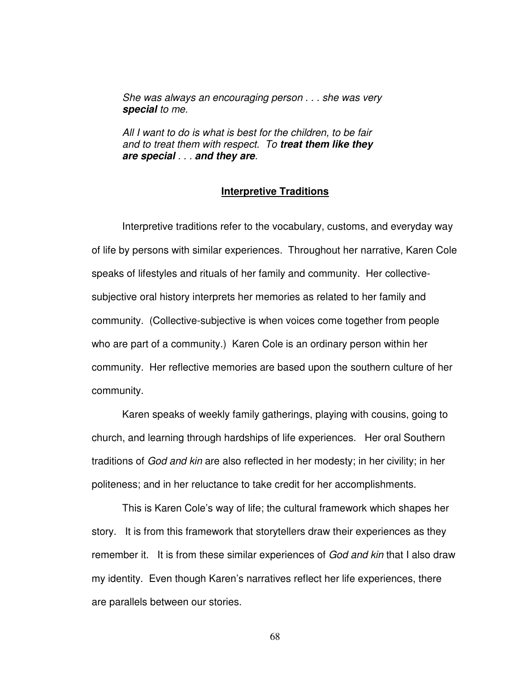She was always an encouraging person . . . she was very **special** to me.

All I want to do is what is best for the children, to be fair and to treat them with respect. To **treat them like they are special** . . . **and they are**.

### **Interpretive Traditions**

Interpretive traditions refer to the vocabulary, customs, and everyday way of life by persons with similar experiences. Throughout her narrative, Karen Cole speaks of lifestyles and rituals of her family and community. Her collectivesubjective oral history interprets her memories as related to her family and community. (Collective-subjective is when voices come together from people who are part of a community.) Karen Cole is an ordinary person within her community. Her reflective memories are based upon the southern culture of her community.

 Karen speaks of weekly family gatherings, playing with cousins, going to church, and learning through hardships of life experiences. Her oral Southern traditions of God and kin are also reflected in her modesty; in her civility; in her politeness; and in her reluctance to take credit for her accomplishments.

 This is Karen Cole's way of life; the cultural framework which shapes her story. It is from this framework that storytellers draw their experiences as they remember it. It is from these similar experiences of God and kin that I also draw my identity. Even though Karen's narratives reflect her life experiences, there are parallels between our stories.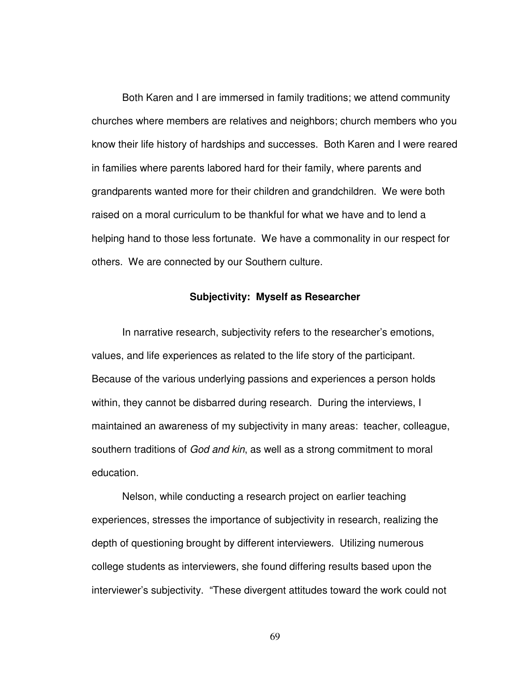Both Karen and I are immersed in family traditions; we attend community churches where members are relatives and neighbors; church members who you know their life history of hardships and successes. Both Karen and I were reared in families where parents labored hard for their family, where parents and grandparents wanted more for their children and grandchildren. We were both raised on a moral curriculum to be thankful for what we have and to lend a helping hand to those less fortunate. We have a commonality in our respect for others. We are connected by our Southern culture.

### **Subjectivity: Myself as Researcher**

 In narrative research, subjectivity refers to the researcher's emotions, values, and life experiences as related to the life story of the participant. Because of the various underlying passions and experiences a person holds within, they cannot be disbarred during research. During the interviews, I maintained an awareness of my subjectivity in many areas: teacher, colleague, southern traditions of God and kin, as well as a strong commitment to moral education.

 Nelson, while conducting a research project on earlier teaching experiences, stresses the importance of subjectivity in research, realizing the depth of questioning brought by different interviewers. Utilizing numerous college students as interviewers, she found differing results based upon the interviewer's subjectivity. "These divergent attitudes toward the work could not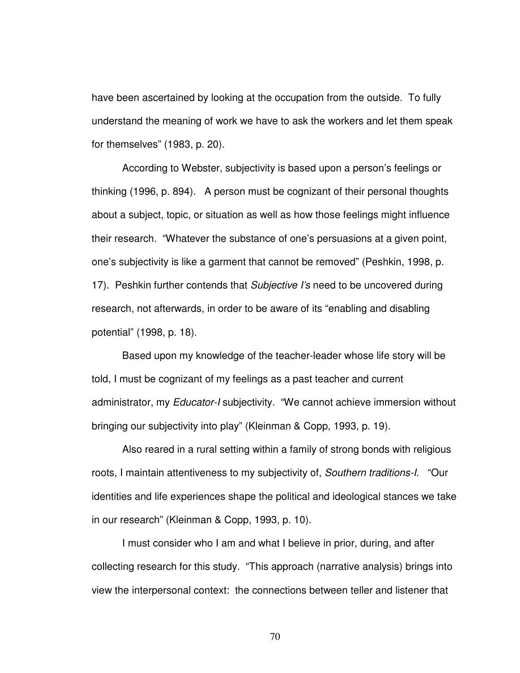have been ascertained by looking at the occupation from the outside. To fully understand the meaning of work we have to ask the workers and let them speak for themselves" (1983, p. 20).

 According to Webster, subjectivity is based upon a person's feelings or thinking (1996, p. 894). A person must be cognizant of their personal thoughts about a subject, topic, or situation as well as how those feelings might influence their research. "Whatever the substance of one's persuasions at a given point, one's subjectivity is like a garment that cannot be removed" (Peshkin, 1998, p. 17). Peshkin further contends that Subjective I's need to be uncovered during research, not afterwards, in order to be aware of its "enabling and disabling potential" (1998, p. 18).

 Based upon my knowledge of the teacher-leader whose life story will be told, I must be cognizant of my feelings as a past teacher and current administrator, my Educator-I subjectivity. "We cannot achieve immersion without bringing our subjectivity into play" (Kleinman & Copp, 1993, p. 19).

 Also reared in a rural setting within a family of strong bonds with religious roots, I maintain attentiveness to my subjectivity of, Southern traditions-l. "Our identities and life experiences shape the political and ideological stances we take in our research" (Kleinman & Copp, 1993, p. 10).

 I must consider who I am and what I believe in prior, during, and after collecting research for this study. "This approach (narrative analysis) brings into view the interpersonal context: the connections between teller and listener that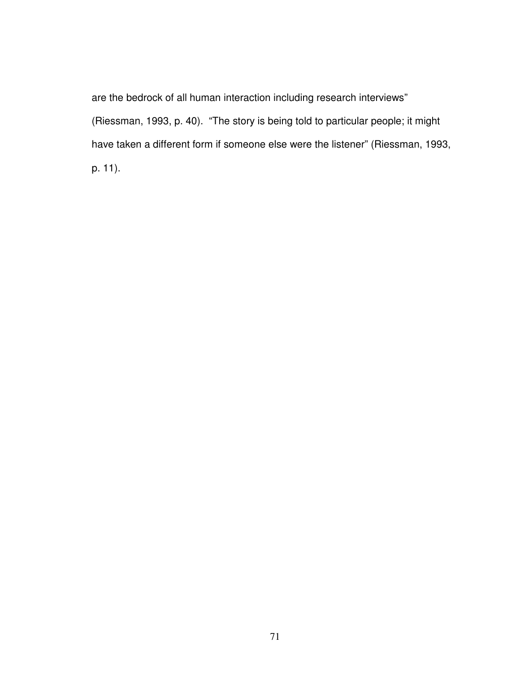are the bedrock of all human interaction including research interviews" (Riessman, 1993, p. 40). "The story is being told to particular people; it might have taken a different form if someone else were the listener" (Riessman, 1993, p. 11).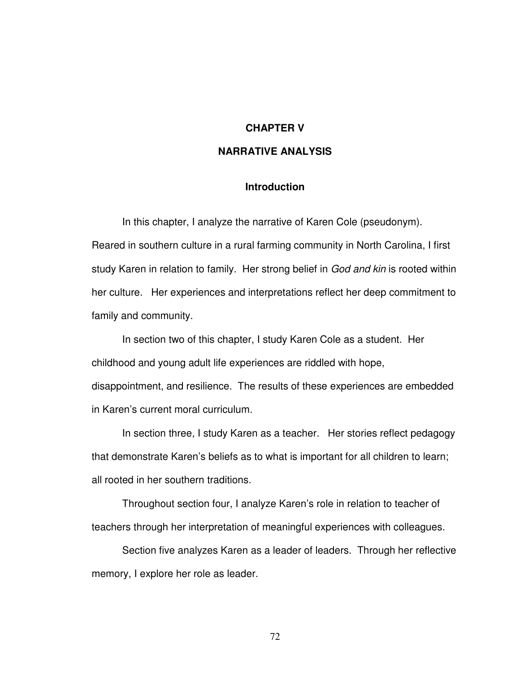# **CHAPTER V**

# **NARRATIVE ANALYSIS**

# **Introduction**

 In this chapter, I analyze the narrative of Karen Cole (pseudonym). Reared in southern culture in a rural farming community in North Carolina, I first study Karen in relation to family. Her strong belief in God and kin is rooted within her culture. Her experiences and interpretations reflect her deep commitment to family and community.

 In section two of this chapter, I study Karen Cole as a student. Her childhood and young adult life experiences are riddled with hope, disappointment, and resilience. The results of these experiences are embedded in Karen's current moral curriculum.

 In section three, I study Karen as a teacher. Her stories reflect pedagogy that demonstrate Karen's beliefs as to what is important for all children to learn; all rooted in her southern traditions.

 Throughout section four, I analyze Karen's role in relation to teacher of teachers through her interpretation of meaningful experiences with colleagues.

 Section five analyzes Karen as a leader of leaders. Through her reflective memory, I explore her role as leader.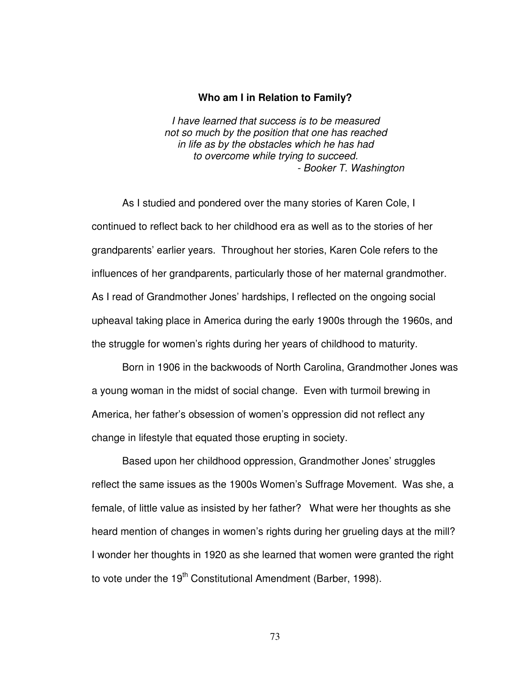### **Who am I in Relation to Family?**

I have learned that success is to be measured not so much by the position that one has reached in life as by the obstacles which he has had to overcome while trying to succeed. - Booker T. Washington

 As I studied and pondered over the many stories of Karen Cole, I continued to reflect back to her childhood era as well as to the stories of her grandparents' earlier years. Throughout her stories, Karen Cole refers to the influences of her grandparents, particularly those of her maternal grandmother. As I read of Grandmother Jones' hardships, I reflected on the ongoing social upheaval taking place in America during the early 1900s through the 1960s, and the struggle for women's rights during her years of childhood to maturity.

 Born in 1906 in the backwoods of North Carolina, Grandmother Jones was a young woman in the midst of social change. Even with turmoil brewing in America, her father's obsession of women's oppression did not reflect any change in lifestyle that equated those erupting in society.

 Based upon her childhood oppression, Grandmother Jones' struggles reflect the same issues as the 1900s Women's Suffrage Movement. Was she, a female, of little value as insisted by her father? What were her thoughts as she heard mention of changes in women's rights during her grueling days at the mill? I wonder her thoughts in 1920 as she learned that women were granted the right to vote under the 19<sup>th</sup> Constitutional Amendment (Barber, 1998).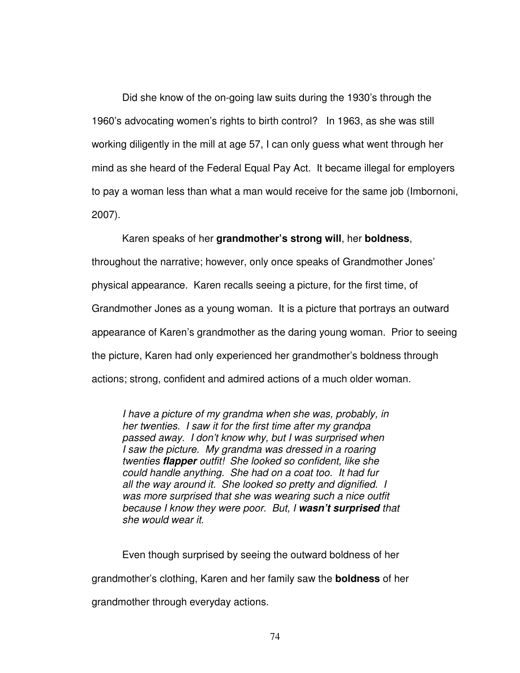Did she know of the on-going law suits during the 1930's through the 1960's advocating women's rights to birth control? In 1963, as she was still working diligently in the mill at age 57, I can only guess what went through her mind as she heard of the Federal Equal Pay Act. It became illegal for employers to pay a woman less than what a man would receive for the same job (Imbornoni, 2007).

 Karen speaks of her **grandmother's strong will**, her **boldness**, throughout the narrative; however, only once speaks of Grandmother Jones' physical appearance. Karen recalls seeing a picture, for the first time, of Grandmother Jones as a young woman. It is a picture that portrays an outward appearance of Karen's grandmother as the daring young woman. Prior to seeing the picture, Karen had only experienced her grandmother's boldness through actions; strong, confident and admired actions of a much older woman.

I have a picture of my grandma when she was, probably, in her twenties. I saw it for the first time after my grandpa passed away. I don't know why, but I was surprised when I saw the picture. My grandma was dressed in a roaring twenties **flapper** outfit! She looked so confident, like she could handle anything. She had on a coat too. It had fur all the way around it. She looked so pretty and dignified. I was more surprised that she was wearing such a nice outfit because I know they were poor. But, I **wasn't surprised** that she would wear it.

 Even though surprised by seeing the outward boldness of her grandmother's clothing, Karen and her family saw the **boldness** of her

grandmother through everyday actions.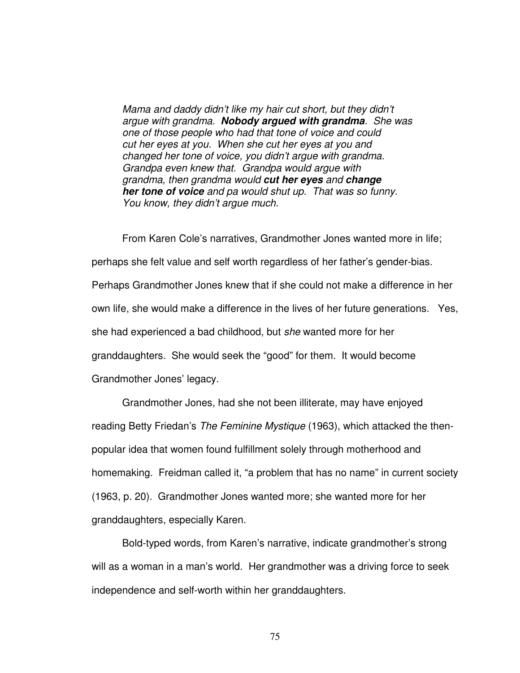Mama and daddy didn't like my hair cut short, but they didn't argue with grandma. **Nobody argued with grandma**. She was one of those people who had that tone of voice and could cut her eyes at you. When she cut her eyes at you and changed her tone of voice, you didn't argue with grandma. Grandpa even knew that. Grandpa would argue with grandma, then grandma would **cut her eyes** and **change her tone of voice** and pa would shut up. That was so funny. You know, they didn't argue much.

 From Karen Cole's narratives, Grandmother Jones wanted more in life; perhaps she felt value and self worth regardless of her father's gender-bias. Perhaps Grandmother Jones knew that if she could not make a difference in her own life, she would make a difference in the lives of her future generations. Yes, she had experienced a bad childhood, but she wanted more for her granddaughters. She would seek the "good" for them. It would become Grandmother Jones' legacy.

 Grandmother Jones, had she not been illiterate, may have enjoyed reading Betty Friedan's The Feminine Mystique (1963), which attacked the thenpopular idea that women found fulfillment solely through motherhood and homemaking. Freidman called it, "a problem that has no name" in current society (1963, p. 20). Grandmother Jones wanted more; she wanted more for her granddaughters, especially Karen.

 Bold-typed words, from Karen's narrative, indicate grandmother's strong will as a woman in a man's world. Her grandmother was a driving force to seek independence and self-worth within her granddaughters.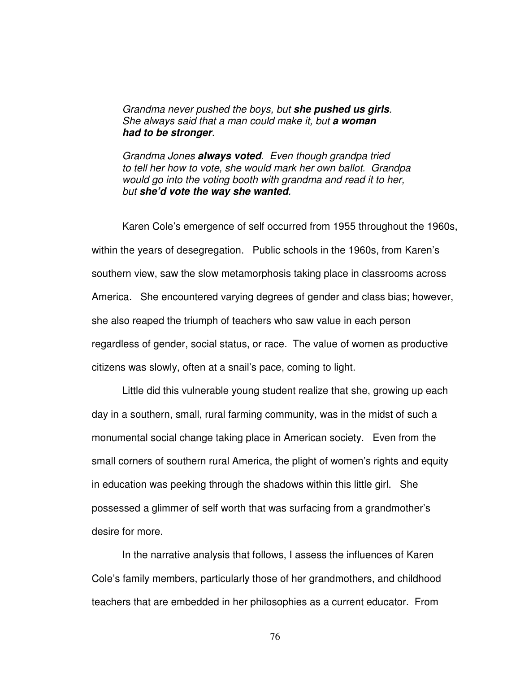Grandma never pushed the boys, but **she pushed us girls**. She always said that a man could make it, but **a woman had to be stronger**.

 Grandma Jones **always voted**. Even though grandpa tried to tell her how to vote, she would mark her own ballot. Grandpa would go into the voting booth with grandma and read it to her, but **she'd vote the way she wanted**.

 Karen Cole's emergence of self occurred from 1955 throughout the 1960s, within the years of desegregation. Public schools in the 1960s, from Karen's southern view, saw the slow metamorphosis taking place in classrooms across America. She encountered varying degrees of gender and class bias; however, she also reaped the triumph of teachers who saw value in each person regardless of gender, social status, or race. The value of women as productive citizens was slowly, often at a snail's pace, coming to light.

 Little did this vulnerable young student realize that she, growing up each day in a southern, small, rural farming community, was in the midst of such a monumental social change taking place in American society. Even from the small corners of southern rural America, the plight of women's rights and equity in education was peeking through the shadows within this little girl. She possessed a glimmer of self worth that was surfacing from a grandmother's desire for more.

 In the narrative analysis that follows, I assess the influences of Karen Cole's family members, particularly those of her grandmothers, and childhood teachers that are embedded in her philosophies as a current educator. From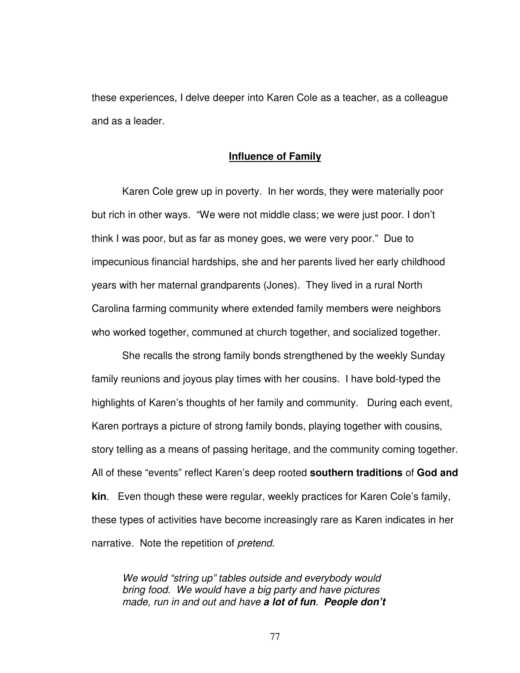these experiences, I delve deeper into Karen Cole as a teacher, as a colleague and as a leader.

#### **Influence of Family**

 Karen Cole grew up in poverty. In her words, they were materially poor but rich in other ways. "We were not middle class; we were just poor. I don't think I was poor, but as far as money goes, we were very poor." Due to impecunious financial hardships, she and her parents lived her early childhood years with her maternal grandparents (Jones). They lived in a rural North Carolina farming community where extended family members were neighbors who worked together, communed at church together, and socialized together.

 She recalls the strong family bonds strengthened by the weekly Sunday family reunions and joyous play times with her cousins. I have bold-typed the highlights of Karen's thoughts of her family and community. During each event, Karen portrays a picture of strong family bonds, playing together with cousins, story telling as a means of passing heritage, and the community coming together. All of these "events" reflect Karen's deep rooted **southern traditions** of **God and kin**. Even though these were regular, weekly practices for Karen Cole's family, these types of activities have become increasingly rare as Karen indicates in her narrative. Note the repetition of pretend.

We would "string up" tables outside and everybody would bring food. We would have a big party and have pictures made, run in and out and have **a lot of fun**. **People don't**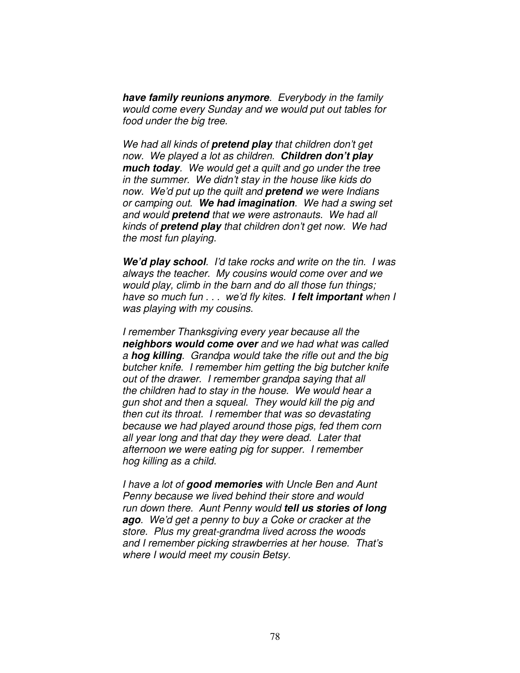**have family reunions anymore**. Everybody in the family would come every Sunday and we would put out tables for food under the big tree.

We had all kinds of **pretend play** that children don't get now. We played a lot as children. **Children don't play much today**. We would get a quilt and go under the tree in the summer. We didn't stay in the house like kids do now. We'd put up the quilt and **pretend** we were Indians or camping out. **We had imagination**. We had a swing set and would **pretend** that we were astronauts. We had all kinds of **pretend play** that children don't get now. We had the most fun playing.

**We'd play school**. I'd take rocks and write on the tin. I was always the teacher. My cousins would come over and we would play, climb in the barn and do all those fun things; have so much fun . . . we'd fly kites. **I felt important** when I was playing with my cousins.

 I remember Thanksgiving every year because all the **neighbors would come over** and we had what was called a **hog killing**. Grandpa would take the rifle out and the big butcher knife. I remember him getting the big butcher knife out of the drawer. I remember grandpa saying that all the children had to stay in the house. We would hear a gun shot and then a squeal. They would kill the pig and then cut its throat. I remember that was so devastating because we had played around those pigs, fed them corn all year long and that day they were dead. Later that afternoon we were eating pig for supper. I remember hog killing as a child.

 I have a lot of **good memories** with Uncle Ben and Aunt Penny because we lived behind their store and would run down there. Aunt Penny would **tell us stories of long ago**. We'd get a penny to buy a Coke or cracker at the store. Plus my great-grandma lived across the woods and I remember picking strawberries at her house. That's where I would meet my cousin Betsy.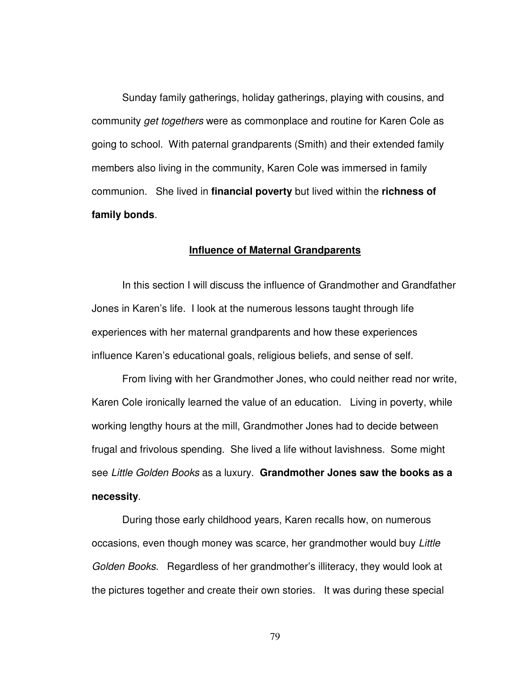Sunday family gatherings, holiday gatherings, playing with cousins, and community get togethers were as commonplace and routine for Karen Cole as going to school. With paternal grandparents (Smith) and their extended family members also living in the community, Karen Cole was immersed in family communion. She lived in **financial poverty** but lived within the **richness of family bonds**.

# **Influence of Maternal Grandparents**

 In this section I will discuss the influence of Grandmother and Grandfather Jones in Karen's life. I look at the numerous lessons taught through life experiences with her maternal grandparents and how these experiences influence Karen's educational goals, religious beliefs, and sense of self.

 From living with her Grandmother Jones, who could neither read nor write, Karen Cole ironically learned the value of an education. Living in poverty, while working lengthy hours at the mill, Grandmother Jones had to decide between frugal and frivolous spending. She lived a life without lavishness. Some might see Little Golden Books as a luxury. **Grandmother Jones saw the books as a necessity**.

 During those early childhood years, Karen recalls how, on numerous occasions, even though money was scarce, her grandmother would buy Little Golden Books. Regardless of her grandmother's illiteracy, they would look at the pictures together and create their own stories. It was during these special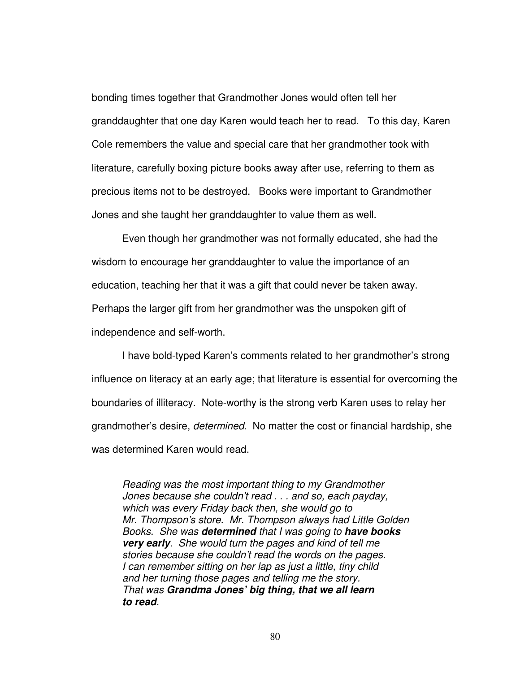bonding times together that Grandmother Jones would often tell her granddaughter that one day Karen would teach her to read. To this day, Karen Cole remembers the value and special care that her grandmother took with literature, carefully boxing picture books away after use, referring to them as precious items not to be destroyed. Books were important to Grandmother Jones and she taught her granddaughter to value them as well.

 Even though her grandmother was not formally educated, she had the wisdom to encourage her granddaughter to value the importance of an education, teaching her that it was a gift that could never be taken away. Perhaps the larger gift from her grandmother was the unspoken gift of independence and self-worth.

 I have bold-typed Karen's comments related to her grandmother's strong influence on literacy at an early age; that literature is essential for overcoming the boundaries of illiteracy. Note-worthy is the strong verb Karen uses to relay her grandmother's desire, determined. No matter the cost or financial hardship, she was determined Karen would read.

Reading was the most important thing to my Grandmother Jones because she couldn't read . . . and so, each payday, which was every Friday back then, she would go to Mr. Thompson's store. Mr. Thompson always had Little Golden Books. She was **determined** that I was going to **have books very early**. She would turn the pages and kind of tell me stories because she couldn't read the words on the pages. I can remember sitting on her lap as just a little, tiny child and her turning those pages and telling me the story. That was **Grandma Jones' big thing, that we all learn to read**.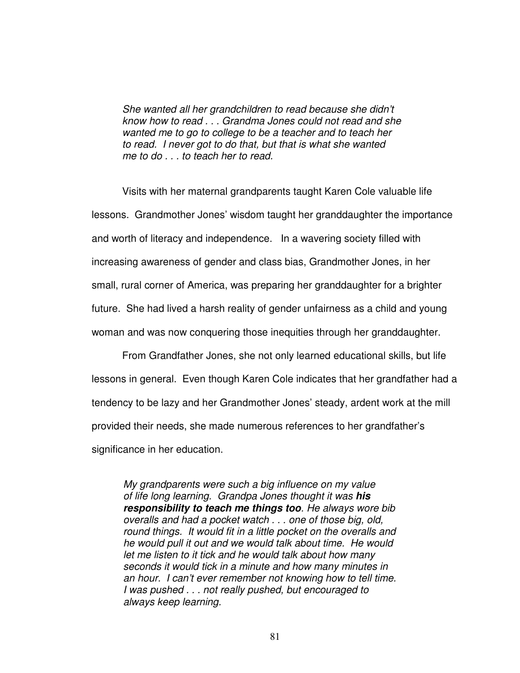She wanted all her grandchildren to read because she didn't know how to read . . . Grandma Jones could not read and she wanted me to go to college to be a teacher and to teach her to read. I never got to do that, but that is what she wanted me to do . . . to teach her to read.

 Visits with her maternal grandparents taught Karen Cole valuable life lessons. Grandmother Jones' wisdom taught her granddaughter the importance and worth of literacy and independence. In a wavering society filled with increasing awareness of gender and class bias, Grandmother Jones, in her small, rural corner of America, was preparing her granddaughter for a brighter future. She had lived a harsh reality of gender unfairness as a child and young woman and was now conquering those inequities through her granddaughter.

 From Grandfather Jones, she not only learned educational skills, but life lessons in general. Even though Karen Cole indicates that her grandfather had a tendency to be lazy and her Grandmother Jones' steady, ardent work at the mill provided their needs, she made numerous references to her grandfather's significance in her education.

 My grandparents were such a big influence on my value of life long learning. Grandpa Jones thought it was **his responsibility to teach me things too**. He always wore bib overalls and had a pocket watch . . . one of those big, old, round things. It would fit in a little pocket on the overalls and he would pull it out and we would talk about time. He would let me listen to it tick and he would talk about how many seconds it would tick in a minute and how many minutes in an hour. I can't ever remember not knowing how to tell time. I was pushed . . . not really pushed, but encouraged to always keep learning.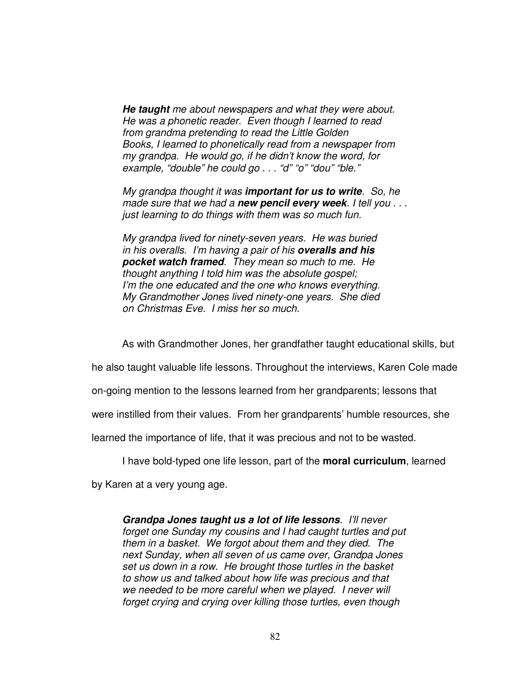**He taught** me about newspapers and what they were about. He was a phonetic reader. Even though I learned to read from grandma pretending to read the Little Golden Books, I learned to phonetically read from a newspaper from my grandpa. He would go, if he didn't know the word, for example, "double" he could go . . . "d" "o" "dou" "ble."

 My grandpa thought it was **important for us to write**. So, he made sure that we had a **new pencil every week**. I tell you . . . just learning to do things with them was so much fun.

 My grandpa lived for ninety-seven years. He was buried in his overalls. I'm having a pair of his **overalls and his pocket watch framed**. They mean so much to me. He thought anything I told him was the absolute gospel; I'm the one educated and the one who knows everything. My Grandmother Jones lived ninety-one years. She died on Christmas Eve. I miss her so much.

As with Grandmother Jones, her grandfather taught educational skills, but

he also taught valuable life lessons. Throughout the interviews, Karen Cole made

on-going mention to the lessons learned from her grandparents; lessons that

were instilled from their values. From her grandparents' humble resources, she

learned the importance of life, that it was precious and not to be wasted.

I have bold-typed one life lesson, part of the **moral curriculum**, learned

by Karen at a very young age.

**Grandpa Jones taught us a lot of life lessons**. I'll never forget one Sunday my cousins and I had caught turtles and put them in a basket. We forgot about them and they died. The next Sunday, when all seven of us came over, Grandpa Jones set us down in a row. He brought those turtles in the basket to show us and talked about how life was precious and that we needed to be more careful when we played. I never will forget crying and crying over killing those turtles, even though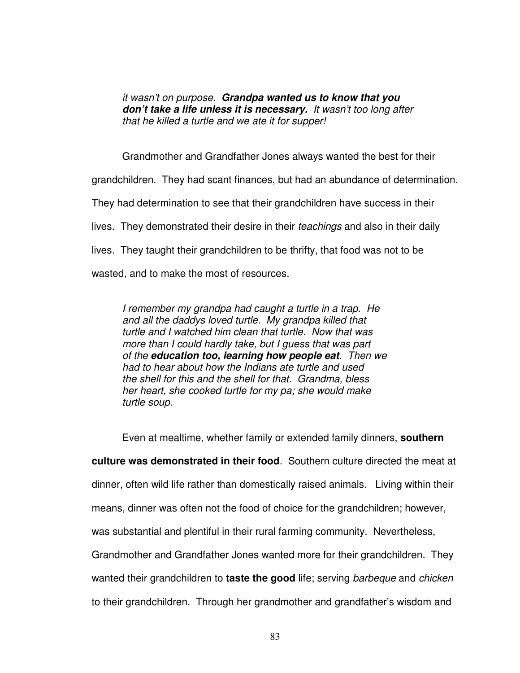it wasn't on purpose. **Grandpa wanted us to know that you don't take a life unless it is necessary.** It wasn't too long after that he killed a turtle and we ate it for supper!

Grandmother and Grandfather Jones always wanted the best for their

grandchildren. They had scant finances, but had an abundance of determination.

They had determination to see that their grandchildren have success in their

lives. They demonstrated their desire in their *teachings* and also in their daily

lives. They taught their grandchildren to be thrifty, that food was not to be

wasted, and to make the most of resources.

I remember my grandpa had caught a turtle in a trap. He and all the daddys loved turtle. My grandpa killed that turtle and I watched him clean that turtle. Now that was more than I could hardly take, but I guess that was part of the **education too, learning how people eat**. Then we had to hear about how the Indians ate turtle and used the shell for this and the shell for that. Grandma, bless her heart, she cooked turtle for my pa; she would make turtle soup.

Even at mealtime, whether family or extended family dinners, **southern** 

**culture was demonstrated in their food**. Southern culture directed the meat at

dinner, often wild life rather than domestically raised animals. Living within their

means, dinner was often not the food of choice for the grandchildren; however,

was substantial and plentiful in their rural farming community. Nevertheless,

Grandmother and Grandfather Jones wanted more for their grandchildren. They

wanted their grandchildren to **taste the good** life; serving barbeque and chicken

to their grandchildren. Through her grandmother and grandfather's wisdom and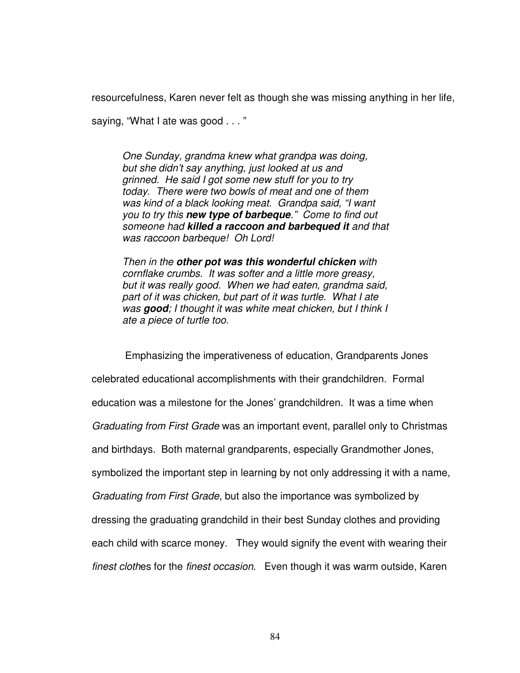resourcefulness, Karen never felt as though she was missing anything in her life,

saying, "What I ate was good . . . "

 One Sunday, grandma knew what grandpa was doing, but she didn't say anything, just looked at us and grinned. He said I got some new stuff for you to try today. There were two bowls of meat and one of them was kind of a black looking meat. Grandpa said, "I want you to try this **new type of barbeque**." Come to find out someone had **killed a raccoon and barbequed it** and that was raccoon barbeque! Oh Lord!

 Then in the **other pot was this wonderful chicken** with cornflake crumbs. It was softer and a little more greasy, but it was really good. When we had eaten, grandma said, part of it was chicken, but part of it was turtle. What I ate was **good**; I thought it was white meat chicken, but I think I ate a piece of turtle too.

 Emphasizing the imperativeness of education, Grandparents Jones celebrated educational accomplishments with their grandchildren. Formal education was a milestone for the Jones' grandchildren. It was a time when Graduating from First Grade was an important event, parallel only to Christmas and birthdays. Both maternal grandparents, especially Grandmother Jones, symbolized the important step in learning by not only addressing it with a name, Graduating from First Grade, but also the importance was symbolized by dressing the graduating grandchild in their best Sunday clothes and providing each child with scarce money. They would signify the event with wearing their finest clothes for the finest occasion. Even though it was warm outside, Karen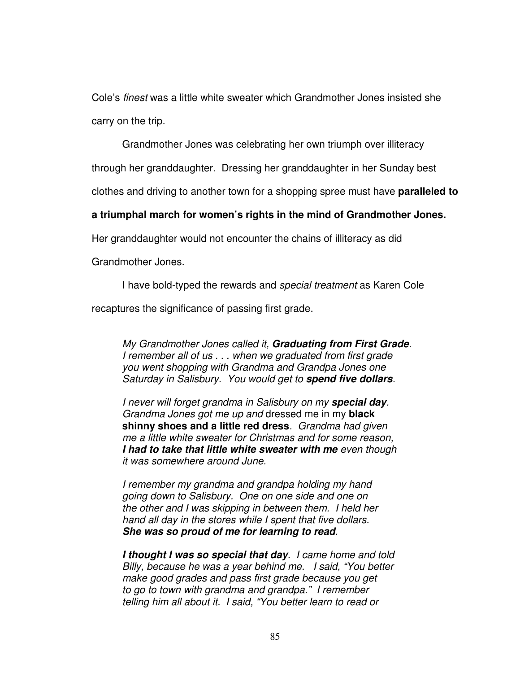Cole's finest was a little white sweater which Grandmother Jones insisted she carry on the trip.

Grandmother Jones was celebrating her own triumph over illiteracy

through her granddaughter. Dressing her granddaughter in her Sunday best

clothes and driving to another town for a shopping spree must have **paralleled to** 

### **a triumphal march for women's rights in the mind of Grandmother Jones.**

Her granddaughter would not encounter the chains of illiteracy as did

Grandmother Jones.

I have bold-typed the rewards and special treatment as Karen Cole

recaptures the significance of passing first grade.

My Grandmother Jones called it, **Graduating from First Grade**. I remember all of us . . . when we graduated from first grade you went shopping with Grandma and Grandpa Jones one Saturday in Salisbury. You would get to **spend five dollars**.

 I never will forget grandma in Salisbury on my **special day**. Grandma Jones got me up and dressed me in my **black shinny shoes and a little red dress**. Grandma had given me a little white sweater for Christmas and for some reason, **I had to take that little white sweater with me** even though it was somewhere around June.

 I remember my grandma and grandpa holding my hand going down to Salisbury. One on one side and one on the other and I was skipping in between them. I held her hand all day in the stores while I spent that five dollars. **She was so proud of me for learning to read**.

**I thought I was so special that day**. I came home and told Billy, because he was a year behind me. I said, "You better make good grades and pass first grade because you get to go to town with grandma and grandpa." I remember telling him all about it. I said, "You better learn to read or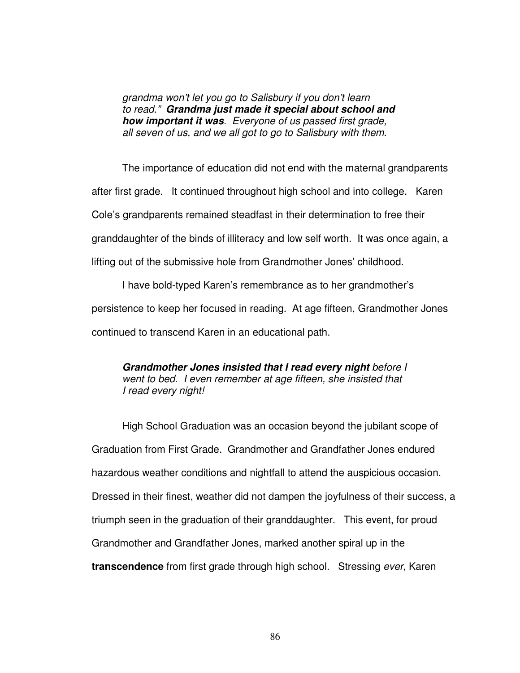grandma won't let you go to Salisbury if you don't learn to read." **Grandma just made it special about school and how important it was**. Everyone of us passed first grade, all seven of us, and we all got to go to Salisbury with them.

 The importance of education did not end with the maternal grandparents after first grade. It continued throughout high school and into college. Karen Cole's grandparents remained steadfast in their determination to free their granddaughter of the binds of illiteracy and low self worth. It was once again, a lifting out of the submissive hole from Grandmother Jones' childhood.

 I have bold-typed Karen's remembrance as to her grandmother's persistence to keep her focused in reading. At age fifteen, Grandmother Jones continued to transcend Karen in an educational path.

**Grandmother Jones insisted that I read every night** before I went to bed. I even remember at age fifteen, she insisted that I read every night!

 High School Graduation was an occasion beyond the jubilant scope of Graduation from First Grade. Grandmother and Grandfather Jones endured hazardous weather conditions and nightfall to attend the auspicious occasion. Dressed in their finest, weather did not dampen the joyfulness of their success, a triumph seen in the graduation of their granddaughter. This event, for proud Grandmother and Grandfather Jones, marked another spiral up in the **transcendence** from first grade through high school. Stressing ever, Karen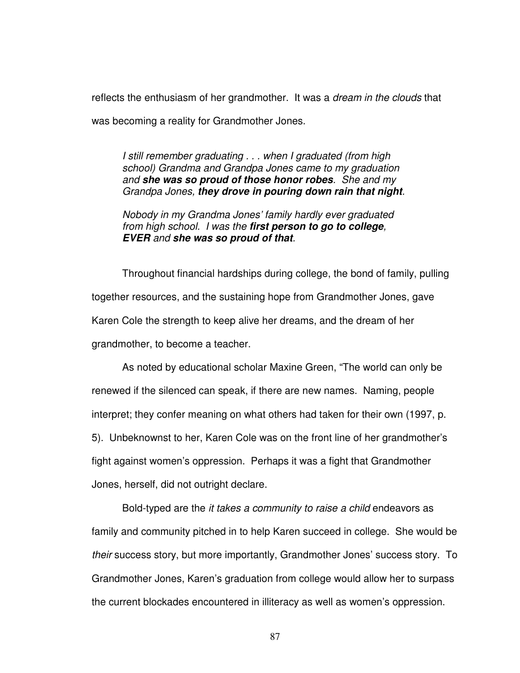reflects the enthusiasm of her grandmother. It was a dream in the clouds that was becoming a reality for Grandmother Jones.

 I still remember graduating . . . when I graduated (from high school) Grandma and Grandpa Jones came to my graduation and **she was so proud of those honor robes**. She and my Grandpa Jones, **they drove in pouring down rain that night**.

Nobody in my Grandma Jones' family hardly ever graduated from high school. I was the **first person to go to college**, **EVER** and **she was so proud of that**.

 Throughout financial hardships during college, the bond of family, pulling together resources, and the sustaining hope from Grandmother Jones, gave Karen Cole the strength to keep alive her dreams, and the dream of her grandmother, to become a teacher.

 As noted by educational scholar Maxine Green, "The world can only be renewed if the silenced can speak, if there are new names. Naming, people interpret; they confer meaning on what others had taken for their own (1997, p. 5). Unbeknownst to her, Karen Cole was on the front line of her grandmother's fight against women's oppression. Perhaps it was a fight that Grandmother Jones, herself, did not outright declare.

 Bold-typed are the it takes a community to raise a child endeavors as family and community pitched in to help Karen succeed in college. She would be their success story, but more importantly, Grandmother Jones' success story. To Grandmother Jones, Karen's graduation from college would allow her to surpass the current blockades encountered in illiteracy as well as women's oppression.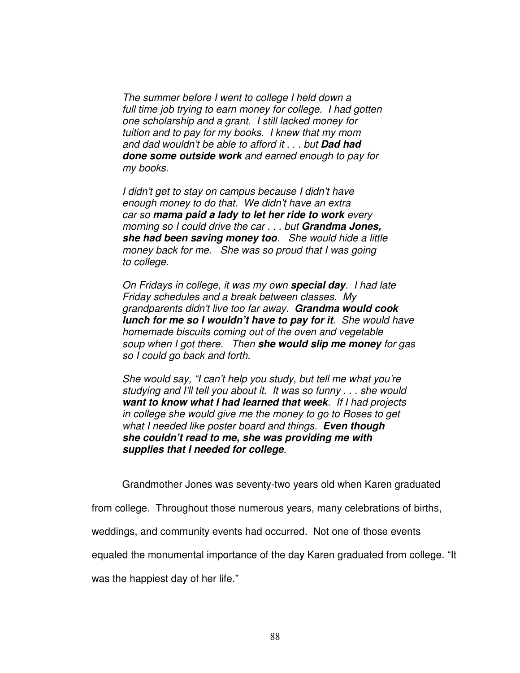The summer before I went to college I held down a full time job trying to earn money for college. I had gotten one scholarship and a grant. I still lacked money for tuition and to pay for my books. I knew that my mom and dad wouldn't be able to afford it . . . but **Dad had done some outside work** and earned enough to pay for my books.

 I didn't get to stay on campus because I didn't have enough money to do that. We didn't have an extra car so **mama paid a lady to let her ride to work** every morning so I could drive the car . . . but **Grandma Jones, she had been saving money too**. She would hide a little money back for me. She was so proud that I was going to college.

 On Fridays in college, it was my own **special day**. I had late Friday schedules and a break between classes. My grandparents didn't live too far away. **Grandma would cook lunch for me so I wouldn't have to pay for it**. She would have homemade biscuits coming out of the oven and vegetable soup when I got there. Then **she would slip me money** for gas so I could go back and forth.

 She would say, "I can't help you study, but tell me what you're studying and I'll tell you about it. It was so funny . . . she would **want to know what I had learned that week**. If I had projects in college she would give me the money to go to Roses to get what I needed like poster board and things. **Even though she couldn't read to me, she was providing me with supplies that I needed for college**.

Grandmother Jones was seventy-two years old when Karen graduated

from college. Throughout those numerous years, many celebrations of births,

weddings, and community events had occurred. Not one of those events

equaled the monumental importance of the day Karen graduated from college. "It

was the happiest day of her life."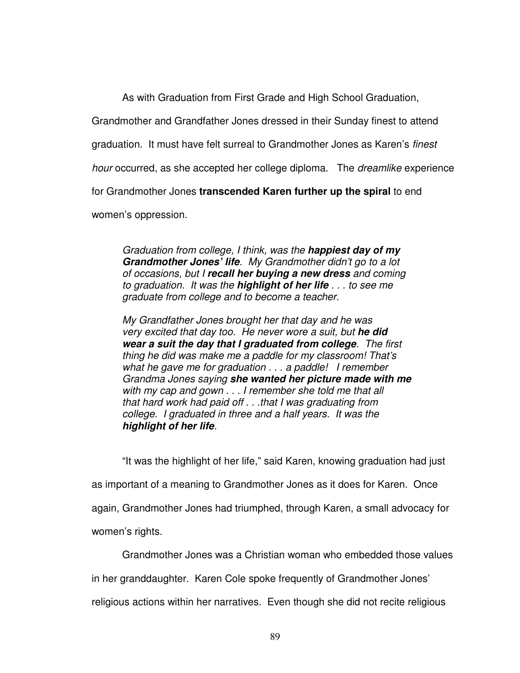As with Graduation from First Grade and High School Graduation,

Grandmother and Grandfather Jones dressed in their Sunday finest to attend

graduation. It must have felt surreal to Grandmother Jones as Karen's finest

hour occurred, as she accepted her college diploma. The *dreamlike* experience

for Grandmother Jones **transcended Karen further up the spiral** to end

women's oppression.

 Graduation from college, I think, was the **happiest day of my Grandmother Jones' life**. My Grandmother didn't go to a lot of occasions, but I **recall her buying a new dress** and coming to graduation. It was the **highlight of her life** . . . to see me graduate from college and to become a teacher.

 My Grandfather Jones brought her that day and he was very excited that day too. He never wore a suit, but **he did wear a suit the day that I graduated from college**. The first thing he did was make me a paddle for my classroom! That's what he gave me for graduation . . . a paddle! I remember Grandma Jones saying **she wanted her picture made with me** with my cap and gown . . . I remember she told me that all that hard work had paid off . . .that I was graduating from college. I graduated in three and a half years. It was the **highlight of her life**.

 "It was the highlight of her life," said Karen, knowing graduation had just as important of a meaning to Grandmother Jones as it does for Karen. Once again, Grandmother Jones had triumphed, through Karen, a small advocacy for women's rights.

Grandmother Jones was a Christian woman who embedded those values

in her granddaughter. Karen Cole spoke frequently of Grandmother Jones'

religious actions within her narratives. Even though she did not recite religious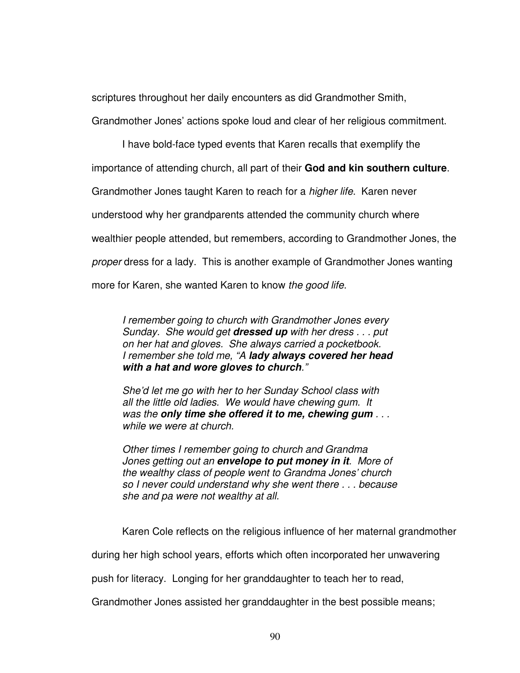scriptures throughout her daily encounters as did Grandmother Smith,

Grandmother Jones' actions spoke loud and clear of her religious commitment.

 I have bold-face typed events that Karen recalls that exemplify the importance of attending church, all part of their **God and kin southern culture**. Grandmother Jones taught Karen to reach for a higher life. Karen never understood why her grandparents attended the community church where wealthier people attended, but remembers, according to Grandmother Jones, the proper dress for a lady. This is another example of Grandmother Jones wanting more for Karen, she wanted Karen to know the good life.

I remember going to church with Grandmother Jones every Sunday. She would get **dressed up** with her dress . . . put on her hat and gloves. She always carried a pocketbook. I remember she told me, "A **lady always covered her head with a hat and wore gloves to church**."

She'd let me go with her to her Sunday School class with all the little old ladies. We would have chewing gum. It was the **only time she offered it to me, chewing gum** . . . while we were at church.

Other times I remember going to church and Grandma Jones getting out an **envelope to put money in it**. More of the wealthy class of people went to Grandma Jones' church so I never could understand why she went there . . . because she and pa were not wealthy at all.

Karen Cole reflects on the religious influence of her maternal grandmother

during her high school years, efforts which often incorporated her unwavering

push for literacy. Longing for her granddaughter to teach her to read,

Grandmother Jones assisted her granddaughter in the best possible means;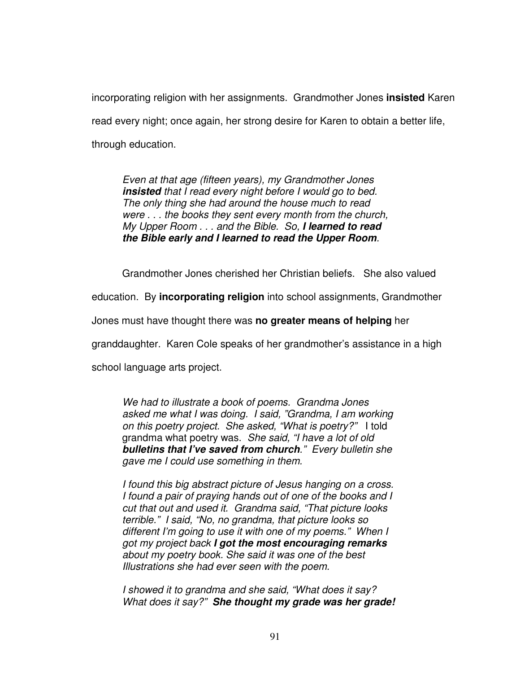incorporating religion with her assignments. Grandmother Jones **insisted** Karen read every night; once again, her strong desire for Karen to obtain a better life, through education.

Even at that age (fifteen years), my Grandmother Jones **insisted** that I read every night before I would go to bed. The only thing she had around the house much to read were . . . the books they sent every month from the church, My Upper Room . . . and the Bible. So, **I learned to read the Bible early and I learned to read the Upper Room**.

Grandmother Jones cherished her Christian beliefs. She also valued

education. By **incorporating religion** into school assignments, Grandmother

Jones must have thought there was **no greater means of helping** her

granddaughter. Karen Cole speaks of her grandmother's assistance in a high

school language arts project.

We had to illustrate a book of poems. Grandma Jones asked me what I was doing. I said, "Grandma, I am working on this poetry project. She asked, "What is poetry?" I told grandma what poetry was. She said, "I have a lot of old **bulletins that I've saved from church**." Every bulletin she gave me I could use something in them.

I found this big abstract picture of Jesus hanging on a cross. I found a pair of praying hands out of one of the books and I cut that out and used it. Grandma said, "That picture looks terrible." I said, "No, no grandma, that picture looks so different I'm going to use it with one of my poems." When I got my project back **I got the most encouraging remarks** about my poetry book. She said it was one of the best Illustrations she had ever seen with the poem.

I showed it to grandma and she said, "What does it say? What does it say?" **She thought my grade was her grade!**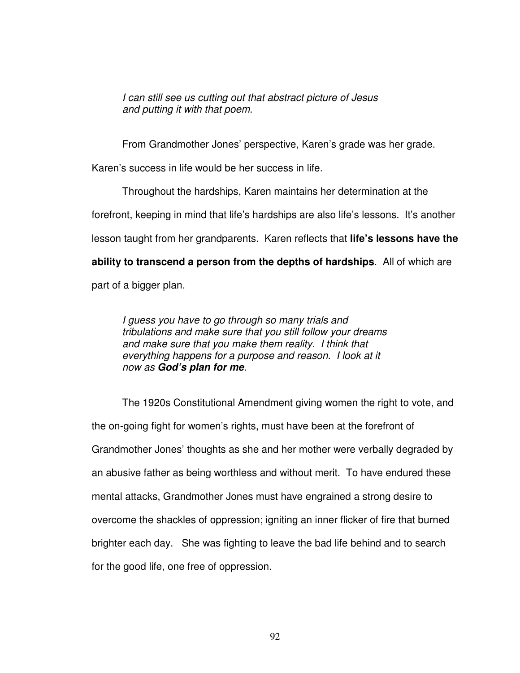I can still see us cutting out that abstract picture of Jesus and putting it with that poem.

From Grandmother Jones' perspective, Karen's grade was her grade.

Karen's success in life would be her success in life.

Throughout the hardships, Karen maintains her determination at the forefront, keeping in mind that life's hardships are also life's lessons. It's another lesson taught from her grandparents. Karen reflects that **life's lessons have the ability to transcend a person from the depths of hardships**. All of which are part of a bigger plan.

I guess you have to go through so many trials and tribulations and make sure that you still follow your dreams and make sure that you make them reality. I think that everything happens for a purpose and reason. I look at it now as **God's plan for me**.

 The 1920s Constitutional Amendment giving women the right to vote, and the on-going fight for women's rights, must have been at the forefront of Grandmother Jones' thoughts as she and her mother were verbally degraded by an abusive father as being worthless and without merit. To have endured these mental attacks, Grandmother Jones must have engrained a strong desire to overcome the shackles of oppression; igniting an inner flicker of fire that burned brighter each day. She was fighting to leave the bad life behind and to search for the good life, one free of oppression.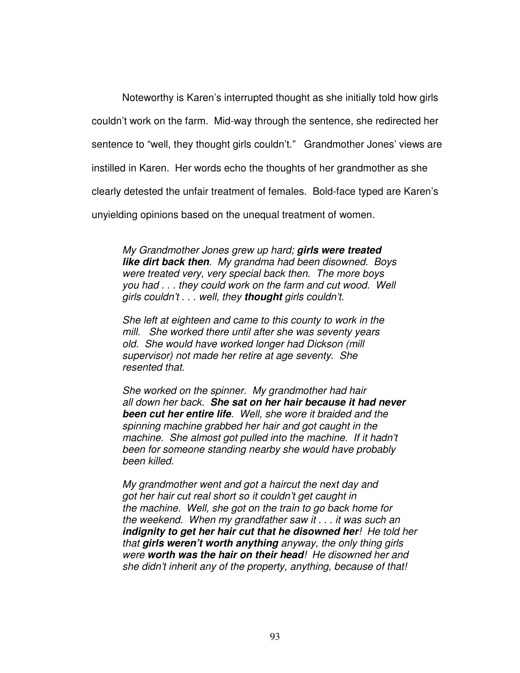Noteworthy is Karen's interrupted thought as she initially told how girls couldn't work on the farm. Mid-way through the sentence, she redirected her sentence to "well, they thought girls couldn't." Grandmother Jones' views are instilled in Karen. Her words echo the thoughts of her grandmother as she clearly detested the unfair treatment of females. Bold-face typed are Karen's unyielding opinions based on the unequal treatment of women.

 My Grandmother Jones grew up hard; **girls were treated like dirt back then**. My grandma had been disowned. Boys were treated very, very special back then. The more boys you had . . . they could work on the farm and cut wood. Well girls couldn't . . . well, they **thought** girls couldn't.

 She left at eighteen and came to this county to work in the mill. She worked there until after she was seventy years old. She would have worked longer had Dickson (mill supervisor) not made her retire at age seventy. She resented that.

 She worked on the spinner. My grandmother had hair all down her back. **She sat on her hair because it had never been cut her entire life**. Well, she wore it braided and the spinning machine grabbed her hair and got caught in the machine. She almost got pulled into the machine. If it hadn't been for someone standing nearby she would have probably been killed.

 My grandmother went and got a haircut the next day and got her hair cut real short so it couldn't get caught in the machine. Well, she got on the train to go back home for the weekend. When my grandfather saw it . . . it was such an **indignity to get her hair cut that he disowned her**! He told her that **girls weren't worth anything** anyway, the only thing girls were **worth was the hair on their head**! He disowned her and she didn't inherit any of the property, anything, because of that!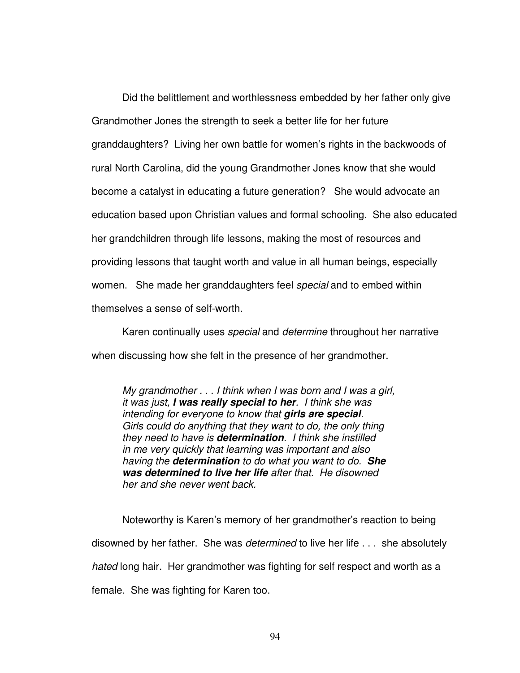Did the belittlement and worthlessness embedded by her father only give Grandmother Jones the strength to seek a better life for her future granddaughters? Living her own battle for women's rights in the backwoods of rural North Carolina, did the young Grandmother Jones know that she would become a catalyst in educating a future generation? She would advocate an education based upon Christian values and formal schooling. She also educated her grandchildren through life lessons, making the most of resources and providing lessons that taught worth and value in all human beings, especially women. She made her granddaughters feel *special* and to embed within themselves a sense of self-worth.

 Karen continually uses special and determine throughout her narrative when discussing how she felt in the presence of her grandmother.

 My grandmother . . . I think when I was born and I was a girl, it was just, **I was really special to her**. I think she was intending for everyone to know that **girls are special**. Girls could do anything that they want to do, the only thing they need to have is **determination**. I think she instilled in me very quickly that learning was important and also having the **determination** to do what you want to do. **She was determined to live her life** after that. He disowned her and she never went back.

 Noteworthy is Karen's memory of her grandmother's reaction to being disowned by her father. She was *determined* to live her life . . . she absolutely hated long hair. Her grandmother was fighting for self respect and worth as a female. She was fighting for Karen too.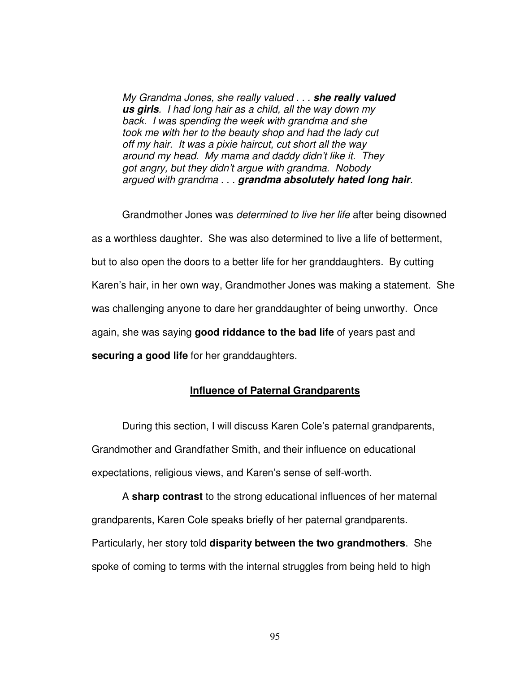My Grandma Jones, she really valued . . . **she really valued us girls**. I had long hair as a child, all the way down my back. I was spending the week with grandma and she took me with her to the beauty shop and had the lady cut off my hair. It was a pixie haircut, cut short all the way around my head. My mama and daddy didn't like it. They got angry, but they didn't argue with grandma. Nobody argued with grandma . . . **grandma absolutely hated long hair**.

Grandmother Jones was *determined to live her life* after being disowned as a worthless daughter. She was also determined to live a life of betterment, but to also open the doors to a better life for her granddaughters. By cutting Karen's hair, in her own way, Grandmother Jones was making a statement. She was challenging anyone to dare her granddaughter of being unworthy. Once again, she was saying **good riddance to the bad life** of years past and **securing a good life** for her granddaughters.

# **Influence of Paternal Grandparents**

During this section, I will discuss Karen Cole's paternal grandparents, Grandmother and Grandfather Smith, and their influence on educational expectations, religious views, and Karen's sense of self-worth.

 A **sharp contrast** to the strong educational influences of her maternal grandparents, Karen Cole speaks briefly of her paternal grandparents. Particularly, her story told **disparity between the two grandmothers**. She spoke of coming to terms with the internal struggles from being held to high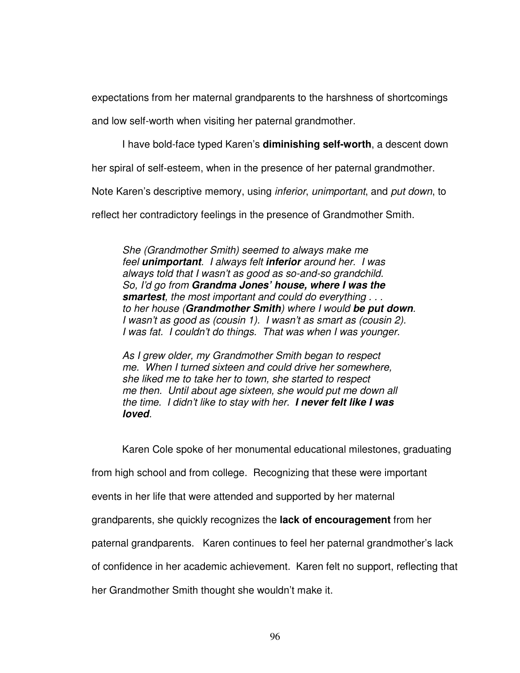expectations from her maternal grandparents to the harshness of shortcomings

and low self-worth when visiting her paternal grandmother.

I have bold-face typed Karen's **diminishing self-worth**, a descent down

her spiral of self-esteem, when in the presence of her paternal grandmother.

Note Karen's descriptive memory, using inferior, unimportant, and put down, to

reflect her contradictory feelings in the presence of Grandmother Smith.

 She (Grandmother Smith) seemed to always make me feel **unimportant**. I always felt **inferior** around her. I was always told that I wasn't as good as so-and-so grandchild. So, I'd go from **Grandma Jones' house, where I was the smartest**, the most important and could do everything . . . to her house (**Grandmother Smith**) where I would **be put down**. I wasn't as good as (cousin 1). I wasn't as smart as (cousin 2). I was fat. I couldn't do things. That was when I was younger.

 As I grew older, my Grandmother Smith began to respect me. When I turned sixteen and could drive her somewhere, she liked me to take her to town, she started to respect me then. Until about age sixteen, she would put me down all the time. I didn't like to stay with her. **I never felt like I was loved**.

Karen Cole spoke of her monumental educational milestones, graduating

from high school and from college. Recognizing that these were important

events in her life that were attended and supported by her maternal

grandparents, she quickly recognizes the **lack of encouragement** from her

paternal grandparents. Karen continues to feel her paternal grandmother's lack

of confidence in her academic achievement. Karen felt no support, reflecting that

her Grandmother Smith thought she wouldn't make it.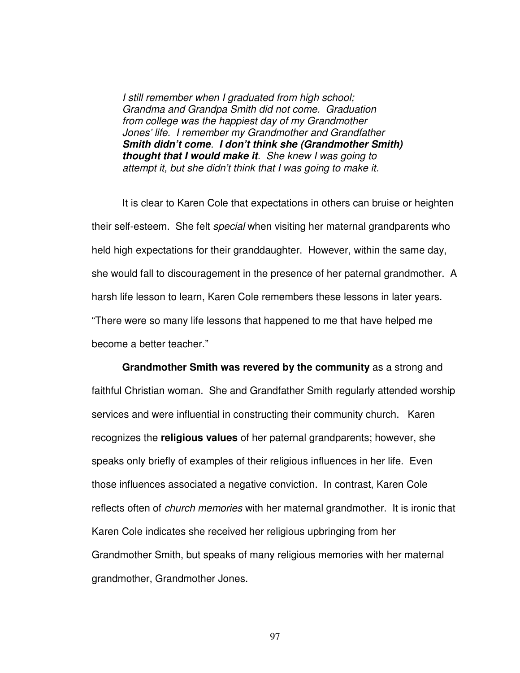I still remember when I graduated from high school; Grandma and Grandpa Smith did not come. Graduation from college was the happiest day of my Grandmother Jones' life. I remember my Grandmother and Grandfather **Smith didn't come**. **I don't think she (Grandmother Smith) thought that I would make it**. She knew I was going to attempt it, but she didn't think that I was going to make it.

 It is clear to Karen Cole that expectations in others can bruise or heighten their self-esteem. She felt special when visiting her maternal grandparents who held high expectations for their granddaughter. However, within the same day, she would fall to discouragement in the presence of her paternal grandmother. A harsh life lesson to learn, Karen Cole remembers these lessons in later years. "There were so many life lessons that happened to me that have helped me become a better teacher."

**Grandmother Smith was revered by the community** as a strong and faithful Christian woman. She and Grandfather Smith regularly attended worship services and were influential in constructing their community church. Karen recognizes the **religious values** of her paternal grandparents; however, she speaks only briefly of examples of their religious influences in her life. Even those influences associated a negative conviction. In contrast, Karen Cole reflects often of *church memories* with her maternal grandmother. It is ironic that Karen Cole indicates she received her religious upbringing from her Grandmother Smith, but speaks of many religious memories with her maternal grandmother, Grandmother Jones.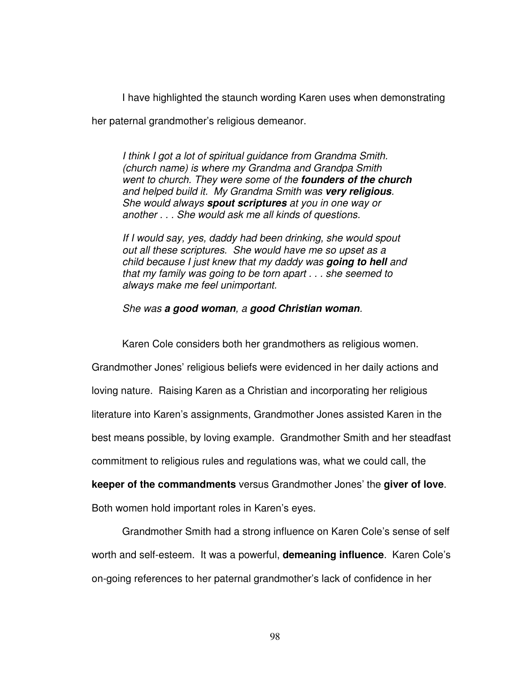I have highlighted the staunch wording Karen uses when demonstrating

her paternal grandmother's religious demeanor.

I think I got a lot of spiritual guidance from Grandma Smith. (church name) is where my Grandma and Grandpa Smith went to church. They were some of the **founders of the church** and helped build it. My Grandma Smith was **very religious**. She would always **spout scriptures** at you in one way or another . . . She would ask me all kinds of questions.

If I would say, yes, daddy had been drinking, she would spout out all these scriptures. She would have me so upset as a child because I just knew that my daddy was **going to hell** and that my family was going to be torn apart . . . she seemed to always make me feel unimportant.

She was **a good woman**, a **good Christian woman**.

Karen Cole considers both her grandmothers as religious women.

Grandmother Jones' religious beliefs were evidenced in her daily actions and

loving nature. Raising Karen as a Christian and incorporating her religious

literature into Karen's assignments, Grandmother Jones assisted Karen in the

best means possible, by loving example. Grandmother Smith and her steadfast

commitment to religious rules and regulations was, what we could call, the

**keeper of the commandments** versus Grandmother Jones' the **giver of love**.

Both women hold important roles in Karen's eyes.

 Grandmother Smith had a strong influence on Karen Cole's sense of self worth and self-esteem. It was a powerful, **demeaning influence**. Karen Cole's on-going references to her paternal grandmother's lack of confidence in her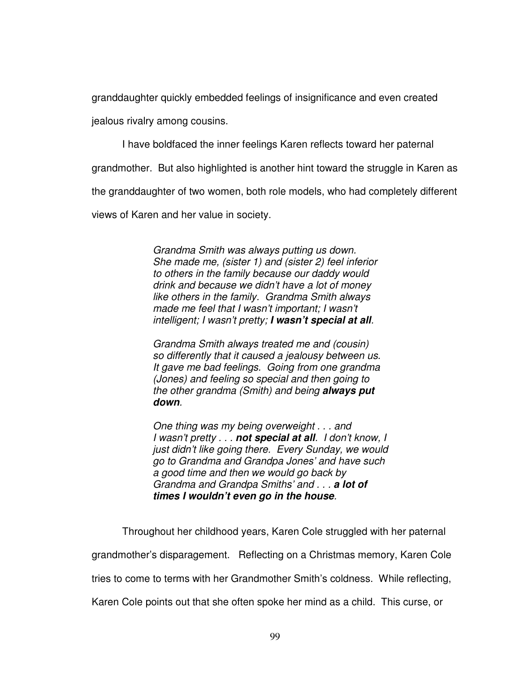granddaughter quickly embedded feelings of insignificance and even created

jealous rivalry among cousins.

I have boldfaced the inner feelings Karen reflects toward her paternal

grandmother. But also highlighted is another hint toward the struggle in Karen as

the granddaughter of two women, both role models, who had completely different

views of Karen and her value in society.

Grandma Smith was always putting us down. She made me, (sister 1) and (sister 2) feel inferior to others in the family because our daddy would drink and because we didn't have a lot of money like others in the family. Grandma Smith always made me feel that I wasn't important; I wasn't intelligent; I wasn't pretty; **I wasn't special at all**.

 Grandma Smith always treated me and (cousin) so differently that it caused a jealousy between us. It gave me bad feelings. Going from one grandma (Jones) and feeling so special and then going to the other grandma (Smith) and being **always put down**.

 One thing was my being overweight . . . and I wasn't pretty . . . **not special at all**. I don't know, I just didn't like going there. Every Sunday, we would go to Grandma and Grandpa Jones' and have such a good time and then we would go back by Grandma and Grandpa Smiths' and . . . **a lot of times I wouldn't even go in the house**.

Throughout her childhood years, Karen Cole struggled with her paternal

grandmother's disparagement. Reflecting on a Christmas memory, Karen Cole

tries to come to terms with her Grandmother Smith's coldness. While reflecting,

Karen Cole points out that she often spoke her mind as a child. This curse, or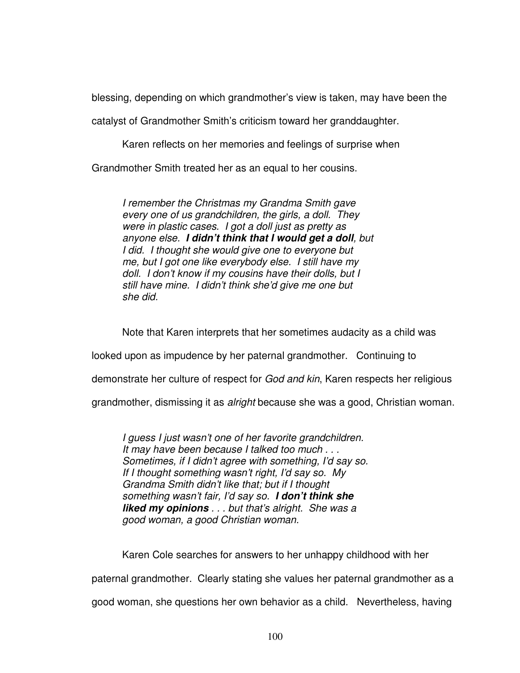blessing, depending on which grandmother's view is taken, may have been the

catalyst of Grandmother Smith's criticism toward her granddaughter.

Karen reflects on her memories and feelings of surprise when

Grandmother Smith treated her as an equal to her cousins.

I remember the Christmas my Grandma Smith gave every one of us grandchildren, the girls, a doll. They were in plastic cases. I got a doll just as pretty as anyone else. **I didn't think that I would get a doll**, but I did. I thought she would give one to everyone but me, but I got one like everybody else. I still have my doll. I don't know if my cousins have their dolls, but I still have mine. I didn't think she'd give me one but she did.

Note that Karen interprets that her sometimes audacity as a child was

looked upon as impudence by her paternal grandmother. Continuing to

demonstrate her culture of respect for *God and kin*, Karen respects her religious

grandmother, dismissing it as alright because she was a good, Christian woman.

I guess I just wasn't one of her favorite grandchildren. It may have been because I talked too much . . . Sometimes, if I didn't agree with something, I'd say so. If I thought something wasn't right, I'd say so. My Grandma Smith didn't like that; but if I thought something wasn't fair, I'd say so. **I don't think she liked my opinions** . . . but that's alright. She was a good woman, a good Christian woman.

Karen Cole searches for answers to her unhappy childhood with her

paternal grandmother. Clearly stating she values her paternal grandmother as a

good woman, she questions her own behavior as a child. Nevertheless, having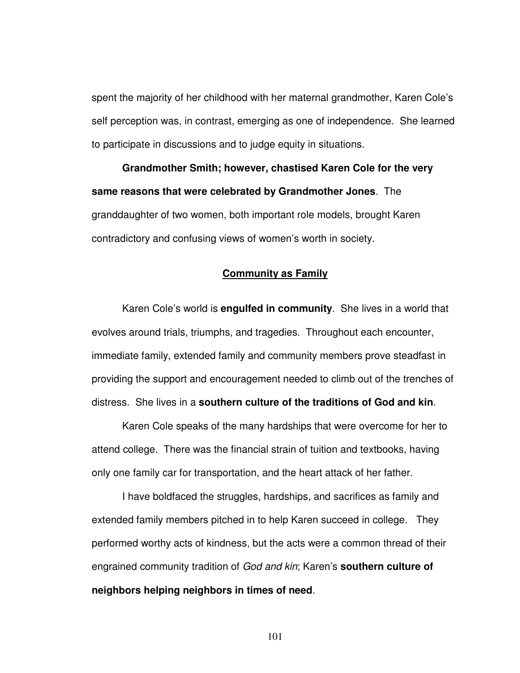spent the majority of her childhood with her maternal grandmother, Karen Cole's self perception was, in contrast, emerging as one of independence. She learned to participate in discussions and to judge equity in situations.

**Grandmother Smith; however, chastised Karen Cole for the very same reasons that were celebrated by Grandmother Jones**. The granddaughter of two women, both important role models, brought Karen contradictory and confusing views of women's worth in society.

#### **Community as Family**

 Karen Cole's world is **engulfed in community**. She lives in a world that evolves around trials, triumphs, and tragedies. Throughout each encounter, immediate family, extended family and community members prove steadfast in providing the support and encouragement needed to climb out of the trenches of distress. She lives in a **southern culture of the traditions of God and kin**.

 Karen Cole speaks of the many hardships that were overcome for her to attend college. There was the financial strain of tuition and textbooks, having only one family car for transportation, and the heart attack of her father.

 I have boldfaced the struggles, hardships, and sacrifices as family and extended family members pitched in to help Karen succeed in college. They performed worthy acts of kindness, but the acts were a common thread of their engrained community tradition of God and kin; Karen's **southern culture of neighbors helping neighbors in times of need**.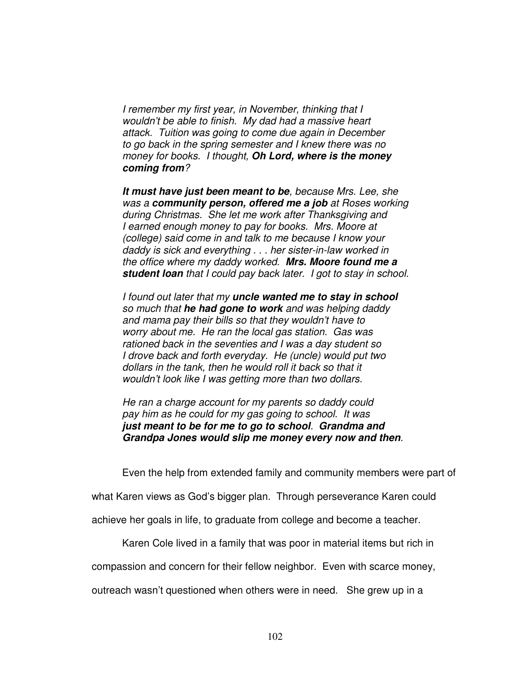I remember my first year, in November, thinking that I wouldn't be able to finish. My dad had a massive heart attack. Tuition was going to come due again in December to go back in the spring semester and I knew there was no money for books. I thought, **Oh Lord, where is the money coming from**?

**It must have just been meant to be**, because Mrs. Lee, she was a **community person, offered me a job** at Roses working during Christmas. She let me work after Thanksgiving and I earned enough money to pay for books. Mrs. Moore at (college) said come in and talk to me because I know your daddy is sick and everything . . . her sister-in-law worked in the office where my daddy worked. **Mrs. Moore found me a student loan** that I could pay back later. I got to stay in school.

I found out later that my **uncle wanted me to stay in school** so much that **he had gone to work** and was helping daddy and mama pay their bills so that they wouldn't have to worry about me. He ran the local gas station. Gas was rationed back in the seventies and I was a day student so I drove back and forth everyday. He (uncle) would put two dollars in the tank, then he would roll it back so that it wouldn't look like I was getting more than two dollars.

He ran a charge account for my parents so daddy could pay him as he could for my gas going to school. It was **just meant to be for me to go to school**. **Grandma and Grandpa Jones would slip me money every now and then**.

Even the help from extended family and community members were part of

what Karen views as God's bigger plan. Through perseverance Karen could

achieve her goals in life, to graduate from college and become a teacher.

Karen Cole lived in a family that was poor in material items but rich in

compassion and concern for their fellow neighbor. Even with scarce money,

outreach wasn't questioned when others were in need. She grew up in a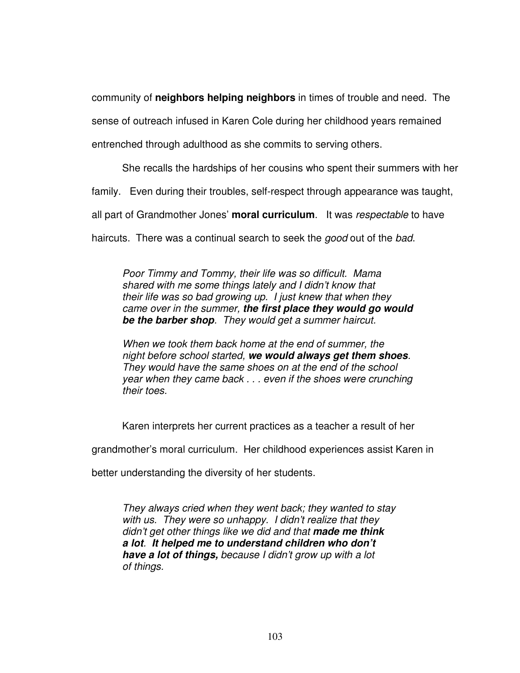community of **neighbors helping neighbors** in times of trouble and need. The sense of outreach infused in Karen Cole during her childhood years remained entrenched through adulthood as she commits to serving others.

She recalls the hardships of her cousins who spent their summers with her

family. Even during their troubles, self-respect through appearance was taught,

all part of Grandmother Jones' **moral curriculum**. It was respectable to have

haircuts. There was a continual search to seek the good out of the bad.

Poor Timmy and Tommy, their life was so difficult. Mama shared with me some things lately and I didn't know that their life was so bad growing up. I just knew that when they came over in the summer, **the first place they would go would be the barber shop**. They would get a summer haircut.

When we took them back home at the end of summer, the night before school started, **we would always get them shoes**. They would have the same shoes on at the end of the school year when they came back . . . even if the shoes were crunching their toes.

Karen interprets her current practices as a teacher a result of her

grandmother's moral curriculum. Her childhood experiences assist Karen in

better understanding the diversity of her students.

They always cried when they went back; they wanted to stay with us. They were so unhappy. I didn't realize that they didn't get other things like we did and that **made me think a lot**. **It helped me to understand children who don't have a lot of things,** because I didn't grow up with a lot of things.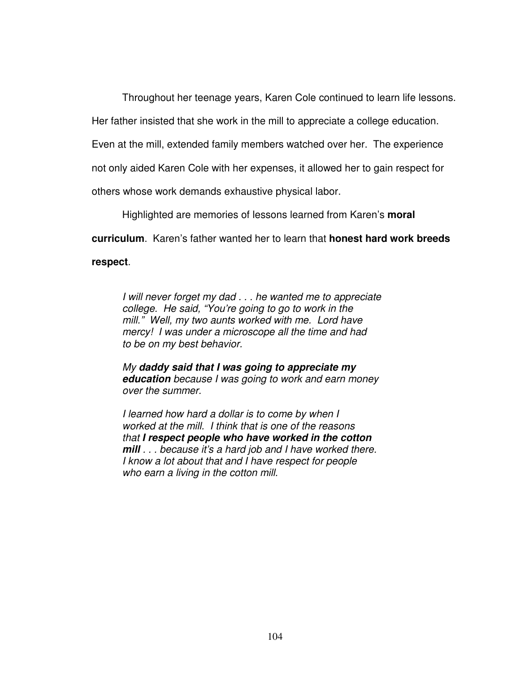Throughout her teenage years, Karen Cole continued to learn life lessons.

Her father insisted that she work in the mill to appreciate a college education.

Even at the mill, extended family members watched over her. The experience

not only aided Karen Cole with her expenses, it allowed her to gain respect for

others whose work demands exhaustive physical labor.

Highlighted are memories of lessons learned from Karen's **moral** 

**curriculum**. Karen's father wanted her to learn that **honest hard work breeds** 

#### **respect**.

I will never forget my dad . . . he wanted me to appreciate college. He said, "You're going to go to work in the mill." Well, my two aunts worked with me. Lord have mercy! I was under a microscope all the time and had to be on my best behavior.

My **daddy said that I was going to appreciate my education** because I was going to work and earn money over the summer.

I learned how hard a dollar is to come by when I worked at the mill. I think that is one of the reasons that **I respect people who have worked in the cotton mill** . . . because it's a hard job and I have worked there. I know a lot about that and I have respect for people who earn a living in the cotton mill.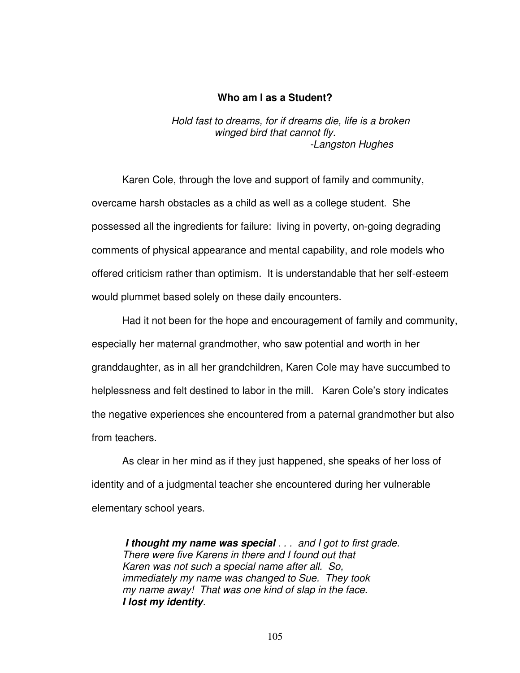#### **Who am I as a Student?**

Hold fast to dreams, for if dreams die, life is a broken winged bird that cannot fly. -Langston Hughes

 Karen Cole, through the love and support of family and community, overcame harsh obstacles as a child as well as a college student. She possessed all the ingredients for failure: living in poverty, on-going degrading comments of physical appearance and mental capability, and role models who offered criticism rather than optimism. It is understandable that her self-esteem would plummet based solely on these daily encounters.

 Had it not been for the hope and encouragement of family and community, especially her maternal grandmother, who saw potential and worth in her granddaughter, as in all her grandchildren, Karen Cole may have succumbed to helplessness and felt destined to labor in the mill. Karen Cole's story indicates the negative experiences she encountered from a paternal grandmother but also from teachers.

 As clear in her mind as if they just happened, she speaks of her loss of identity and of a judgmental teacher she encountered during her vulnerable elementary school years.

**I thought my name was special** . . . and I got to first grade. There were five Karens in there and I found out that Karen was not such a special name after all. So, immediately my name was changed to Sue. They took my name away! That was one kind of slap in the face. **I lost my identity**.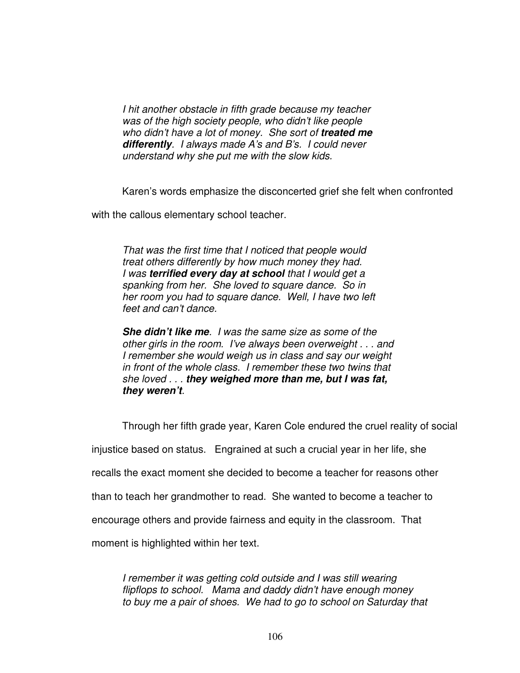I hit another obstacle in fifth grade because my teacher was of the high society people, who didn't like people who didn't have a lot of money. She sort of **treated me differently**. I always made A's and B's. I could never understand why she put me with the slow kids.

Karen's words emphasize the disconcerted grief she felt when confronted

with the callous elementary school teacher.

That was the first time that I noticed that people would treat others differently by how much money they had. I was **terrified every day at school** that I would get a spanking from her. She loved to square dance. So in her room you had to square dance. Well, I have two left feet and can't dance.

**She didn't like me**. I was the same size as some of the other girls in the room. I've always been overweight . . . and I remember she would weigh us in class and say our weight in front of the whole class. I remember these two twins that she loved . . . **they weighed more than me, but I was fat, they weren't**.

Through her fifth grade year, Karen Cole endured the cruel reality of social

injustice based on status. Engrained at such a crucial year in her life, she

recalls the exact moment she decided to become a teacher for reasons other

than to teach her grandmother to read. She wanted to become a teacher to

encourage others and provide fairness and equity in the classroom. That

moment is highlighted within her text.

I remember it was getting cold outside and I was still wearing flipflops to school. Mama and daddy didn't have enough money to buy me a pair of shoes. We had to go to school on Saturday that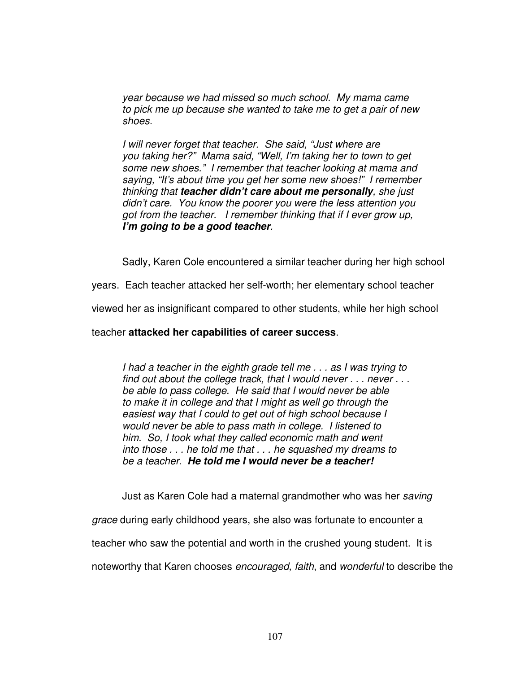year because we had missed so much school. My mama came to pick me up because she wanted to take me to get a pair of new shoes.

I will never forget that teacher. She said, "Just where are you taking her?" Mama said, "Well, I'm taking her to town to get some new shoes." I remember that teacher looking at mama and saying, "It's about time you get her some new shoes!" I remember thinking that **teacher didn't care about me personally**, she just didn't care. You know the poorer you were the less attention you got from the teacher. I remember thinking that if I ever grow up, **I'm going to be a good teacher**.

Sadly, Karen Cole encountered a similar teacher during her high school

years. Each teacher attacked her self-worth; her elementary school teacher

viewed her as insignificant compared to other students, while her high school

teacher **attacked her capabilities of career success**.

I had a teacher in the eighth grade tell me . . . as I was trying to find out about the college track, that I would never . . . never . . . be able to pass college. He said that I would never be able to make it in college and that I might as well go through the easiest way that I could to get out of high school because I would never be able to pass math in college. I listened to him. So, I took what they called economic math and went into those . . . he told me that . . . he squashed my dreams to be a teacher. **He told me I would never be a teacher!**

Just as Karen Cole had a maternal grandmother who was her saving

grace during early childhood years, she also was fortunate to encounter a

teacher who saw the potential and worth in the crushed young student. It is

noteworthy that Karen chooses encouraged, faith, and wonderful to describe the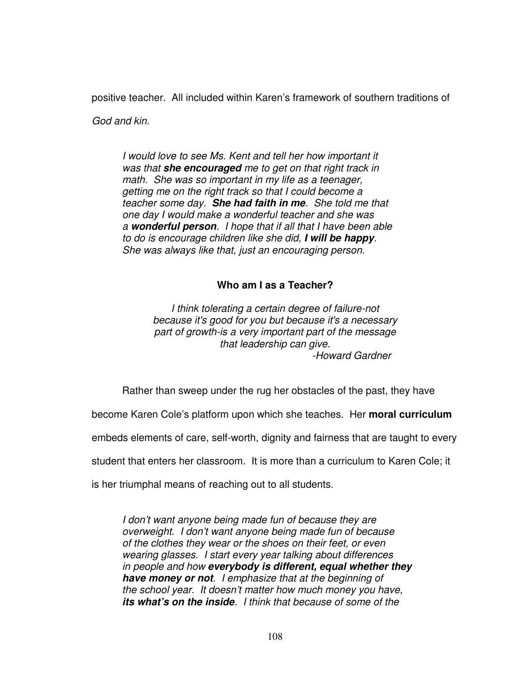positive teacher. All included within Karen's framework of southern traditions of

God and kin.

I would love to see Ms. Kent and tell her how important it was that **she encouraged** me to get on that right track in math. She was so important in my life as a teenager, getting me on the right track so that I could become a teacher some day. **She had faith in me**. She told me that one day I would make a wonderful teacher and she was a **wonderful person**. I hope that if all that I have been able to do is encourage children like she did, **I will be happy**. She was always like that, just an encouraging person.

# **Who am I as a Teacher?**

I think tolerating a certain degree of failure-not because it's good for you but because it's a necessary part of growth-is a very important part of the message that leadership can give. -Howard Gardner

Rather than sweep under the rug her obstacles of the past, they have

become Karen Cole's platform upon which she teaches. Her **moral curriculum**

embeds elements of care, self-worth, dignity and fairness that are taught to every

student that enters her classroom. It is more than a curriculum to Karen Cole; it

is her triumphal means of reaching out to all students.

I don't want anyone being made fun of because they are overweight. I don't want anyone being made fun of because of the clothes they wear or the shoes on their feet, or even wearing glasses. I start every year talking about differences in people and how **everybody is different, equal whether they have money or not**. I emphasize that at the beginning of the school year. It doesn't matter how much money you have, **its what's on the inside**. I think that because of some of the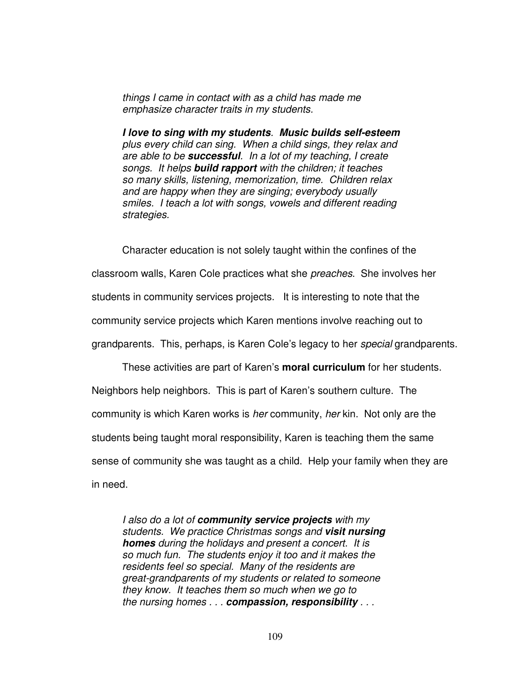things I came in contact with as a child has made me emphasize character traits in my students.

**I love to sing with my students**. **Music builds self-esteem** plus every child can sing. When a child sings, they relax and are able to be **successful**. In a lot of my teaching, I create songs. It helps **build rapport** with the children; it teaches so many skills, listening, memorization, time. Children relax and are happy when they are singing; everybody usually smiles. I teach a lot with songs, vowels and different reading strategies.

 Character education is not solely taught within the confines of the classroom walls, Karen Cole practices what she preaches. She involves her students in community services projects. It is interesting to note that the community service projects which Karen mentions involve reaching out to grandparents. This, perhaps, is Karen Cole's legacy to her *special* grandparents.

 These activities are part of Karen's **moral curriculum** for her students. Neighbors help neighbors. This is part of Karen's southern culture. The community is which Karen works is her community, her kin. Not only are the students being taught moral responsibility, Karen is teaching them the same sense of community she was taught as a child. Help your family when they are in need.

I also do a lot of **community service projects** with my students. We practice Christmas songs and **visit nursing homes** during the holidays and present a concert. It is so much fun. The students enjoy it too and it makes the residents feel so special. Many of the residents are great-grandparents of my students or related to someone they know. It teaches them so much when we go to the nursing homes . . . **compassion, responsibility** . . .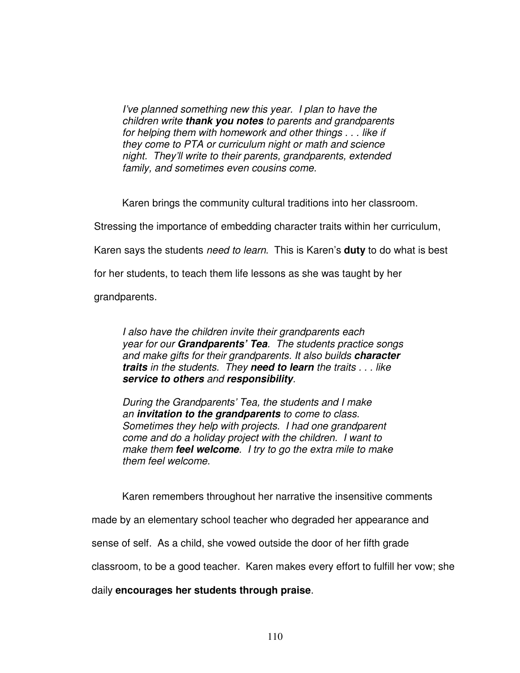I've planned something new this year. I plan to have the children write **thank you notes** to parents and grandparents for helping them with homework and other things . . . like if they come to PTA or curriculum night or math and science night. They'll write to their parents, grandparents, extended family, and sometimes even cousins come.

Karen brings the community cultural traditions into her classroom.

Stressing the importance of embedding character traits within her curriculum,

Karen says the students need to learn. This is Karen's **duty** to do what is best

for her students, to teach them life lessons as she was taught by her

grandparents.

I also have the children invite their grandparents each year for our **Grandparents' Tea**. The students practice songs and make gifts for their grandparents. It also builds **character traits** in the students. They **need to learn** the traits . . . like **service to others** and **responsibility**.

During the Grandparents' Tea, the students and I make an **invitation to the grandparents** to come to class. Sometimes they help with projects. I had one grandparent come and do a holiday project with the children. I want to make them **feel welcome**. I try to go the extra mile to make them feel welcome.

Karen remembers throughout her narrative the insensitive comments

made by an elementary school teacher who degraded her appearance and

sense of self. As a child, she vowed outside the door of her fifth grade

classroom, to be a good teacher. Karen makes every effort to fulfill her vow; she

daily **encourages her students through praise**.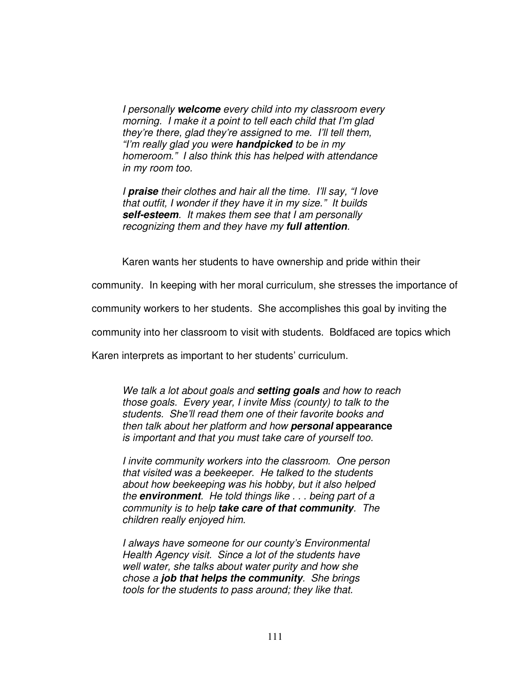I personally **welcome** every child into my classroom every morning. I make it a point to tell each child that I'm glad they're there, glad they're assigned to me. I'll tell them, "I'm really glad you were **handpicked** to be in my homeroom." I also think this has helped with attendance in my room too.

 I **praise** their clothes and hair all the time. I'll say, "I love that outfit, I wonder if they have it in my size." It builds **self-esteem**. It makes them see that I am personally recognizing them and they have my **full attention**.

Karen wants her students to have ownership and pride within their

community. In keeping with her moral curriculum, she stresses the importance of

community workers to her students. She accomplishes this goal by inviting the

community into her classroom to visit with students. Boldfaced are topics which

Karen interprets as important to her students' curriculum.

We talk a lot about goals and **setting goals** and how to reach those goals. Every year, I invite Miss (county) to talk to the students. She'll read them one of their favorite books and then talk about her platform and how **personal appearance** is important and that you must take care of yourself too.

 I invite community workers into the classroom. One person that visited was a beekeeper. He talked to the students about how beekeeping was his hobby, but it also helped the **environment**. He told things like . . . being part of a community is to help **take care of that community**. The children really enjoyed him.

 I always have someone for our county's Environmental Health Agency visit. Since a lot of the students have well water, she talks about water purity and how she chose a **job that helps the community**. She brings tools for the students to pass around; they like that.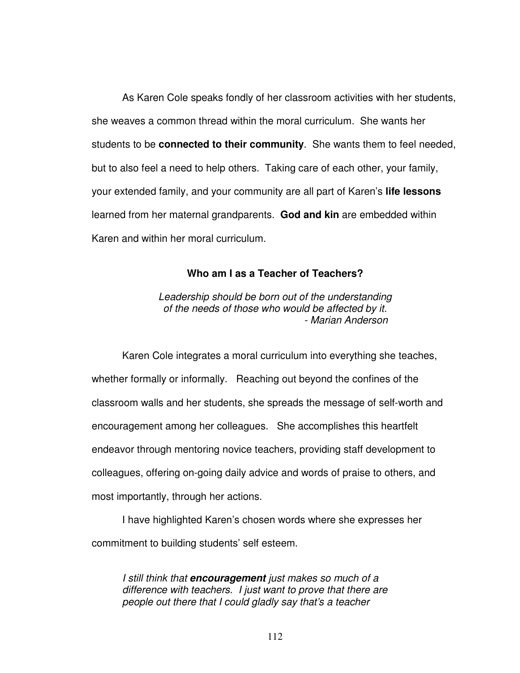As Karen Cole speaks fondly of her classroom activities with her students, she weaves a common thread within the moral curriculum. She wants her students to be **connected to their community**. She wants them to feel needed, but to also feel a need to help others. Taking care of each other, your family, your extended family, and your community are all part of Karen's **life lessons** learned from her maternal grandparents. **God and kin** are embedded within Karen and within her moral curriculum.

# **Who am I as a Teacher of Teachers?**

Leadership should be born out of the understanding of the needs of those who would be affected by it. - Marian Anderson

 Karen Cole integrates a moral curriculum into everything she teaches, whether formally or informally. Reaching out beyond the confines of the classroom walls and her students, she spreads the message of self-worth and encouragement among her colleagues. She accomplishes this heartfelt endeavor through mentoring novice teachers, providing staff development to colleagues, offering on-going daily advice and words of praise to others, and most importantly, through her actions.

 I have highlighted Karen's chosen words where she expresses her commitment to building students' self esteem.

 I still think that **encouragement** just makes so much of a difference with teachers. I just want to prove that there are people out there that I could gladly say that's a teacher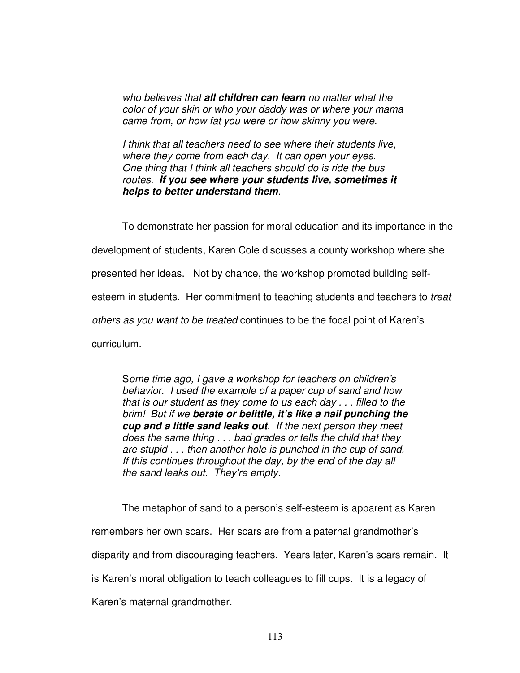who believes that **all children can learn** no matter what the color of your skin or who your daddy was or where your mama came from, or how fat you were or how skinny you were.

 I think that all teachers need to see where their students live, where they come from each day. It can open your eyes. One thing that I think all teachers should do is ride the bus routes. **If you see where your students live, sometimes it helps to better understand them**.

To demonstrate her passion for moral education and its importance in the

development of students, Karen Cole discusses a county workshop where she

presented her ideas. Not by chance, the workshop promoted building self-

esteem in students. Her commitment to teaching students and teachers to *treat* 

others as you want to be treated continues to be the focal point of Karen's

curriculum.

 Some time ago, I gave a workshop for teachers on children's behavior. I used the example of a paper cup of sand and how that is our student as they come to us each day . . . filled to the brim! But if we **berate or belittle, it's like a nail punching the cup and a little sand leaks out**. If the next person they meet does the same thing . . . bad grades or tells the child that they are stupid . . . then another hole is punched in the cup of sand. If this continues throughout the day, by the end of the day all the sand leaks out. They're empty.

 The metaphor of sand to a person's self-esteem is apparent as Karen remembers her own scars. Her scars are from a paternal grandmother's disparity and from discouraging teachers. Years later, Karen's scars remain. It is Karen's moral obligation to teach colleagues to fill cups. It is a legacy of Karen's maternal grandmother.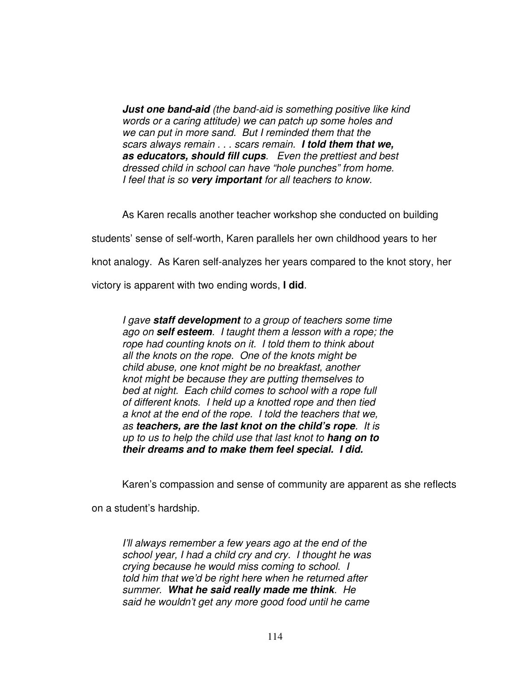**Just one band-aid** (the band-aid is something positive like kind words or a caring attitude) we can patch up some holes and we can put in more sand. But I reminded them that the scars always remain . . . scars remain. **I told them that we, as educators, should fill cups**. Even the prettiest and best dressed child in school can have "hole punches" from home. I feel that is so **very important** for all teachers to know.

As Karen recalls another teacher workshop she conducted on building

students' sense of self-worth, Karen parallels her own childhood years to her

knot analogy. As Karen self-analyzes her years compared to the knot story, her

victory is apparent with two ending words, **I did**.

 I gave **staff development** to a group of teachers some time ago on **self esteem**. I taught them a lesson with a rope; the rope had counting knots on it. I told them to think about all the knots on the rope. One of the knots might be child abuse, one knot might be no breakfast, another knot might be because they are putting themselves to bed at night. Each child comes to school with a rope full of different knots. I held up a knotted rope and then tied a knot at the end of the rope. I told the teachers that we, as **teachers, are the last knot on the child's rope**. It is up to us to help the child use that last knot to **hang on to their dreams and to make them feel special. I did.**

Karen's compassion and sense of community are apparent as she reflects

on a student's hardship.

 I'll always remember a few years ago at the end of the school year, I had a child cry and cry. I thought he was crying because he would miss coming to school. I told him that we'd be right here when he returned after summer. **What he said really made me think**. He said he wouldn't get any more good food until he came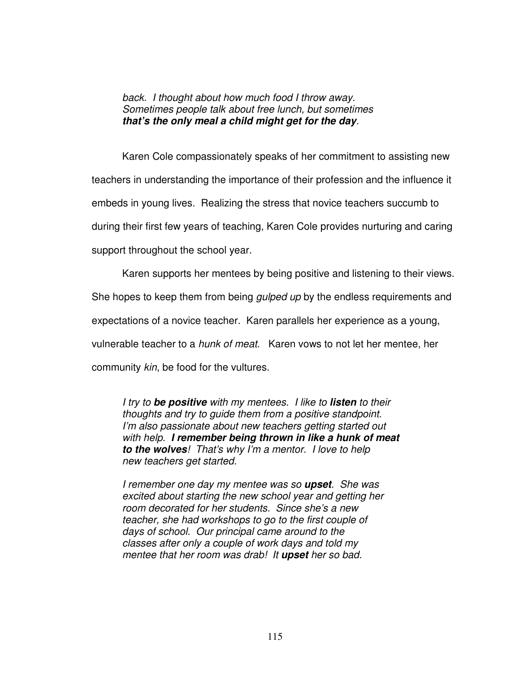back. I thought about how much food I throw away. Sometimes people talk about free lunch, but sometimes **that's the only meal a child might get for the day**.

Karen Cole compassionately speaks of her commitment to assisting new teachers in understanding the importance of their profession and the influence it embeds in young lives. Realizing the stress that novice teachers succumb to during their first few years of teaching, Karen Cole provides nurturing and caring support throughout the school year.

 Karen supports her mentees by being positive and listening to their views. She hopes to keep them from being *gulped up* by the endless requirements and expectations of a novice teacher. Karen parallels her experience as a young, vulnerable teacher to a *hunk of meat*. Karen vows to not let her mentee, her community kin, be food for the vultures.

 I try to **be positive** with my mentees. I like to **listen** to their thoughts and try to guide them from a positive standpoint. I'm also passionate about new teachers getting started out with help. **I remember being thrown in like a hunk of meat to the wolves**! That's why I'm a mentor. I love to help new teachers get started.

 I remember one day my mentee was so **upset**. She was excited about starting the new school year and getting her room decorated for her students. Since she's a new teacher, she had workshops to go to the first couple of days of school. Our principal came around to the classes after only a couple of work days and told my mentee that her room was drab! It **upset** her so bad.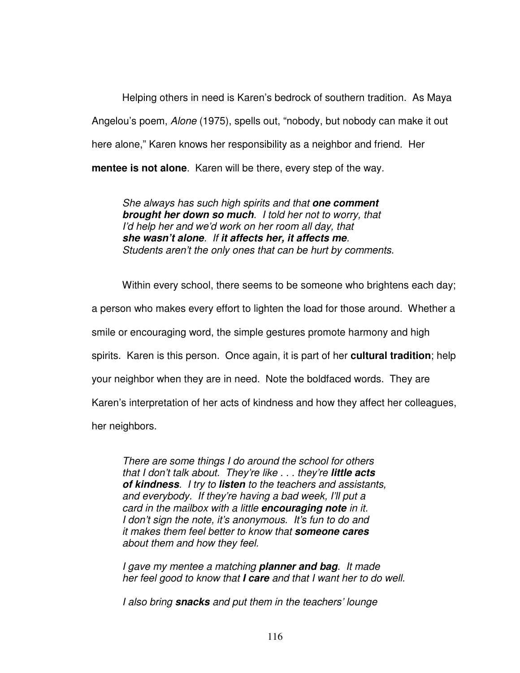Helping others in need is Karen's bedrock of southern tradition. As Maya Angelou's poem, Alone (1975), spells out, "nobody, but nobody can make it out here alone," Karen knows her responsibility as a neighbor and friend. Her **mentee is not alone**. Karen will be there, every step of the way.

 She always has such high spirits and that **one comment brought her down so much**. I told her not to worry, that I'd help her and we'd work on her room all day, that **she wasn't alone**. If **it affects her, it affects me**. Students aren't the only ones that can be hurt by comments.

Within every school, there seems to be someone who brightens each day; a person who makes every effort to lighten the load for those around. Whether a smile or encouraging word, the simple gestures promote harmony and high spirits. Karen is this person. Once again, it is part of her **cultural tradition**; help your neighbor when they are in need. Note the boldfaced words. They are Karen's interpretation of her acts of kindness and how they affect her colleagues, her neighbors.

There are some things I do around the school for others that I don't talk about. They're like . . . they're **little acts of kindness**. I try to **listen** to the teachers and assistants, and everybody. If they're having a bad week, I'll put a card in the mailbox with a little **encouraging note** in it. I don't sign the note, it's anonymous. It's fun to do and it makes them feel better to know that **someone cares** about them and how they feel.

 I gave my mentee a matching **planner and bag**. It made her feel good to know that **I care** and that I want her to do well.

I also bring **snacks** and put them in the teachers' lounge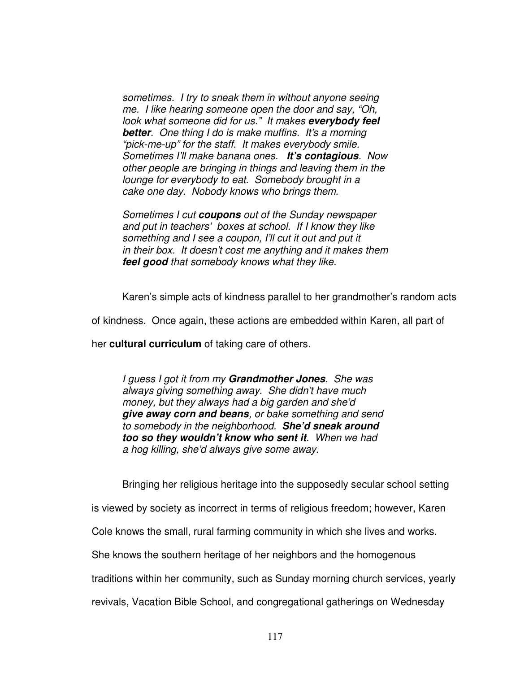sometimes. I try to sneak them in without anyone seeing me. I like hearing someone open the door and say, "Oh, look what someone did for us." It makes **everybody feel better**. One thing I do is make muffins. It's a morning "pick-me-up" for the staff. It makes everybody smile. Sometimes I'll make banana ones. **It's contagious**. Now other people are bringing in things and leaving them in the lounge for everybody to eat. Somebody brought in a cake one day. Nobody knows who brings them.

 Sometimes I cut **coupons** out of the Sunday newspaper and put in teachers' boxes at school. If I know they like something and I see a coupon, I'll cut it out and put it in their box. It doesn't cost me anything and it makes them **feel good** that somebody knows what they like.

Karen's simple acts of kindness parallel to her grandmother's random acts

of kindness. Once again, these actions are embedded within Karen, all part of

her **cultural curriculum** of taking care of others.

 I guess I got it from my **Grandmother Jones**. She was always giving something away. She didn't have much money, but they always had a big garden and she'd **give away corn and beans**, or bake something and send to somebody in the neighborhood. **She'd sneak around too so they wouldn't know who sent it**. When we had a hog killing, she'd always give some away.

Bringing her religious heritage into the supposedly secular school setting

is viewed by society as incorrect in terms of religious freedom; however, Karen

Cole knows the small, rural farming community in which she lives and works.

She knows the southern heritage of her neighbors and the homogenous

traditions within her community, such as Sunday morning church services, yearly

revivals, Vacation Bible School, and congregational gatherings on Wednesday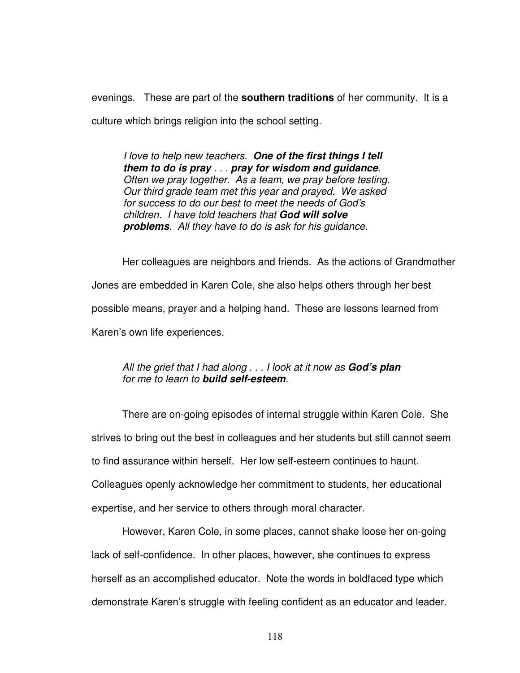evenings. These are part of the **southern traditions** of her community. It is a culture which brings religion into the school setting.

I love to help new teachers. **One of the first things I tell them to do is pray** . . . **pray for wisdom and guidance**. Often we pray together. As a team, we pray before testing. Our third grade team met this year and prayed. We asked for success to do our best to meet the needs of God's children. I have told teachers that **God will solve problems**. All they have to do is ask for his guidance.

 Her colleagues are neighbors and friends. As the actions of Grandmother Jones are embedded in Karen Cole, she also helps others through her best possible means, prayer and a helping hand. These are lessons learned from Karen's own life experiences.

# All the grief that I had along . . . I look at it now as **God's plan** for me to learn to **build self-esteem**.

 There are on-going episodes of internal struggle within Karen Cole. She strives to bring out the best in colleagues and her students but still cannot seem to find assurance within herself. Her low self-esteem continues to haunt. Colleagues openly acknowledge her commitment to students, her educational expertise, and her service to others through moral character.

 However, Karen Cole, in some places, cannot shake loose her on-going lack of self-confidence. In other places, however, she continues to express herself as an accomplished educator. Note the words in boldfaced type which demonstrate Karen's struggle with feeling confident as an educator and leader.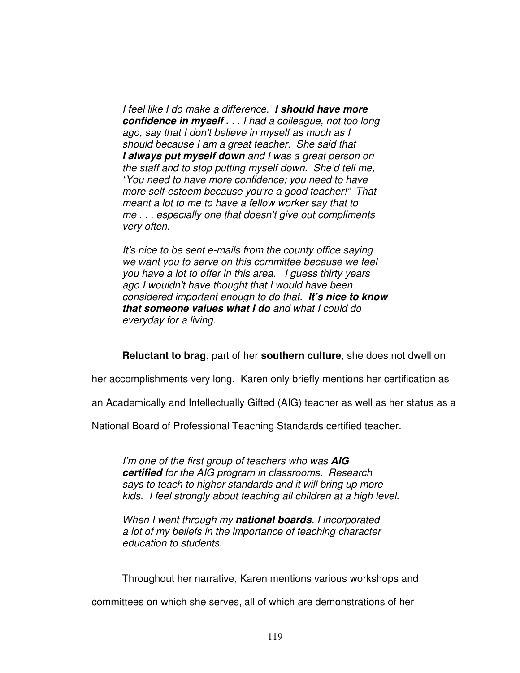I feel like I do make a difference. **I should have more confidence in myself .** . . I had a colleague, not too long ago, say that I don't believe in myself as much as I should because I am a great teacher. She said that **I always put myself down** and I was a great person on the staff and to stop putting myself down. She'd tell me, "You need to have more confidence; you need to have more self-esteem because you're a good teacher!" That meant a lot to me to have a fellow worker say that to me . . . especially one that doesn't give out compliments very often.

 It's nice to be sent e-mails from the county office saying we want you to serve on this committee because we feel you have a lot to offer in this area. I guess thirty years ago I wouldn't have thought that I would have been considered important enough to do that. **It's nice to know that someone values what I do** and what I could do everyday for a living.

**Reluctant to brag**, part of her **southern culture**, she does not dwell on

her accomplishments very long. Karen only briefly mentions her certification as

an Academically and Intellectually Gifted (AIG) teacher as well as her status as a

National Board of Professional Teaching Standards certified teacher.

 I'm one of the first group of teachers who was **AIG certified** for the AIG program in classrooms. Research says to teach to higher standards and it will bring up more kids. I feel strongly about teaching all children at a high level.

 When I went through my **national boards**, I incorporated a lot of my beliefs in the importance of teaching character education to students.

Throughout her narrative, Karen mentions various workshops and

committees on which she serves, all of which are demonstrations of her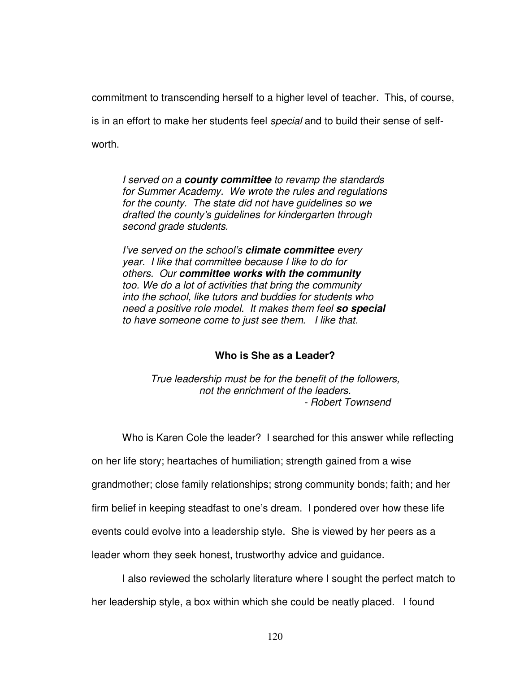commitment to transcending herself to a higher level of teacher. This, of course,

is in an effort to make her students feel special and to build their sense of self-

worth.

 I served on a **county committee** to revamp the standards for Summer Academy. We wrote the rules and regulations for the county. The state did not have guidelines so we drafted the county's guidelines for kindergarten through second grade students.

 I've served on the school's **climate committee** every year. I like that committee because I like to do for others. Our **committee works with the community** too. We do a lot of activities that bring the community into the school, like tutors and buddies for students who need a positive role model. It makes them feel **so special** to have someone come to just see them. I like that.

# **Who is She as a Leader?**

True leadership must be for the benefit of the followers, not the enrichment of the leaders. - Robert Townsend

Who is Karen Cole the leader? I searched for this answer while reflecting

on her life story; heartaches of humiliation; strength gained from a wise

grandmother; close family relationships; strong community bonds; faith; and her

firm belief in keeping steadfast to one's dream. I pondered over how these life

events could evolve into a leadership style. She is viewed by her peers as a

leader whom they seek honest, trustworthy advice and guidance.

 I also reviewed the scholarly literature where I sought the perfect match to her leadership style, a box within which she could be neatly placed. I found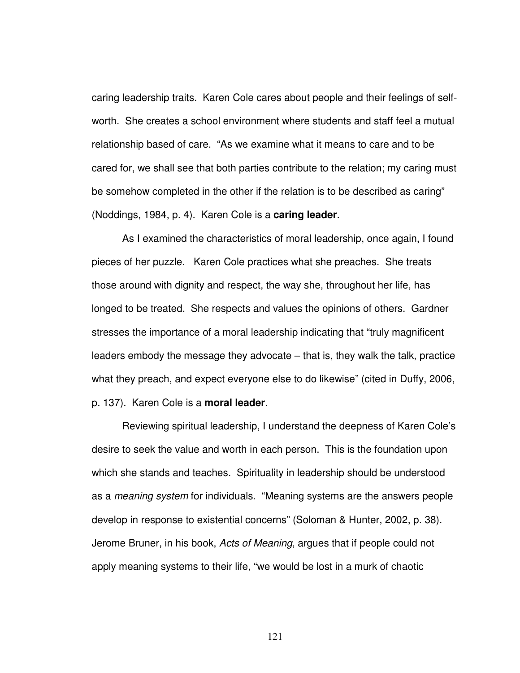caring leadership traits. Karen Cole cares about people and their feelings of selfworth. She creates a school environment where students and staff feel a mutual relationship based of care. "As we examine what it means to care and to be cared for, we shall see that both parties contribute to the relation; my caring must be somehow completed in the other if the relation is to be described as caring" (Noddings, 1984, p. 4). Karen Cole is a **caring leader**.

 As I examined the characteristics of moral leadership, once again, I found pieces of her puzzle. Karen Cole practices what she preaches. She treats those around with dignity and respect, the way she, throughout her life, has longed to be treated. She respects and values the opinions of others. Gardner stresses the importance of a moral leadership indicating that "truly magnificent leaders embody the message they advocate – that is, they walk the talk, practice what they preach, and expect everyone else to do likewise" (cited in Duffy, 2006, p. 137). Karen Cole is a **moral leader**.

 Reviewing spiritual leadership, I understand the deepness of Karen Cole's desire to seek the value and worth in each person. This is the foundation upon which she stands and teaches. Spirituality in leadership should be understood as a *meaning system* for individuals. "Meaning systems are the answers people develop in response to existential concerns" (Soloman & Hunter, 2002, p. 38). Jerome Bruner, in his book, Acts of Meaning, argues that if people could not apply meaning systems to their life, "we would be lost in a murk of chaotic

121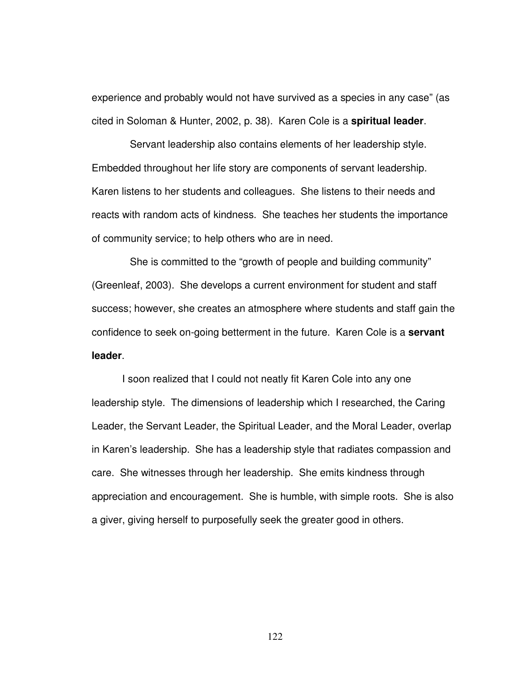experience and probably would not have survived as a species in any case" (as cited in Soloman & Hunter, 2002, p. 38). Karen Cole is a **spiritual leader**.

 Servant leadership also contains elements of her leadership style. Embedded throughout her life story are components of servant leadership. Karen listens to her students and colleagues. She listens to their needs and reacts with random acts of kindness. She teaches her students the importance of community service; to help others who are in need.

 She is committed to the "growth of people and building community" (Greenleaf, 2003). She develops a current environment for student and staff success; however, she creates an atmosphere where students and staff gain the confidence to seek on-going betterment in the future. Karen Cole is a **servant leader**.

 I soon realized that I could not neatly fit Karen Cole into any one leadership style. The dimensions of leadership which I researched, the Caring Leader, the Servant Leader, the Spiritual Leader, and the Moral Leader, overlap in Karen's leadership. She has a leadership style that radiates compassion and care. She witnesses through her leadership. She emits kindness through appreciation and encouragement. She is humble, with simple roots. She is also a giver, giving herself to purposefully seek the greater good in others.

122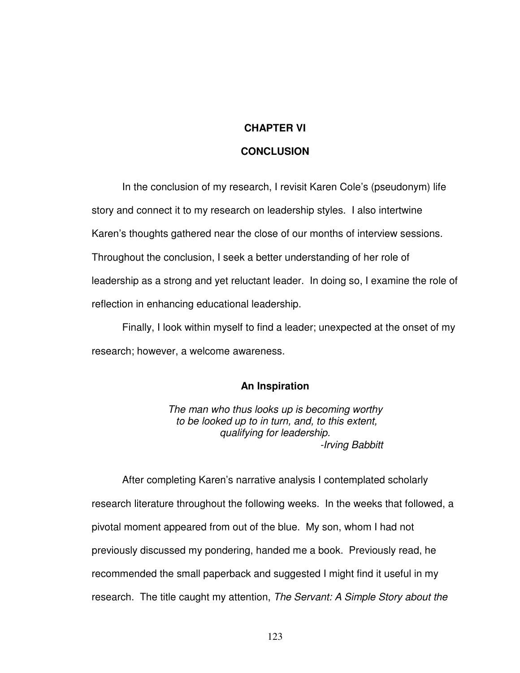# **CHAPTER VI**

## **CONCLUSION**

 In the conclusion of my research, I revisit Karen Cole's (pseudonym) life story and connect it to my research on leadership styles. I also intertwine Karen's thoughts gathered near the close of our months of interview sessions. Throughout the conclusion, I seek a better understanding of her role of leadership as a strong and yet reluctant leader. In doing so, I examine the role of reflection in enhancing educational leadership.

 Finally, I look within myself to find a leader; unexpected at the onset of my research; however, a welcome awareness.

# **An Inspiration**

The man who thus looks up is becoming worthy to be looked up to in turn, and, to this extent, qualifying for leadership. -Irving Babbitt

 After completing Karen's narrative analysis I contemplated scholarly research literature throughout the following weeks. In the weeks that followed, a pivotal moment appeared from out of the blue. My son, whom I had not previously discussed my pondering, handed me a book. Previously read, he recommended the small paperback and suggested I might find it useful in my research. The title caught my attention, The Servant: A Simple Story about the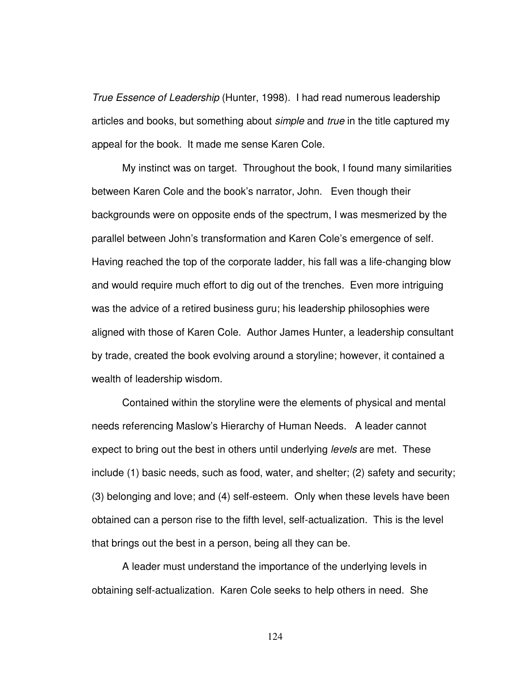True Essence of Leadership (Hunter, 1998). I had read numerous leadership articles and books, but something about simple and true in the title captured my appeal for the book. It made me sense Karen Cole.

 My instinct was on target. Throughout the book, I found many similarities between Karen Cole and the book's narrator, John. Even though their backgrounds were on opposite ends of the spectrum, I was mesmerized by the parallel between John's transformation and Karen Cole's emergence of self. Having reached the top of the corporate ladder, his fall was a life-changing blow and would require much effort to dig out of the trenches. Even more intriguing was the advice of a retired business guru; his leadership philosophies were aligned with those of Karen Cole. Author James Hunter, a leadership consultant by trade, created the book evolving around a storyline; however, it contained a wealth of leadership wisdom.

 Contained within the storyline were the elements of physical and mental needs referencing Maslow's Hierarchy of Human Needs. A leader cannot expect to bring out the best in others until underlying *levels* are met. These include (1) basic needs, such as food, water, and shelter; (2) safety and security; (3) belonging and love; and (4) self-esteem. Only when these levels have been obtained can a person rise to the fifth level, self-actualization. This is the level that brings out the best in a person, being all they can be.

 A leader must understand the importance of the underlying levels in obtaining self-actualization. Karen Cole seeks to help others in need. She

124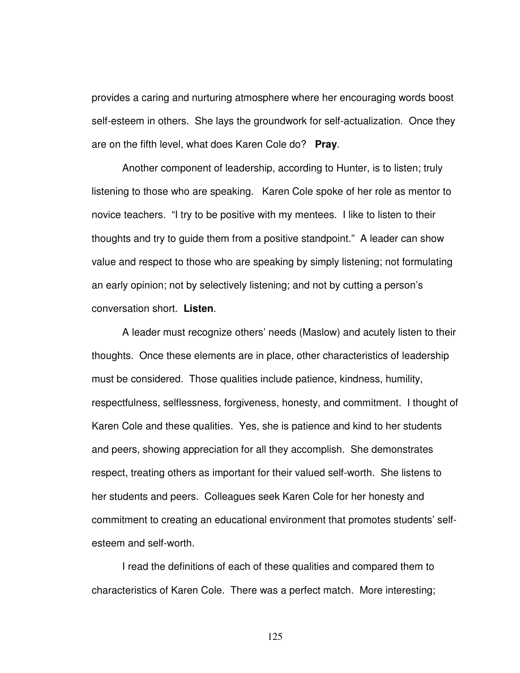provides a caring and nurturing atmosphere where her encouraging words boost self-esteem in others. She lays the groundwork for self-actualization. Once they are on the fifth level, what does Karen Cole do? **Pray**.

 Another component of leadership, according to Hunter, is to listen; truly listening to those who are speaking. Karen Cole spoke of her role as mentor to novice teachers. "I try to be positive with my mentees. I like to listen to their thoughts and try to guide them from a positive standpoint." A leader can show value and respect to those who are speaking by simply listening; not formulating an early opinion; not by selectively listening; and not by cutting a person's conversation short. **Listen**.

 A leader must recognize others' needs (Maslow) and acutely listen to their thoughts. Once these elements are in place, other characteristics of leadership must be considered. Those qualities include patience, kindness, humility, respectfulness, selflessness, forgiveness, honesty, and commitment. I thought of Karen Cole and these qualities. Yes, she is patience and kind to her students and peers, showing appreciation for all they accomplish. She demonstrates respect, treating others as important for their valued self-worth. She listens to her students and peers. Colleagues seek Karen Cole for her honesty and commitment to creating an educational environment that promotes students' selfesteem and self-worth.

 I read the definitions of each of these qualities and compared them to characteristics of Karen Cole. There was a perfect match. More interesting;

125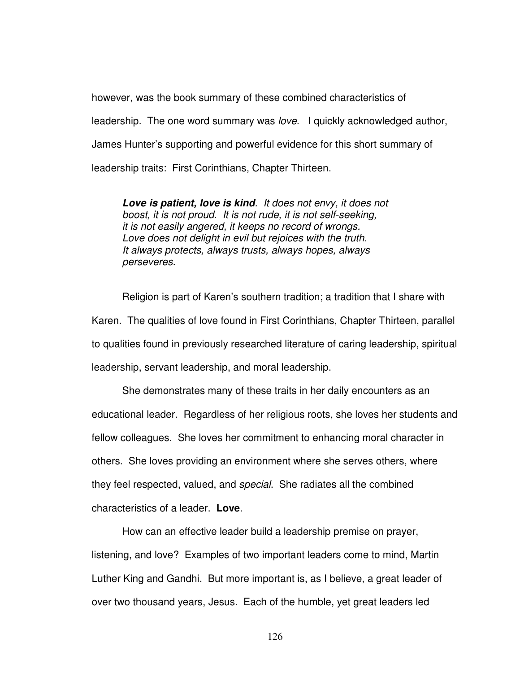however, was the book summary of these combined characteristics of leadership. The one word summary was love. I quickly acknowledged author, James Hunter's supporting and powerful evidence for this short summary of leadership traits: First Corinthians, Chapter Thirteen.

**Love is patient, love is kind**. It does not envy, it does not boost, it is not proud. It is not rude, it is not self-seeking, it is not easily angered, it keeps no record of wrongs. Love does not delight in evil but rejoices with the truth. It always protects, always trusts, always hopes, always perseveres.

 Religion is part of Karen's southern tradition; a tradition that I share with Karen. The qualities of love found in First Corinthians, Chapter Thirteen, parallel to qualities found in previously researched literature of caring leadership, spiritual leadership, servant leadership, and moral leadership.

 She demonstrates many of these traits in her daily encounters as an educational leader. Regardless of her religious roots, she loves her students and fellow colleagues. She loves her commitment to enhancing moral character in others. She loves providing an environment where she serves others, where they feel respected, valued, and special. She radiates all the combined characteristics of a leader. **Love**.

 How can an effective leader build a leadership premise on prayer, listening, and love? Examples of two important leaders come to mind, Martin Luther King and Gandhi. But more important is, as I believe, a great leader of over two thousand years, Jesus. Each of the humble, yet great leaders led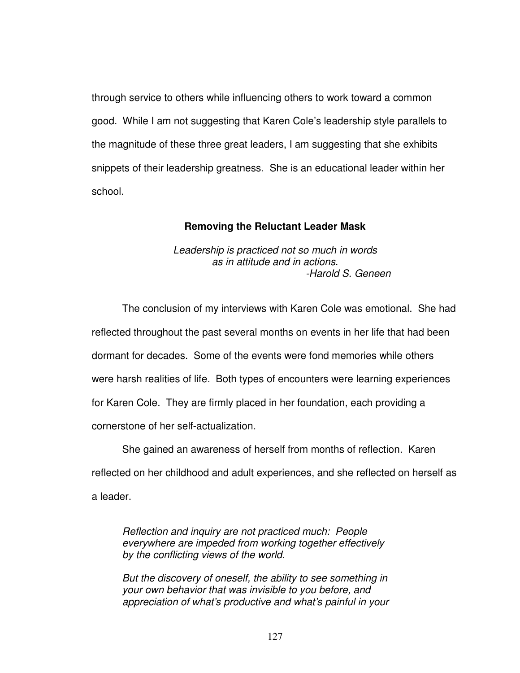through service to others while influencing others to work toward a common good. While I am not suggesting that Karen Cole's leadership style parallels to the magnitude of these three great leaders, I am suggesting that she exhibits snippets of their leadership greatness. She is an educational leader within her school.

## **Removing the Reluctant Leader Mask**

Leadership is practiced not so much in words as in attitude and in actions. -Harold S. Geneen

 The conclusion of my interviews with Karen Cole was emotional. She had reflected throughout the past several months on events in her life that had been dormant for decades. Some of the events were fond memories while others were harsh realities of life. Both types of encounters were learning experiences for Karen Cole. They are firmly placed in her foundation, each providing a cornerstone of her self-actualization.

 She gained an awareness of herself from months of reflection. Karen reflected on her childhood and adult experiences, and she reflected on herself as a leader.

Reflection and inquiry are not practiced much: People everywhere are impeded from working together effectively by the conflicting views of the world.

But the discovery of oneself, the ability to see something in your own behavior that was invisible to you before, and appreciation of what's productive and what's painful in your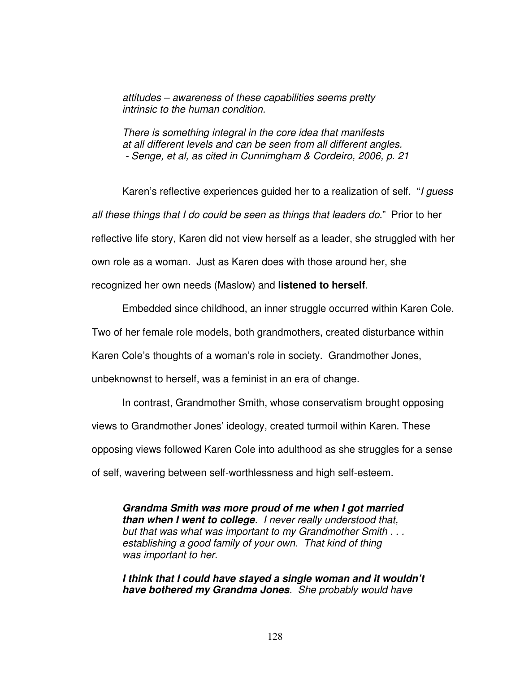attitudes – awareness of these capabilities seems pretty intrinsic to the human condition.

There is something integral in the core idea that manifests at all different levels and can be seen from all different angles. - Senge, et al, as cited in Cunnimgham & Cordeiro, 2006, p. 21

Karen's reflective experiences quided her to a realization of self. "I quess all these things that I do could be seen as things that leaders do." Prior to her reflective life story, Karen did not view herself as a leader, she struggled with her own role as a woman. Just as Karen does with those around her, she recognized her own needs (Maslow) and **listened to herself**.

Embedded since childhood, an inner struggle occurred within Karen Cole.

Two of her female role models, both grandmothers, created disturbance within

Karen Cole's thoughts of a woman's role in society. Grandmother Jones,

unbeknownst to herself, was a feminist in an era of change.

 In contrast, Grandmother Smith, whose conservatism brought opposing views to Grandmother Jones' ideology, created turmoil within Karen. These opposing views followed Karen Cole into adulthood as she struggles for a sense of self, wavering between self-worthlessness and high self-esteem.

**Grandma Smith was more proud of me when I got married than when I went to college**. I never really understood that, but that was what was important to my Grandmother Smith . . . establishing a good family of your own. That kind of thing was important to her.

**I think that I could have stayed a single woman and it wouldn't have bothered my Grandma Jones**. She probably would have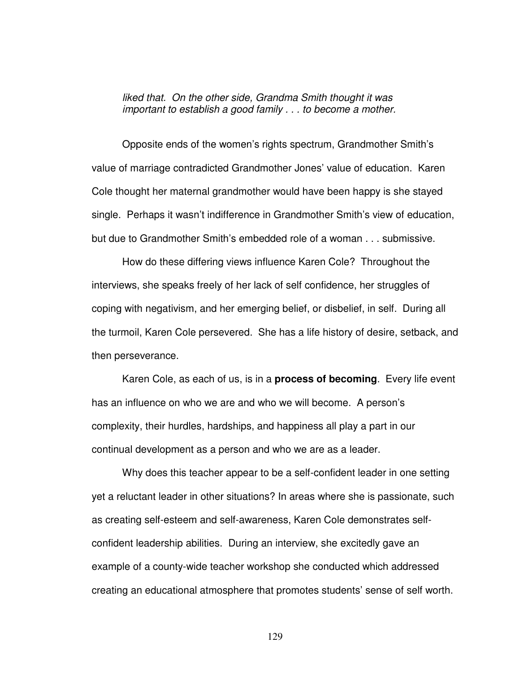liked that. On the other side, Grandma Smith thought it was important to establish a good family . . . to become a mother.

 Opposite ends of the women's rights spectrum, Grandmother Smith's value of marriage contradicted Grandmother Jones' value of education. Karen Cole thought her maternal grandmother would have been happy is she stayed single. Perhaps it wasn't indifference in Grandmother Smith's view of education, but due to Grandmother Smith's embedded role of a woman . . . submissive.

 How do these differing views influence Karen Cole? Throughout the interviews, she speaks freely of her lack of self confidence, her struggles of coping with negativism, and her emerging belief, or disbelief, in self. During all the turmoil, Karen Cole persevered. She has a life history of desire, setback, and then perseverance.

 Karen Cole, as each of us, is in a **process of becoming**. Every life event has an influence on who we are and who we will become. A person's complexity, their hurdles, hardships, and happiness all play a part in our continual development as a person and who we are as a leader.

 Why does this teacher appear to be a self-confident leader in one setting yet a reluctant leader in other situations? In areas where she is passionate, such as creating self-esteem and self-awareness, Karen Cole demonstrates selfconfident leadership abilities. During an interview, she excitedly gave an example of a county-wide teacher workshop she conducted which addressed creating an educational atmosphere that promotes students' sense of self worth.

129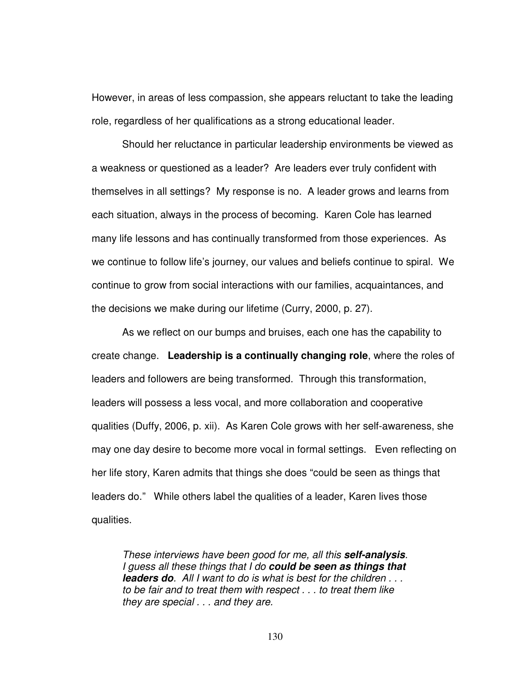However, in areas of less compassion, she appears reluctant to take the leading role, regardless of her qualifications as a strong educational leader.

 Should her reluctance in particular leadership environments be viewed as a weakness or questioned as a leader? Are leaders ever truly confident with themselves in all settings? My response is no. A leader grows and learns from each situation, always in the process of becoming. Karen Cole has learned many life lessons and has continually transformed from those experiences. As we continue to follow life's journey, our values and beliefs continue to spiral. We continue to grow from social interactions with our families, acquaintances, and the decisions we make during our lifetime (Curry, 2000, p. 27).

 As we reflect on our bumps and bruises, each one has the capability to create change. **Leadership is a continually changing role**, where the roles of leaders and followers are being transformed. Through this transformation, leaders will possess a less vocal, and more collaboration and cooperative qualities (Duffy, 2006, p. xii). As Karen Cole grows with her self-awareness, she may one day desire to become more vocal in formal settings. Even reflecting on her life story, Karen admits that things she does "could be seen as things that leaders do." While others label the qualities of a leader, Karen lives those qualities.

These interviews have been good for me, all this **self-analysis**. I guess all these things that I do **could be seen as things that leaders do**. All I want to do is what is best for the children . . . to be fair and to treat them with respect . . . to treat them like they are special . . . and they are.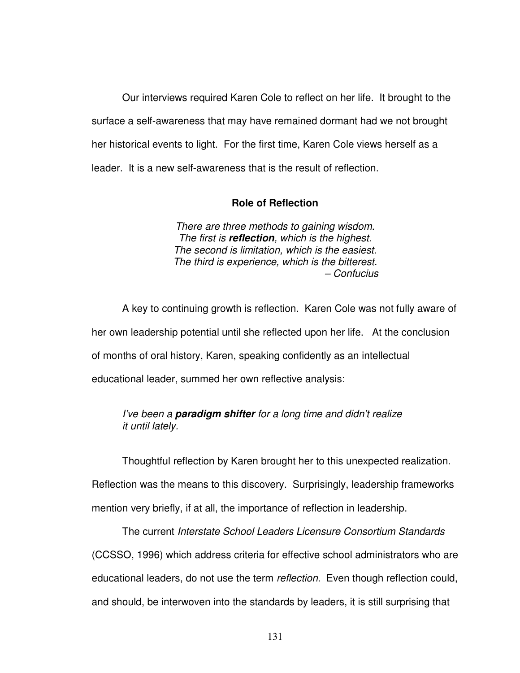Our interviews required Karen Cole to reflect on her life. It brought to the surface a self-awareness that may have remained dormant had we not brought her historical events to light. For the first time, Karen Cole views herself as a leader. It is a new self-awareness that is the result of reflection.

#### **Role of Reflection**

There are three methods to gaining wisdom. The first is **reflection**, which is the highest. The second is limitation, which is the easiest. The third is experience, which is the bitterest. – Confucius

 A key to continuing growth is reflection. Karen Cole was not fully aware of her own leadership potential until she reflected upon her life. At the conclusion of months of oral history, Karen, speaking confidently as an intellectual educational leader, summed her own reflective analysis:

I've been a **paradigm shifter** for a long time and didn't realize it until lately.

Thoughtful reflection by Karen brought her to this unexpected realization.

Reflection was the means to this discovery. Surprisingly, leadership frameworks mention very briefly, if at all, the importance of reflection in leadership.

 The current Interstate School Leaders Licensure Consortium Standards (CCSSO, 1996) which address criteria for effective school administrators who are educational leaders, do not use the term *reflection*. Even though reflection could, and should, be interwoven into the standards by leaders, it is still surprising that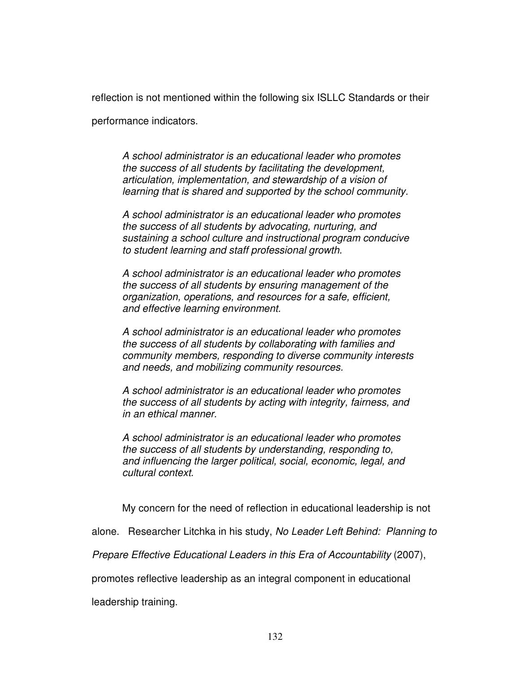reflection is not mentioned within the following six ISLLC Standards or their

performance indicators.

A school administrator is an educational leader who promotes the success of all students by facilitating the development, articulation, implementation, and stewardship of a vision of learning that is shared and supported by the school community.

 A school administrator is an educational leader who promotes the success of all students by advocating, nurturing, and sustaining a school culture and instructional program conducive to student learning and staff professional growth.

 A school administrator is an educational leader who promotes the success of all students by ensuring management of the organization, operations, and resources for a safe, efficient, and effective learning environment.

 A school administrator is an educational leader who promotes the success of all students by collaborating with families and community members, responding to diverse community interests and needs, and mobilizing community resources.

 A school administrator is an educational leader who promotes the success of all students by acting with integrity, fairness, and in an ethical manner.

 A school administrator is an educational leader who promotes the success of all students by understanding, responding to, and influencing the larger political, social, economic, legal, and cultural context.

My concern for the need of reflection in educational leadership is not

alone. Researcher Litchka in his study, No Leader Left Behind: Planning to

Prepare Effective Educational Leaders in this Era of Accountability (2007),

promotes reflective leadership as an integral component in educational

leadership training.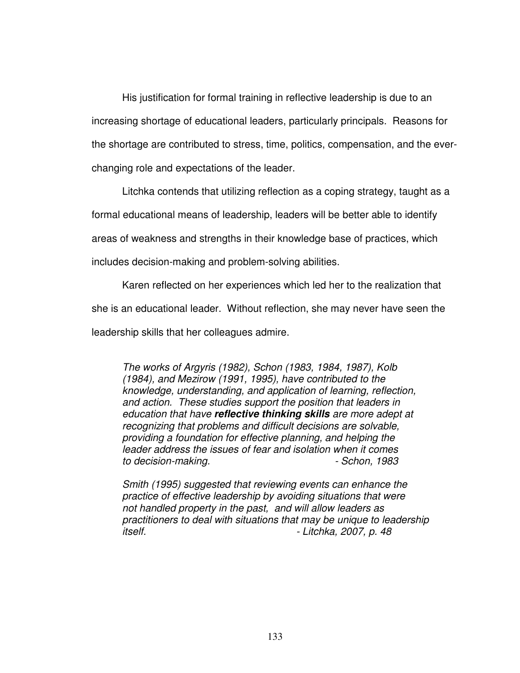His justification for formal training in reflective leadership is due to an increasing shortage of educational leaders, particularly principals. Reasons for the shortage are contributed to stress, time, politics, compensation, and the everchanging role and expectations of the leader.

Litchka contends that utilizing reflection as a coping strategy, taught as a

formal educational means of leadership, leaders will be better able to identify

areas of weakness and strengths in their knowledge base of practices, which

includes decision-making and problem-solving abilities.

Karen reflected on her experiences which led her to the realization that

she is an educational leader. Without reflection, she may never have seen the

leadership skills that her colleagues admire.

The works of Argyris (1982), Schon (1983, 1984, 1987), Kolb (1984), and Mezirow (1991, 1995), have contributed to the knowledge, understanding, and application of learning, reflection, and action. These studies support the position that leaders in education that have **reflective thinking skills** are more adept at recognizing that problems and difficult decisions are solvable, providing a foundation for effective planning, and helping the leader address the issues of fear and isolation when it comes to decision-making. The state of the Schon, 1983

Smith (1995) suggested that reviewing events can enhance the practice of effective leadership by avoiding situations that were not handled property in the past, and will allow leaders as practitioners to deal with situations that may be unique to leadership itself. - Litchka, 2007, p. 48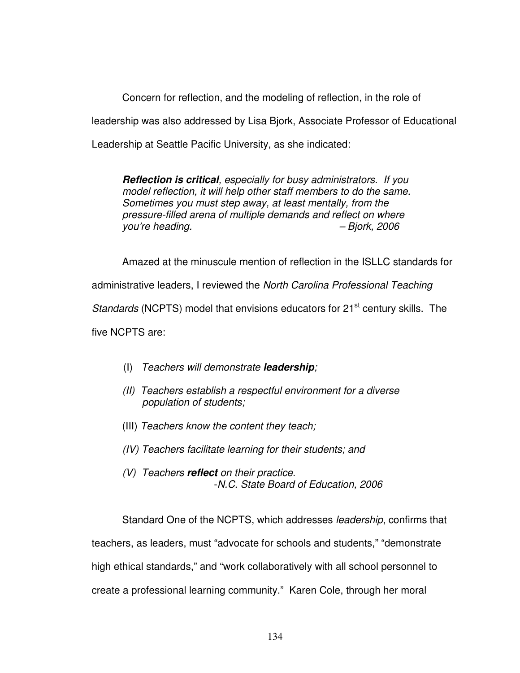Concern for reflection, and the modeling of reflection, in the role of leadership was also addressed by Lisa Bjork, Associate Professor of Educational Leadership at Seattle Pacific University, as she indicated:

**Reflection is critical**, especially for busy administrators. If you model reflection, it will help other staff members to do the same. Sometimes you must step away, at least mentally, from the pressure-filled arena of multiple demands and reflect on where you're heading. – Bjork, 2006

 Amazed at the minuscule mention of reflection in the ISLLC standards for administrative leaders, I reviewed the North Carolina Professional Teaching Standards (NCPTS) model that envisions educators for 21<sup>st</sup> century skills. The five NCPTS are:

- (I) Teachers will demonstrate **leadership**;
- (II) Teachers establish a respectful environment for a diverse population of students;
- (III) Teachers know the content they teach;
- (IV) Teachers facilitate learning for their students; and
- (V) Teachers **reflect** on their practice. -N.C. State Board of Education, 2006

 Standard One of the NCPTS, which addresses leadership, confirms that teachers, as leaders, must "advocate for schools and students," "demonstrate high ethical standards," and "work collaboratively with all school personnel to create a professional learning community." Karen Cole, through her moral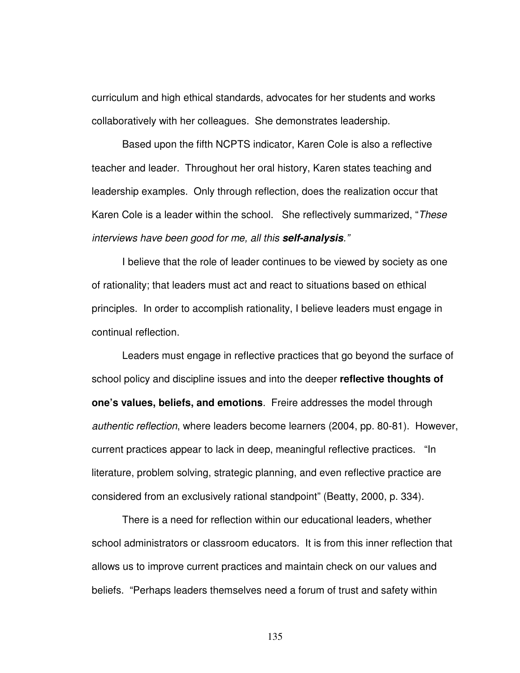curriculum and high ethical standards, advocates for her students and works collaboratively with her colleagues. She demonstrates leadership.

 Based upon the fifth NCPTS indicator, Karen Cole is also a reflective teacher and leader. Throughout her oral history, Karen states teaching and leadership examples. Only through reflection, does the realization occur that Karen Cole is a leader within the school. She reflectively summarized, "These interviews have been good for me, all this **self-analysis**."

 I believe that the role of leader continues to be viewed by society as one of rationality; that leaders must act and react to situations based on ethical principles. In order to accomplish rationality, I believe leaders must engage in continual reflection.

 Leaders must engage in reflective practices that go beyond the surface of school policy and discipline issues and into the deeper **reflective thoughts of one's values, beliefs, and emotions**. Freire addresses the model through authentic reflection, where leaders become learners (2004, pp. 80-81). However, current practices appear to lack in deep, meaningful reflective practices. "In literature, problem solving, strategic planning, and even reflective practice are considered from an exclusively rational standpoint" (Beatty, 2000, p. 334).

 There is a need for reflection within our educational leaders, whether school administrators or classroom educators. It is from this inner reflection that allows us to improve current practices and maintain check on our values and beliefs. "Perhaps leaders themselves need a forum of trust and safety within

135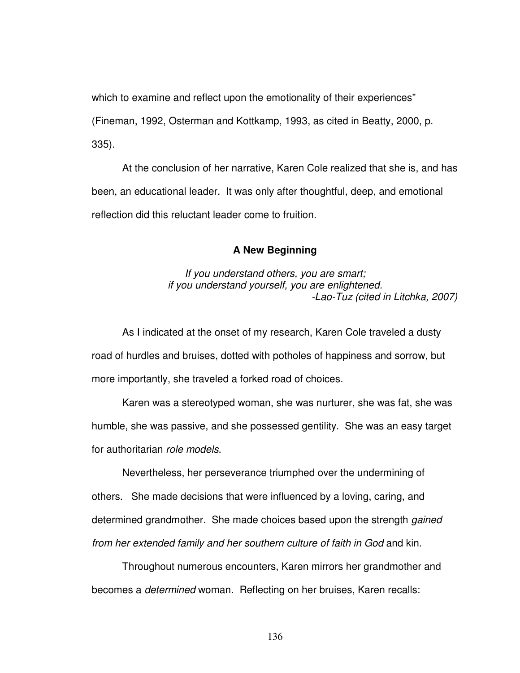which to examine and reflect upon the emotionality of their experiences" (Fineman, 1992, Osterman and Kottkamp, 1993, as cited in Beatty, 2000, p. 335).

 At the conclusion of her narrative, Karen Cole realized that she is, and has been, an educational leader. It was only after thoughtful, deep, and emotional reflection did this reluctant leader come to fruition.

## **A New Beginning**

If you understand others, you are smart; if you understand yourself, you are enlightened. -Lao-Tuz (cited in Litchka, 2007)

 As I indicated at the onset of my research, Karen Cole traveled a dusty road of hurdles and bruises, dotted with potholes of happiness and sorrow, but more importantly, she traveled a forked road of choices.

 Karen was a stereotyped woman, she was nurturer, she was fat, she was humble, she was passive, and she possessed gentility. She was an easy target for authoritarian role models.

 Nevertheless, her perseverance triumphed over the undermining of others. She made decisions that were influenced by a loving, caring, and determined grandmother. She made choices based upon the strength *gained* from her extended family and her southern culture of faith in God and kin.

 Throughout numerous encounters, Karen mirrors her grandmother and becomes a determined woman. Reflecting on her bruises, Karen recalls: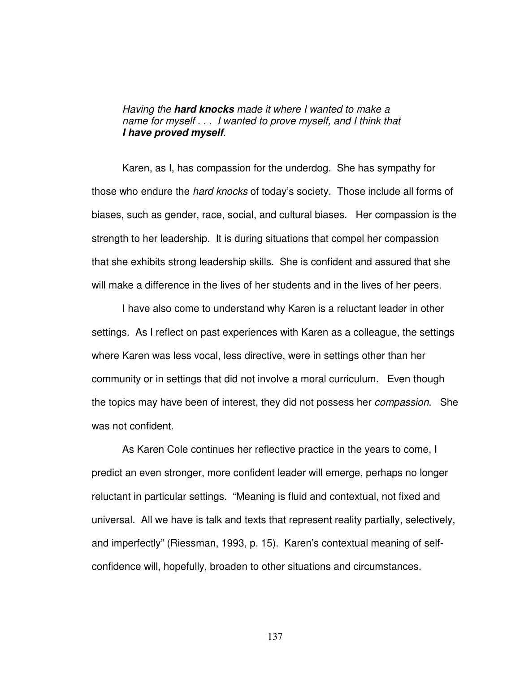## Having the **hard knocks** made it where I wanted to make a name for myself . . . I wanted to prove myself, and I think that **I have proved myself**.

 Karen, as I, has compassion for the underdog. She has sympathy for those who endure the *hard knocks* of today's society. Those include all forms of biases, such as gender, race, social, and cultural biases. Her compassion is the strength to her leadership. It is during situations that compel her compassion that she exhibits strong leadership skills. She is confident and assured that she will make a difference in the lives of her students and in the lives of her peers.

 I have also come to understand why Karen is a reluctant leader in other settings. As I reflect on past experiences with Karen as a colleague, the settings where Karen was less vocal, less directive, were in settings other than her community or in settings that did not involve a moral curriculum. Even though the topics may have been of interest, they did not possess her compassion. She was not confident.

 As Karen Cole continues her reflective practice in the years to come, I predict an even stronger, more confident leader will emerge, perhaps no longer reluctant in particular settings. "Meaning is fluid and contextual, not fixed and universal. All we have is talk and texts that represent reality partially, selectively, and imperfectly" (Riessman, 1993, p. 15). Karen's contextual meaning of selfconfidence will, hopefully, broaden to other situations and circumstances.

137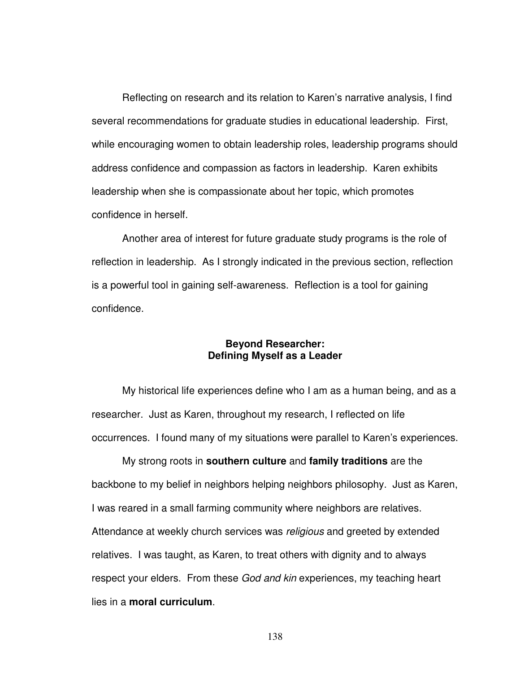Reflecting on research and its relation to Karen's narrative analysis, I find several recommendations for graduate studies in educational leadership. First, while encouraging women to obtain leadership roles, leadership programs should address confidence and compassion as factors in leadership. Karen exhibits leadership when she is compassionate about her topic, which promotes confidence in herself.

 Another area of interest for future graduate study programs is the role of reflection in leadership. As I strongly indicated in the previous section, reflection is a powerful tool in gaining self-awareness. Reflection is a tool for gaining confidence.

## **Beyond Researcher: Defining Myself as a Leader**

My historical life experiences define who I am as a human being, and as a researcher. Just as Karen, throughout my research, I reflected on life occurrences. I found many of my situations were parallel to Karen's experiences.

My strong roots in **southern culture** and **family traditions** are the backbone to my belief in neighbors helping neighbors philosophy. Just as Karen, I was reared in a small farming community where neighbors are relatives. Attendance at weekly church services was *religious* and greeted by extended relatives. I was taught, as Karen, to treat others with dignity and to always respect your elders. From these God and kin experiences, my teaching heart lies in a **moral curriculum**.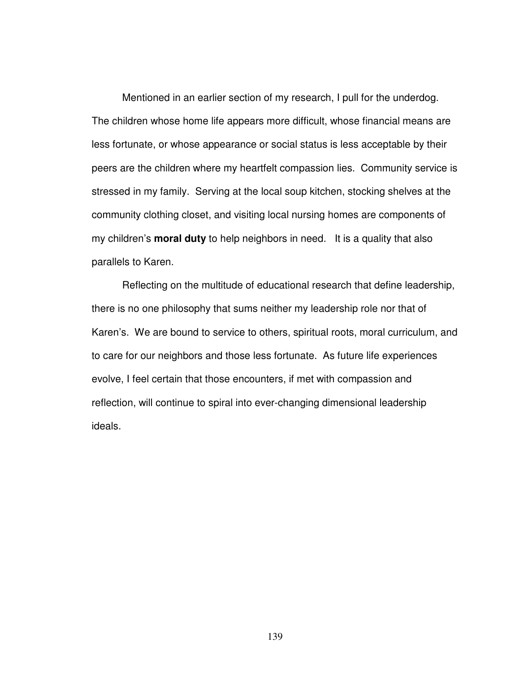Mentioned in an earlier section of my research, I pull for the underdog. The children whose home life appears more difficult, whose financial means are less fortunate, or whose appearance or social status is less acceptable by their peers are the children where my heartfelt compassion lies. Community service is stressed in my family. Serving at the local soup kitchen, stocking shelves at the community clothing closet, and visiting local nursing homes are components of my children's **moral duty** to help neighbors in need. It is a quality that also parallels to Karen.

 Reflecting on the multitude of educational research that define leadership, there is no one philosophy that sums neither my leadership role nor that of Karen's. We are bound to service to others, spiritual roots, moral curriculum, and to care for our neighbors and those less fortunate. As future life experiences evolve, I feel certain that those encounters, if met with compassion and reflection, will continue to spiral into ever-changing dimensional leadership ideals.

139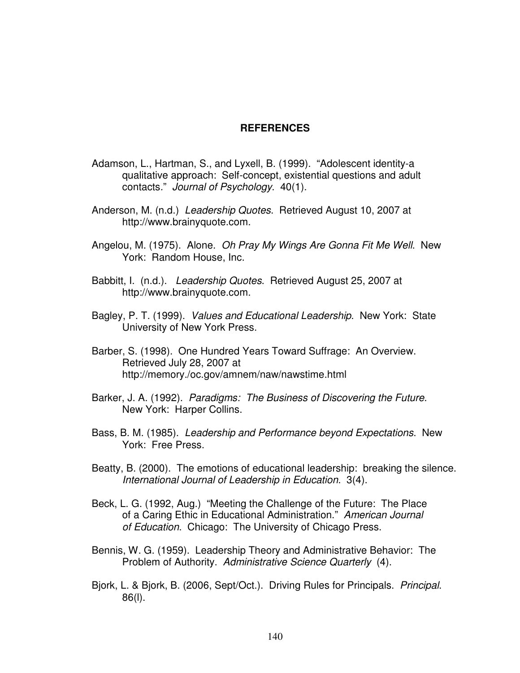## **REFERENCES**

- Adamson, L., Hartman, S., and Lyxell, B. (1999). "Adolescent identity-a qualitative approach: Self-concept, existential questions and adult contacts." Journal of Psychology. 40(1).
- Anderson, M. (n.d.) Leadership Quotes. Retrieved August 10, 2007 at http://www.brainyquote.com.
- Angelou, M. (1975). Alone. Oh Pray My Wings Are Gonna Fit Me Well. New York: Random House, Inc.
- Babbitt, I. (n.d.). Leadership Quotes. Retrieved August 25, 2007 at http://www.brainyquote.com.
- Bagley, P. T. (1999). Values and Educational Leadership. New York: State University of New York Press.
- Barber, S. (1998). One Hundred Years Toward Suffrage: An Overview. Retrieved July 28, 2007 at http://memory./oc.gov/amnem/naw/nawstime.html
- Barker, J. A. (1992). Paradigms: The Business of Discovering the Future. New York: Harper Collins.
- Bass, B. M. (1985). Leadership and Performance beyond Expectations. New York: Free Press.
- Beatty, B. (2000). The emotions of educational leadership: breaking the silence. International Journal of Leadership in Education. 3(4).
- Beck, L. G. (1992, Aug.) "Meeting the Challenge of the Future: The Place of a Caring Ethic in Educational Administration." American Journal of Education. Chicago: The University of Chicago Press.
- Bennis, W. G. (1959). Leadership Theory and Administrative Behavior: The Problem of Authority. Administrative Science Quarterly (4).
- Bjork, L. & Bjork, B. (2006, Sept/Oct.). Driving Rules for Principals. Principal. 86(l).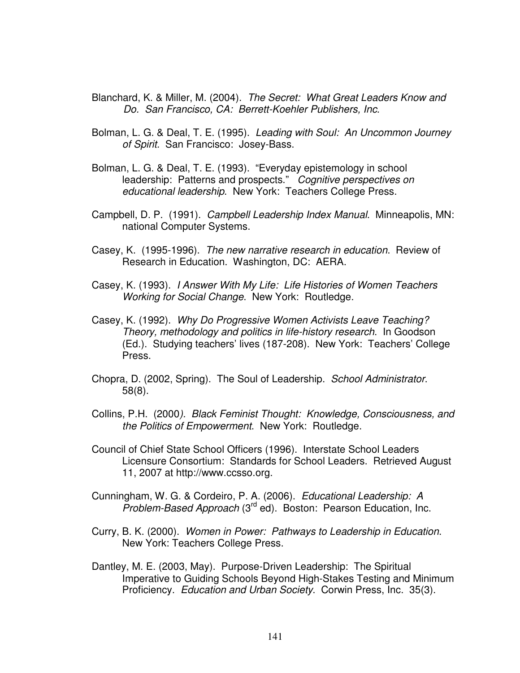- Blanchard, K. & Miller, M. (2004). The Secret: What Great Leaders Know and Do. San Francisco, CA: Berrett-Koehler Publishers, Inc.
- Bolman, L. G. & Deal, T. E. (1995). Leading with Soul: An Uncommon Journey of Spirit. San Francisco: Josey-Bass.
- Bolman, L. G. & Deal, T. E. (1993). "Everyday epistemology in school leadership: Patterns and prospects." Cognitive perspectives on educational leadership. New York: Teachers College Press.
- Campbell, D. P. (1991). Campbell Leadership Index Manual. Minneapolis, MN: national Computer Systems.
- Casey, K. (1995-1996). The new narrative research in education. Review of Research in Education. Washington, DC: AERA.
- Casey, K. (1993). I Answer With My Life: Life Histories of Women Teachers Working for Social Change. New York: Routledge.
- Casey, K. (1992). Why Do Progressive Women Activists Leave Teaching? Theory, methodology and politics in life-history research. In Goodson (Ed.). Studying teachers' lives (187-208). New York: Teachers' College Press.
- Chopra, D. (2002, Spring). The Soul of Leadership. School Administrator. 58(8).
- Collins, P.H. (2000). Black Feminist Thought: Knowledge, Consciousness, and the Politics of Empowerment. New York: Routledge.
- Council of Chief State School Officers (1996). Interstate School Leaders Licensure Consortium: Standards for School Leaders. Retrieved August 11, 2007 at http://www.ccsso.org.
- Cunningham, W. G. & Cordeiro, P. A. (2006). Educational Leadership: A Problem-Based Approach (3rd ed). Boston: Pearson Education, Inc.
- Curry, B. K. (2000). Women in Power: Pathways to Leadership in Education. New York: Teachers College Press.
- Dantley, M. E. (2003, May). Purpose-Driven Leadership: The Spiritual Imperative to Guiding Schools Beyond High-Stakes Testing and Minimum Proficiency. Education and Urban Society. Corwin Press, Inc. 35(3).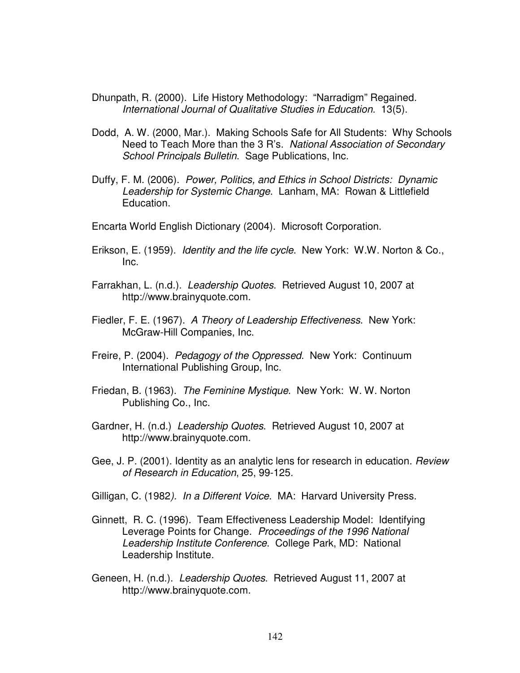- Dhunpath, R. (2000). Life History Methodology: "Narradigm" Regained. International Journal of Qualitative Studies in Education. 13(5).
- Dodd, A. W. (2000, Mar.). Making Schools Safe for All Students: Why Schools Need to Teach More than the 3 R's. National Association of Secondary School Principals Bulletin. Sage Publications, Inc.
- Duffy, F. M. (2006). Power, Politics, and Ethics in School Districts: Dynamic Leadership for Systemic Change. Lanham, MA: Rowan & Littlefield Education.
- Encarta World English Dictionary (2004). Microsoft Corporation.
- Erikson, E. (1959). Identity and the life cycle. New York: W.W. Norton & Co., Inc.
- Farrakhan, L. (n.d.). Leadership Quotes. Retrieved August 10, 2007 at http://www.brainyquote.com.
- Fiedler, F. E. (1967). A Theory of Leadership Effectiveness. New York: McGraw-Hill Companies, Inc.
- Freire, P. (2004). Pedagogy of the Oppressed. New York: Continuum International Publishing Group, Inc.
- Friedan, B. (1963). The Feminine Mystique. New York: W. W. Norton Publishing Co., Inc.
- Gardner, H. (n.d.) Leadership Quotes. Retrieved August 10, 2007 at http://www.brainyquote.com.
- Gee, J. P. (2001). Identity as an analytic lens for research in education. Review of Research in Education, 25, 99-125.
- Gilligan, C. (1982). In a Different Voice. MA: Harvard University Press.
- Ginnett, R. C. (1996). Team Effectiveness Leadership Model: Identifying Leverage Points for Change. Proceedings of the 1996 National Leadership Institute Conference. College Park, MD: National Leadership Institute.
- Geneen, H. (n.d.). Leadership Quotes. Retrieved August 11, 2007 at http://www.brainyquote.com.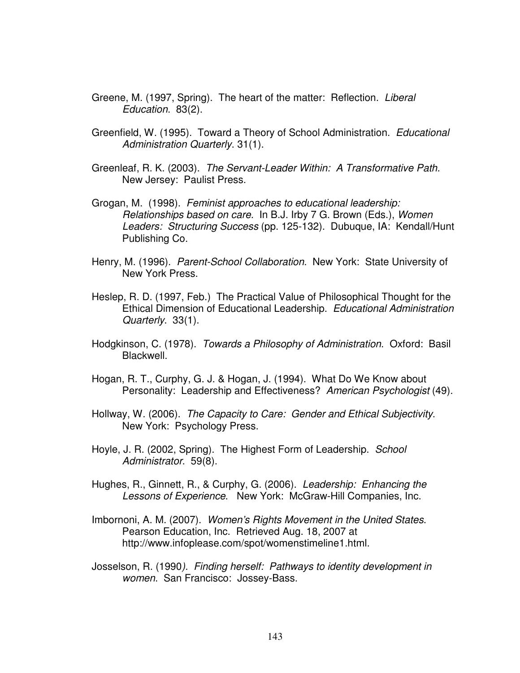- Greene, M. (1997, Spring). The heart of the matter: Reflection. Liberal Education. 83(2).
- Greenfield, W. (1995). Toward a Theory of School Administration. Educational Administration Quarterly. 31(1).
- Greenleaf, R. K. (2003). The Servant-Leader Within: A Transformative Path. New Jersey: Paulist Press.
- Grogan, M. (1998). Feminist approaches to educational leadership: Relationships based on care. In B.J. Irby 7 G. Brown (Eds.), Women Leaders: Structuring Success (pp. 125-132). Dubuque, IA: Kendall/Hunt Publishing Co.
- Henry, M. (1996). Parent-School Collaboration. New York: State University of New York Press.
- Heslep, R. D. (1997, Feb.) The Practical Value of Philosophical Thought for the Ethical Dimension of Educational Leadership. Educational Administration Quarterly. 33(1).
- Hodgkinson, C. (1978). Towards a Philosophy of Administration. Oxford: Basil Blackwell.
- Hogan, R. T., Curphy, G. J. & Hogan, J. (1994). What Do We Know about Personality: Leadership and Effectiveness? American Psychologist (49).
- Hollway, W. (2006). The Capacity to Care: Gender and Ethical Subjectivity. New York: Psychology Press.
- Hoyle, J. R. (2002, Spring). The Highest Form of Leadership. School Administrator. 59(8).
- Hughes, R., Ginnett, R., & Curphy, G. (2006). Leadership: Enhancing the Lessons of Experience. New York: McGraw-Hill Companies, Inc.
- Imbornoni, A. M. (2007). Women's Rights Movement in the United States. Pearson Education, Inc. Retrieved Aug. 18, 2007 at http://www.infoplease.com/spot/womenstimeline1.html.
- Josselson, R. (1990). Finding herself: Pathways to identity development in women. San Francisco: Jossey-Bass.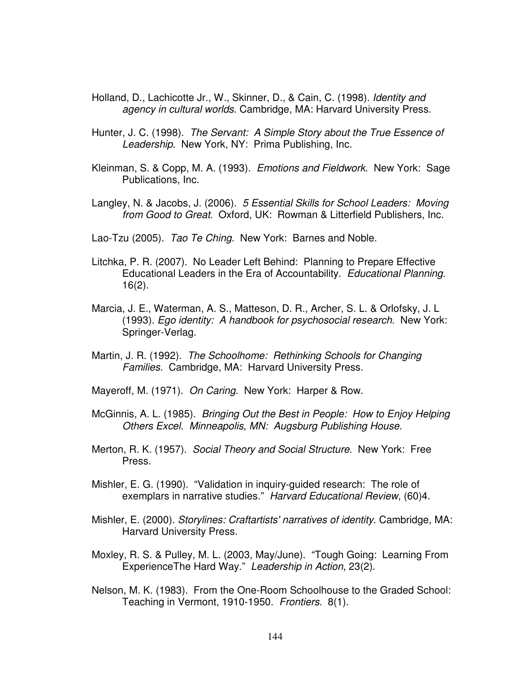- Holland, D., Lachicotte Jr., W., Skinner, D., & Cain, C. (1998). Identity and agency in cultural worlds. Cambridge, MA: Harvard University Press.
- Hunter, J. C. (1998). The Servant: A Simple Story about the True Essence of Leadership. New York, NY: Prima Publishing, Inc.
- Kleinman, S. & Copp, M. A. (1993). Emotions and Fieldwork. New York: Sage Publications, Inc.
- Langley, N. & Jacobs, J. (2006). 5 Essential Skills for School Leaders: Moving from Good to Great. Oxford, UK: Rowman & Litterfield Publishers, Inc.
- Lao-Tzu (2005). Tao Te Ching. New York: Barnes and Noble.
- Litchka, P. R. (2007). No Leader Left Behind: Planning to Prepare Effective Educational Leaders in the Era of Accountability. Educational Planning. 16(2).
- Marcia, J. E., Waterman, A. S., Matteson, D. R., Archer, S. L. & Orlofsky, J. L (1993). Ego identity: A handbook for psychosocial research. New York: Springer-Verlag.
- Martin, J. R. (1992). The Schoolhome: Rethinking Schools for Changing Families. Cambridge, MA: Harvard University Press.
- Mayeroff, M. (1971). On Caring. New York: Harper & Row.
- McGinnis, A. L. (1985). Bringing Out the Best in People: How to Enjoy Helping Others Excel. Minneapolis, MN: Augsburg Publishing House.
- Merton, R. K. (1957). Social Theory and Social Structure. New York: Free Press.
- Mishler, E. G. (1990). "Validation in inquiry-guided research: The role of exemplars in narrative studies." Harvard Educational Review, (60)4.
- Mishler, E. (2000). Storylines: Craftartists' narratives of identity. Cambridge, MA: Harvard University Press.
- Moxley, R. S. & Pulley, M. L. (2003, May/June). "Tough Going: Learning From ExperienceThe Hard Way." Leadership in Action, 23(2).
- Nelson, M. K. (1983). From the One-Room Schoolhouse to the Graded School: Teaching in Vermont, 1910-1950. Frontiers. 8(1).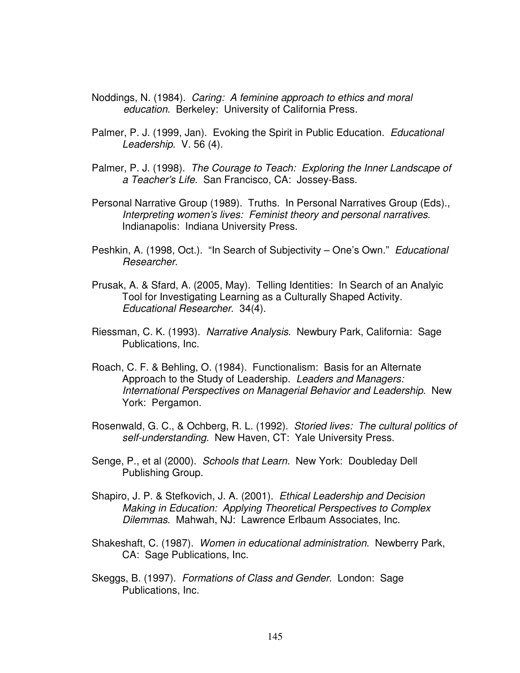- Noddings, N. (1984). Caring: A feminine approach to ethics and moral education. Berkeley: University of California Press.
- Palmer, P. J. (1999, Jan). Evoking the Spirit in Public Education. Educational Leadership. V. 56 (4).
- Palmer, P. J. (1998). The Courage to Teach: Exploring the Inner Landscape of a Teacher's Life. San Francisco, CA: Jossey-Bass.
- Personal Narrative Group (1989). Truths. In Personal Narratives Group (Eds)., Interpreting women's lives: Feminist theory and personal narratives. Indianapolis: Indiana University Press.
- Peshkin, A. (1998, Oct.). "In Search of Subjectivity One's Own." Educational Researcher.
- Prusak, A. & Sfard, A. (2005, May). Telling Identities: In Search of an Analyic Tool for Investigating Learning as a Culturally Shaped Activity. Educational Researcher. 34(4).
- Riessman, C. K. (1993). Narrative Analysis. Newbury Park, California: Sage Publications, Inc.
- Roach, C. F. & Behling, O. (1984). Functionalism: Basis for an Alternate Approach to the Study of Leadership. Leaders and Managers: International Perspectives on Managerial Behavior and Leadership. New York: Pergamon.
- Rosenwald, G. C., & Ochberg, R. L. (1992). Storied lives: The cultural politics of self-understanding. New Haven, CT: Yale University Press.
- Senge, P., et al (2000). Schools that Learn. New York: Doubleday Dell Publishing Group.
- Shapiro, J. P. & Stefkovich, J. A. (2001). Ethical Leadership and Decision Making in Education: Applying Theoretical Perspectives to Complex Dilemmas. Mahwah, NJ: Lawrence Erlbaum Associates, Inc.
- Shakeshaft, C. (1987). Women in educational administration. Newberry Park, CA: Sage Publications, Inc.
- Skeggs, B. (1997). Formations of Class and Gender. London: Sage Publications, Inc.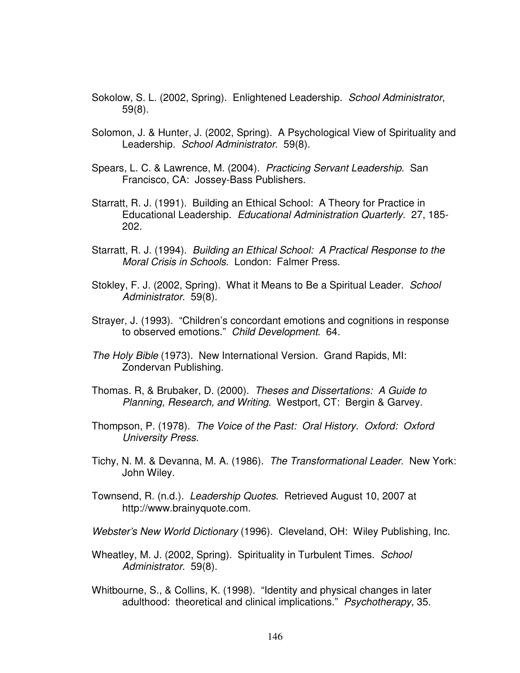Sokolow, S. L. (2002, Spring). Enlightened Leadership. School Administrator, 59(8).

- Solomon, J. & Hunter, J. (2002, Spring). A Psychological View of Spirituality and Leadership. School Administrator. 59(8).
- Spears, L. C. & Lawrence, M. (2004). Practicing Servant Leadership. San Francisco, CA: Jossey-Bass Publishers.
- Starratt, R. J. (1991). Building an Ethical School: A Theory for Practice in Educational Leadership. Educational Administration Quarterly. 27, 185- 202.
- Starratt, R. J. (1994). Building an Ethical School: A Practical Response to the Moral Crisis in Schools. London: Falmer Press.
- Stokley, F. J. (2002, Spring). What it Means to Be a Spiritual Leader. School Administrator. 59(8).
- Strayer, J. (1993). "Children's concordant emotions and cognitions in response to observed emotions." Child Development. 64.
- The Holy Bible (1973). New International Version. Grand Rapids, MI: Zondervan Publishing.
- Thomas. R, & Brubaker, D. (2000). Theses and Dissertations: A Guide to Planning, Research, and Writing. Westport, CT: Bergin & Garvey.
- Thompson, P. (1978). The Voice of the Past: Oral History. Oxford: Oxford University Press.
- Tichy, N. M. & Devanna, M. A. (1986). The Transformational Leader. New York: John Wiley.
- Townsend, R. (n.d.). Leadership Quotes. Retrieved August 10, 2007 at http://www.brainyquote.com.
- Webster's New World Dictionary (1996). Cleveland, OH: Wiley Publishing, Inc.
- Wheatley, M. J. (2002, Spring). Spirituality in Turbulent Times. School Administrator. 59(8).
- Whitbourne, S., & Collins, K. (1998). "Identity and physical changes in later adulthood: theoretical and clinical implications." Psychotherapy, 35.